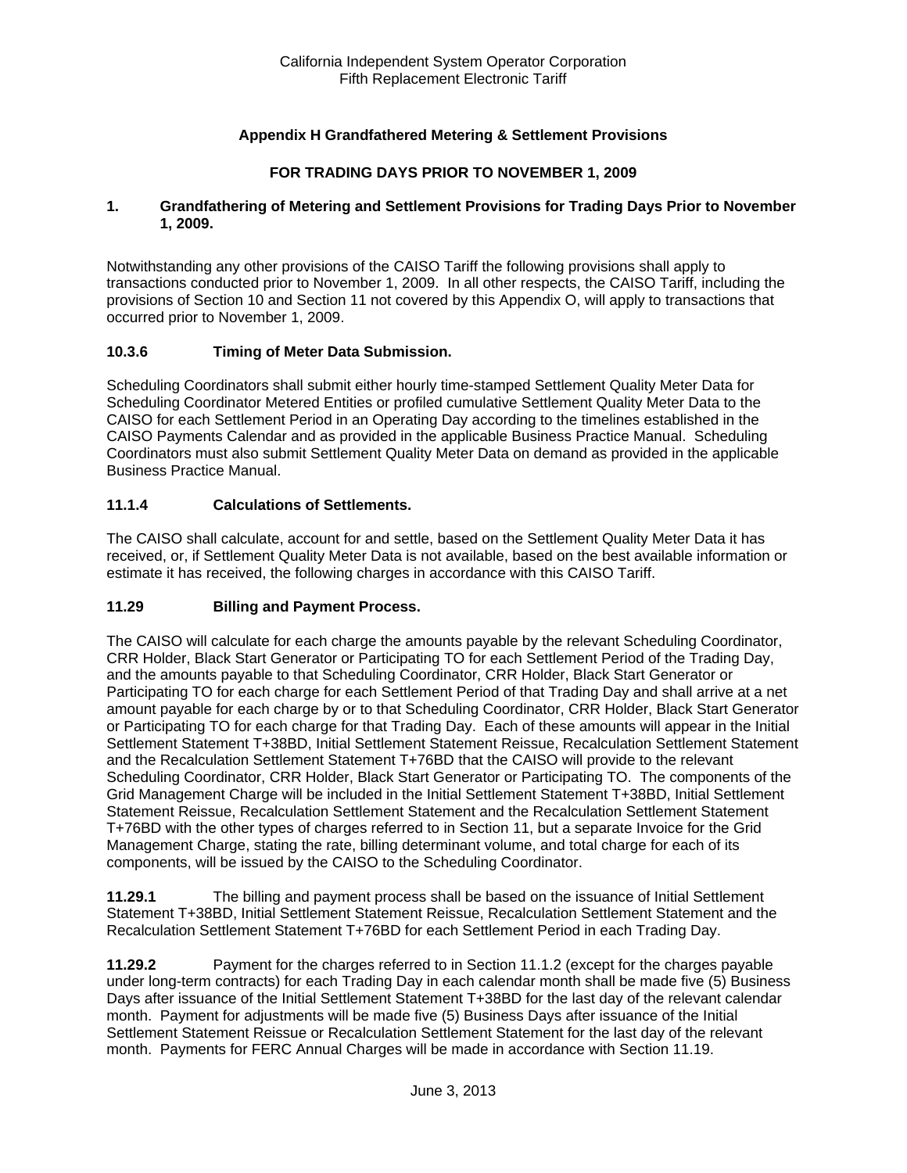# **Appendix H Grandfathered Metering & Settlement Provisions**

## **FOR TRADING DAYS PRIOR TO NOVEMBER 1, 2009**

#### **1. Grandfathering of Metering and Settlement Provisions for Trading Days Prior to November 1, 2009.**

Notwithstanding any other provisions of the CAISO Tariff the following provisions shall apply to transactions conducted prior to November 1, 2009. In all other respects, the CAISO Tariff, including the provisions of Section 10 and Section 11 not covered by this Appendix O, will apply to transactions that occurred prior to November 1, 2009.

## **10.3.6 Timing of Meter Data Submission.**

Scheduling Coordinators shall submit either hourly time-stamped Settlement Quality Meter Data for Scheduling Coordinator Metered Entities or profiled cumulative Settlement Quality Meter Data to the CAISO for each Settlement Period in an Operating Day according to the timelines established in the CAISO Payments Calendar and as provided in the applicable Business Practice Manual. Scheduling Coordinators must also submit Settlement Quality Meter Data on demand as provided in the applicable Business Practice Manual.

#### **11.1.4 Calculations of Settlements.**

The CAISO shall calculate, account for and settle, based on the Settlement Quality Meter Data it has received, or, if Settlement Quality Meter Data is not available, based on the best available information or estimate it has received, the following charges in accordance with this CAISO Tariff.

## **11.29 Billing and Payment Process.**

The CAISO will calculate for each charge the amounts payable by the relevant Scheduling Coordinator, CRR Holder, Black Start Generator or Participating TO for each Settlement Period of the Trading Day, and the amounts payable to that Scheduling Coordinator, CRR Holder, Black Start Generator or Participating TO for each charge for each Settlement Period of that Trading Day and shall arrive at a net amount payable for each charge by or to that Scheduling Coordinator, CRR Holder, Black Start Generator or Participating TO for each charge for that Trading Day. Each of these amounts will appear in the Initial Settlement Statement T+38BD, Initial Settlement Statement Reissue, Recalculation Settlement Statement and the Recalculation Settlement Statement T+76BD that the CAISO will provide to the relevant Scheduling Coordinator, CRR Holder, Black Start Generator or Participating TO. The components of the Grid Management Charge will be included in the Initial Settlement Statement T+38BD, Initial Settlement Statement Reissue, Recalculation Settlement Statement and the Recalculation Settlement Statement T+76BD with the other types of charges referred to in Section 11, but a separate Invoice for the Grid Management Charge, stating the rate, billing determinant volume, and total charge for each of its components, will be issued by the CAISO to the Scheduling Coordinator.

**11.29.1** The billing and payment process shall be based on the issuance of Initial Settlement Statement T+38BD, Initial Settlement Statement Reissue, Recalculation Settlement Statement and the Recalculation Settlement Statement T+76BD for each Settlement Period in each Trading Day.

**11.29.2** Payment for the charges referred to in Section 11.1.2 (except for the charges payable under long-term contracts) for each Trading Day in each calendar month shall be made five (5) Business Days after issuance of the Initial Settlement Statement T+38BD for the last day of the relevant calendar month. Payment for adjustments will be made five (5) Business Days after issuance of the Initial Settlement Statement Reissue or Recalculation Settlement Statement for the last day of the relevant month. Payments for FERC Annual Charges will be made in accordance with Section 11.19.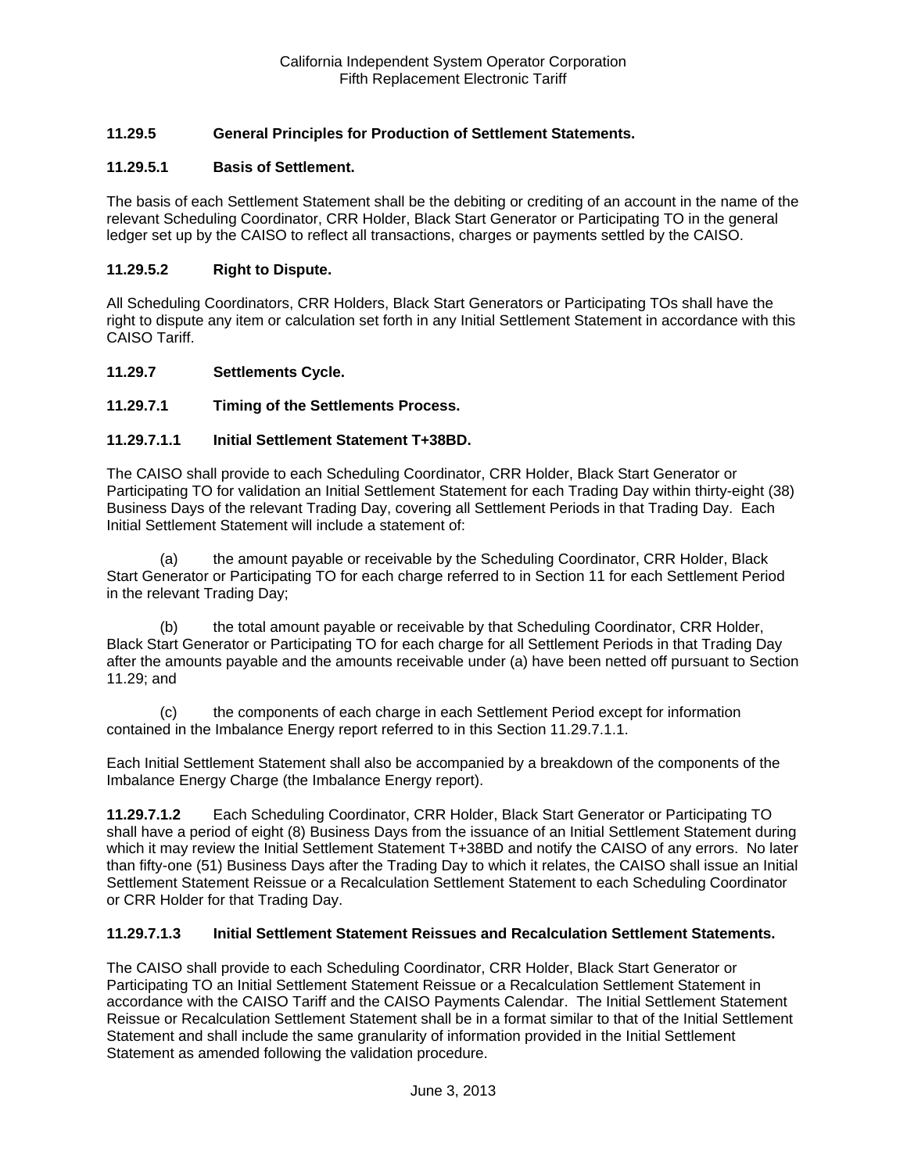# **11.29.5 General Principles for Production of Settlement Statements.**

## **11.29.5.1 Basis of Settlement.**

The basis of each Settlement Statement shall be the debiting or crediting of an account in the name of the relevant Scheduling Coordinator, CRR Holder, Black Start Generator or Participating TO in the general ledger set up by the CAISO to reflect all transactions, charges or payments settled by the CAISO.

#### **11.29.5.2 Right to Dispute.**

All Scheduling Coordinators, CRR Holders, Black Start Generators or Participating TOs shall have the right to dispute any item or calculation set forth in any Initial Settlement Statement in accordance with this CAISO Tariff.

#### **11.29.7 Settlements Cycle.**

## **11.29.7.1 Timing of the Settlements Process.**

## **11.29.7.1.1 Initial Settlement Statement T+38BD.**

The CAISO shall provide to each Scheduling Coordinator, CRR Holder, Black Start Generator or Participating TO for validation an Initial Settlement Statement for each Trading Day within thirty-eight (38) Business Days of the relevant Trading Day, covering all Settlement Periods in that Trading Day. Each Initial Settlement Statement will include a statement of:

(a) the amount payable or receivable by the Scheduling Coordinator, CRR Holder, Black Start Generator or Participating TO for each charge referred to in Section 11 for each Settlement Period in the relevant Trading Day;

(b) the total amount payable or receivable by that Scheduling Coordinator, CRR Holder, Black Start Generator or Participating TO for each charge for all Settlement Periods in that Trading Day after the amounts payable and the amounts receivable under (a) have been netted off pursuant to Section 11.29; and

(c) the components of each charge in each Settlement Period except for information contained in the Imbalance Energy report referred to in this Section 11.29.7.1.1.

Each Initial Settlement Statement shall also be accompanied by a breakdown of the components of the Imbalance Energy Charge (the Imbalance Energy report).

**11.29.7.1.2** Each Scheduling Coordinator, CRR Holder, Black Start Generator or Participating TO shall have a period of eight (8) Business Days from the issuance of an Initial Settlement Statement during which it may review the Initial Settlement Statement T+38BD and notify the CAISO of any errors. No later than fifty-one (51) Business Days after the Trading Day to which it relates, the CAISO shall issue an Initial Settlement Statement Reissue or a Recalculation Settlement Statement to each Scheduling Coordinator or CRR Holder for that Trading Day.

#### **11.29.7.1.3 Initial Settlement Statement Reissues and Recalculation Settlement Statements.**

The CAISO shall provide to each Scheduling Coordinator, CRR Holder, Black Start Generator or Participating TO an Initial Settlement Statement Reissue or a Recalculation Settlement Statement in accordance with the CAISO Tariff and the CAISO Payments Calendar. The Initial Settlement Statement Reissue or Recalculation Settlement Statement shall be in a format similar to that of the Initial Settlement Statement and shall include the same granularity of information provided in the Initial Settlement Statement as amended following the validation procedure.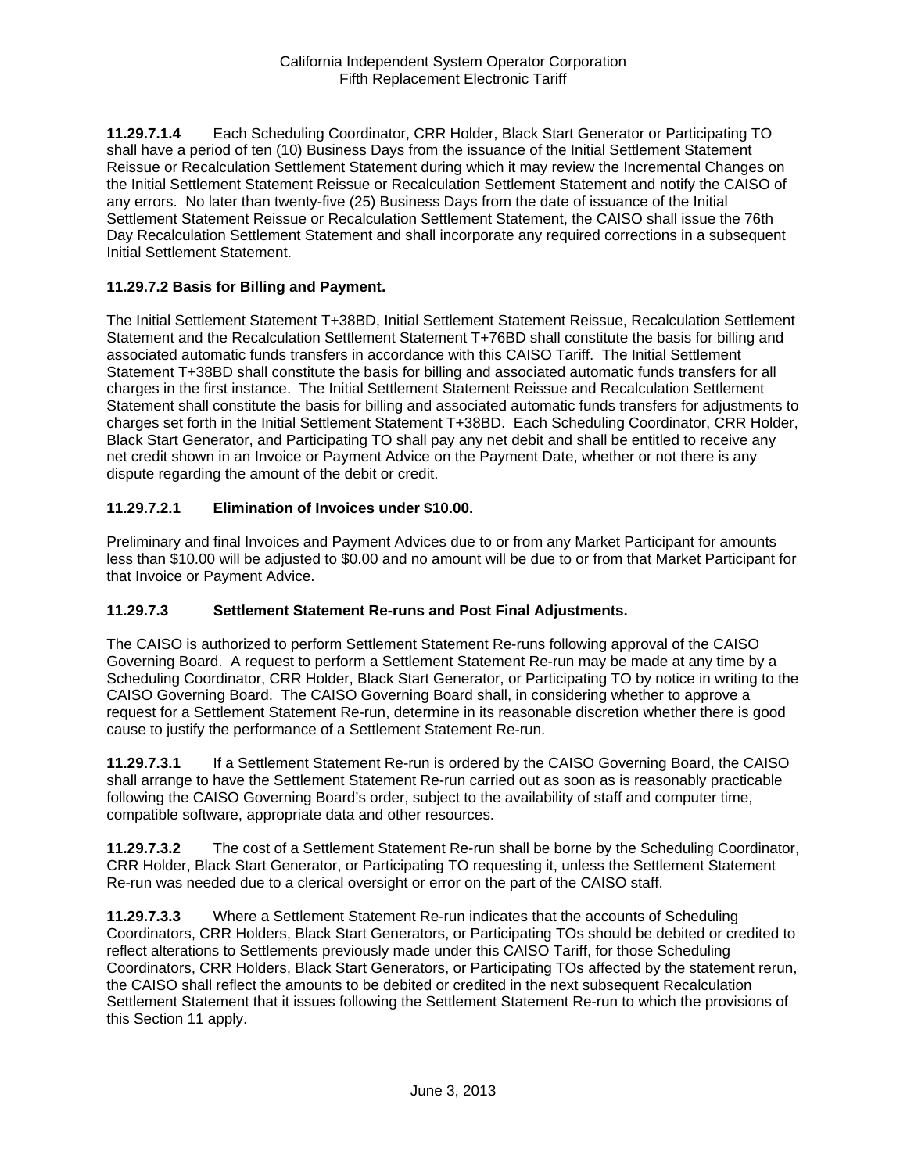**11.29.7.1.4** Each Scheduling Coordinator, CRR Holder, Black Start Generator or Participating TO shall have a period of ten (10) Business Days from the issuance of the Initial Settlement Statement Reissue or Recalculation Settlement Statement during which it may review the Incremental Changes on the Initial Settlement Statement Reissue or Recalculation Settlement Statement and notify the CAISO of any errors. No later than twenty-five (25) Business Days from the date of issuance of the Initial Settlement Statement Reissue or Recalculation Settlement Statement, the CAISO shall issue the 76th Day Recalculation Settlement Statement and shall incorporate any required corrections in a subsequent Initial Settlement Statement.

## **11.29.7.2 Basis for Billing and Payment.**

The Initial Settlement Statement T+38BD, Initial Settlement Statement Reissue, Recalculation Settlement Statement and the Recalculation Settlement Statement T+76BD shall constitute the basis for billing and associated automatic funds transfers in accordance with this CAISO Tariff. The Initial Settlement Statement T+38BD shall constitute the basis for billing and associated automatic funds transfers for all charges in the first instance. The Initial Settlement Statement Reissue and Recalculation Settlement Statement shall constitute the basis for billing and associated automatic funds transfers for adjustments to charges set forth in the Initial Settlement Statement T+38BD. Each Scheduling Coordinator, CRR Holder, Black Start Generator, and Participating TO shall pay any net debit and shall be entitled to receive any net credit shown in an Invoice or Payment Advice on the Payment Date, whether or not there is any dispute regarding the amount of the debit or credit.

# **11.29.7.2.1 Elimination of Invoices under \$10.00.**

Preliminary and final Invoices and Payment Advices due to or from any Market Participant for amounts less than \$10.00 will be adjusted to \$0.00 and no amount will be due to or from that Market Participant for that Invoice or Payment Advice.

## **11.29.7.3 Settlement Statement Re-runs and Post Final Adjustments.**

The CAISO is authorized to perform Settlement Statement Re-runs following approval of the CAISO Governing Board. A request to perform a Settlement Statement Re-run may be made at any time by a Scheduling Coordinator, CRR Holder, Black Start Generator, or Participating TO by notice in writing to the CAISO Governing Board. The CAISO Governing Board shall, in considering whether to approve a request for a Settlement Statement Re-run, determine in its reasonable discretion whether there is good cause to justify the performance of a Settlement Statement Re-run.

**11.29.7.3.1** If a Settlement Statement Re-run is ordered by the CAISO Governing Board, the CAISO shall arrange to have the Settlement Statement Re-run carried out as soon as is reasonably practicable following the CAISO Governing Board's order, subject to the availability of staff and computer time, compatible software, appropriate data and other resources.

**11.29.7.3.2** The cost of a Settlement Statement Re-run shall be borne by the Scheduling Coordinator, CRR Holder, Black Start Generator, or Participating TO requesting it, unless the Settlement Statement Re-run was needed due to a clerical oversight or error on the part of the CAISO staff.

**11.29.7.3.3** Where a Settlement Statement Re-run indicates that the accounts of Scheduling Coordinators, CRR Holders, Black Start Generators, or Participating TOs should be debited or credited to reflect alterations to Settlements previously made under this CAISO Tariff, for those Scheduling Coordinators, CRR Holders, Black Start Generators, or Participating TOs affected by the statement rerun, the CAISO shall reflect the amounts to be debited or credited in the next subsequent Recalculation Settlement Statement that it issues following the Settlement Statement Re-run to which the provisions of this Section 11 apply.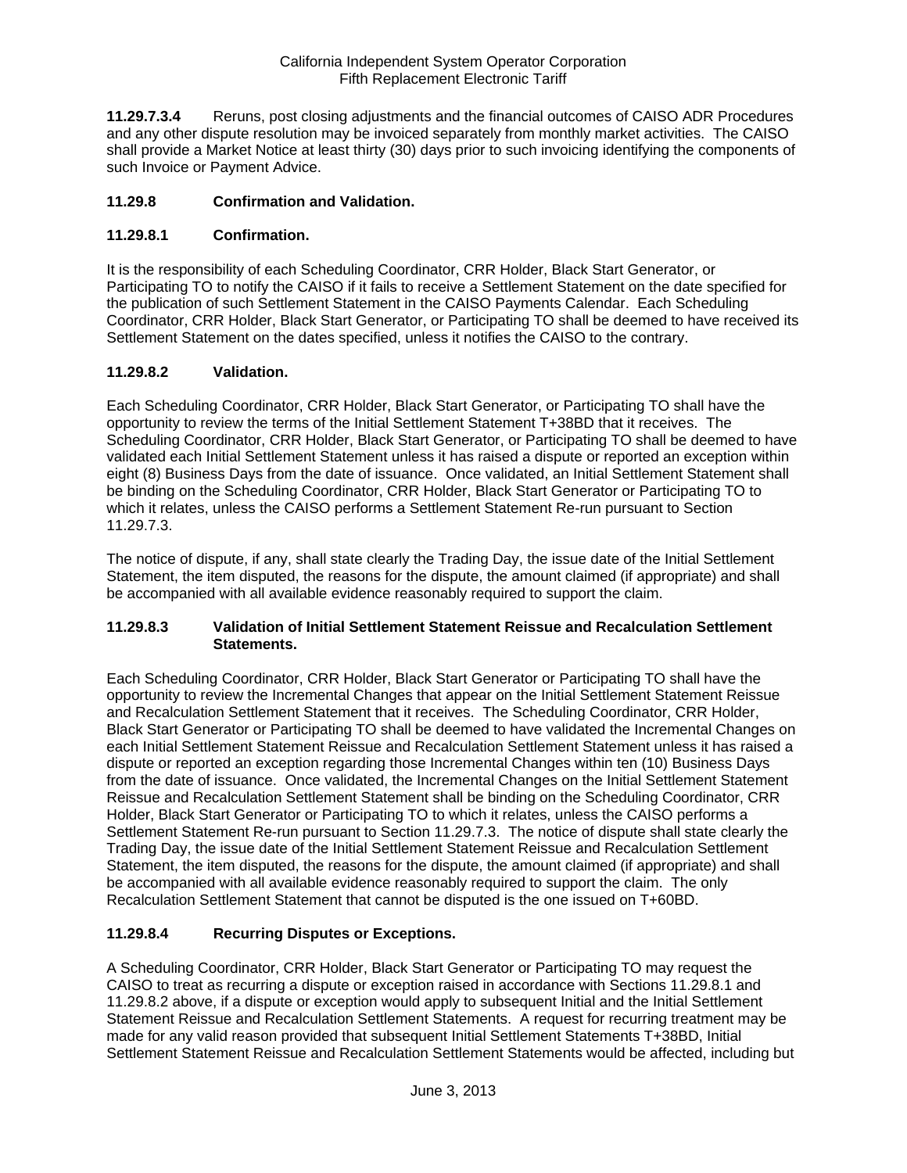**11.29.7.3.4** Reruns, post closing adjustments and the financial outcomes of CAISO ADR Procedures and any other dispute resolution may be invoiced separately from monthly market activities. The CAISO shall provide a Market Notice at least thirty (30) days prior to such invoicing identifying the components of such Invoice or Payment Advice.

# **11.29.8 Confirmation and Validation.**

# **11.29.8.1 Confirmation.**

It is the responsibility of each Scheduling Coordinator, CRR Holder, Black Start Generator, or Participating TO to notify the CAISO if it fails to receive a Settlement Statement on the date specified for the publication of such Settlement Statement in the CAISO Payments Calendar. Each Scheduling Coordinator, CRR Holder, Black Start Generator, or Participating TO shall be deemed to have received its Settlement Statement on the dates specified, unless it notifies the CAISO to the contrary.

# **11.29.8.2 Validation.**

Each Scheduling Coordinator, CRR Holder, Black Start Generator, or Participating TO shall have the opportunity to review the terms of the Initial Settlement Statement T+38BD that it receives. The Scheduling Coordinator, CRR Holder, Black Start Generator, or Participating TO shall be deemed to have validated each Initial Settlement Statement unless it has raised a dispute or reported an exception within eight (8) Business Days from the date of issuance. Once validated, an Initial Settlement Statement shall be binding on the Scheduling Coordinator, CRR Holder, Black Start Generator or Participating TO to which it relates, unless the CAISO performs a Settlement Statement Re-run pursuant to Section 11.29.7.3.

The notice of dispute, if any, shall state clearly the Trading Day, the issue date of the Initial Settlement Statement, the item disputed, the reasons for the dispute, the amount claimed (if appropriate) and shall be accompanied with all available evidence reasonably required to support the claim.

## **11.29.8.3 Validation of Initial Settlement Statement Reissue and Recalculation Settlement Statements.**

Each Scheduling Coordinator, CRR Holder, Black Start Generator or Participating TO shall have the opportunity to review the Incremental Changes that appear on the Initial Settlement Statement Reissue and Recalculation Settlement Statement that it receives. The Scheduling Coordinator, CRR Holder, Black Start Generator or Participating TO shall be deemed to have validated the Incremental Changes on each Initial Settlement Statement Reissue and Recalculation Settlement Statement unless it has raised a dispute or reported an exception regarding those Incremental Changes within ten (10) Business Days from the date of issuance. Once validated, the Incremental Changes on the Initial Settlement Statement Reissue and Recalculation Settlement Statement shall be binding on the Scheduling Coordinator, CRR Holder, Black Start Generator or Participating TO to which it relates, unless the CAISO performs a Settlement Statement Re-run pursuant to Section 11.29.7.3. The notice of dispute shall state clearly the Trading Day, the issue date of the Initial Settlement Statement Reissue and Recalculation Settlement Statement, the item disputed, the reasons for the dispute, the amount claimed (if appropriate) and shall be accompanied with all available evidence reasonably required to support the claim. The only Recalculation Settlement Statement that cannot be disputed is the one issued on T+60BD.

## **11.29.8.4 Recurring Disputes or Exceptions.**

A Scheduling Coordinator, CRR Holder, Black Start Generator or Participating TO may request the CAISO to treat as recurring a dispute or exception raised in accordance with Sections 11.29.8.1 and 11.29.8.2 above, if a dispute or exception would apply to subsequent Initial and the Initial Settlement Statement Reissue and Recalculation Settlement Statements. A request for recurring treatment may be made for any valid reason provided that subsequent Initial Settlement Statements T+38BD, Initial Settlement Statement Reissue and Recalculation Settlement Statements would be affected, including but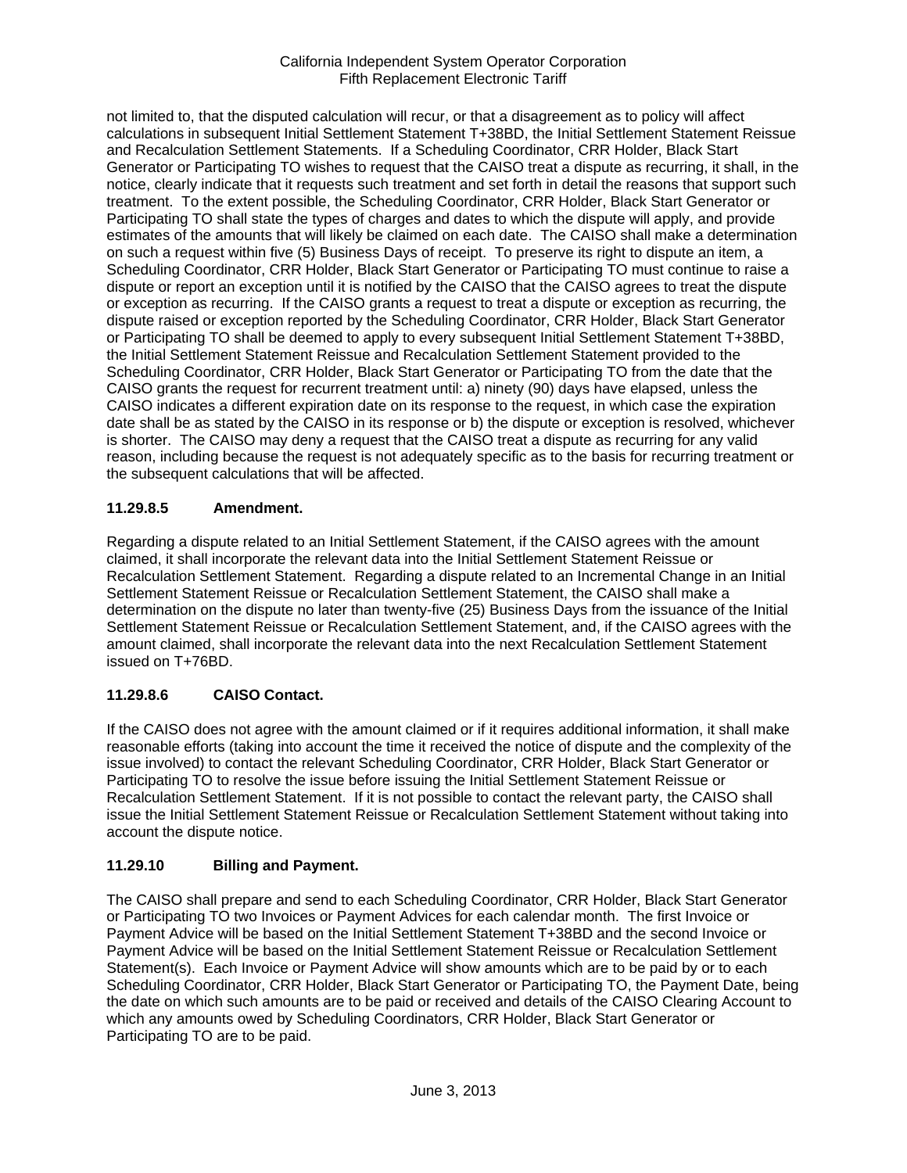not limited to, that the disputed calculation will recur, or that a disagreement as to policy will affect calculations in subsequent Initial Settlement Statement T+38BD, the Initial Settlement Statement Reissue and Recalculation Settlement Statements. If a Scheduling Coordinator, CRR Holder, Black Start Generator or Participating TO wishes to request that the CAISO treat a dispute as recurring, it shall, in the notice, clearly indicate that it requests such treatment and set forth in detail the reasons that support such treatment. To the extent possible, the Scheduling Coordinator, CRR Holder, Black Start Generator or Participating TO shall state the types of charges and dates to which the dispute will apply, and provide estimates of the amounts that will likely be claimed on each date. The CAISO shall make a determination on such a request within five (5) Business Days of receipt. To preserve its right to dispute an item, a Scheduling Coordinator, CRR Holder, Black Start Generator or Participating TO must continue to raise a dispute or report an exception until it is notified by the CAISO that the CAISO agrees to treat the dispute or exception as recurring. If the CAISO grants a request to treat a dispute or exception as recurring, the dispute raised or exception reported by the Scheduling Coordinator, CRR Holder, Black Start Generator or Participating TO shall be deemed to apply to every subsequent Initial Settlement Statement T+38BD, the Initial Settlement Statement Reissue and Recalculation Settlement Statement provided to the Scheduling Coordinator, CRR Holder, Black Start Generator or Participating TO from the date that the CAISO grants the request for recurrent treatment until: a) ninety (90) days have elapsed, unless the CAISO indicates a different expiration date on its response to the request, in which case the expiration date shall be as stated by the CAISO in its response or b) the dispute or exception is resolved, whichever is shorter. The CAISO may deny a request that the CAISO treat a dispute as recurring for any valid reason, including because the request is not adequately specific as to the basis for recurring treatment or the subsequent calculations that will be affected.

# **11.29.8.5 Amendment.**

Regarding a dispute related to an Initial Settlement Statement, if the CAISO agrees with the amount claimed, it shall incorporate the relevant data into the Initial Settlement Statement Reissue or Recalculation Settlement Statement. Regarding a dispute related to an Incremental Change in an Initial Settlement Statement Reissue or Recalculation Settlement Statement, the CAISO shall make a determination on the dispute no later than twenty-five (25) Business Days from the issuance of the Initial Settlement Statement Reissue or Recalculation Settlement Statement, and, if the CAISO agrees with the amount claimed, shall incorporate the relevant data into the next Recalculation Settlement Statement issued on T+76BD.

# **11.29.8.6 CAISO Contact.**

If the CAISO does not agree with the amount claimed or if it requires additional information, it shall make reasonable efforts (taking into account the time it received the notice of dispute and the complexity of the issue involved) to contact the relevant Scheduling Coordinator, CRR Holder, Black Start Generator or Participating TO to resolve the issue before issuing the Initial Settlement Statement Reissue or Recalculation Settlement Statement. If it is not possible to contact the relevant party, the CAISO shall issue the Initial Settlement Statement Reissue or Recalculation Settlement Statement without taking into account the dispute notice.

# **11.29.10 Billing and Payment.**

The CAISO shall prepare and send to each Scheduling Coordinator, CRR Holder, Black Start Generator or Participating TO two Invoices or Payment Advices for each calendar month. The first Invoice or Payment Advice will be based on the Initial Settlement Statement T+38BD and the second Invoice or Payment Advice will be based on the Initial Settlement Statement Reissue or Recalculation Settlement Statement(s). Each Invoice or Payment Advice will show amounts which are to be paid by or to each Scheduling Coordinator, CRR Holder, Black Start Generator or Participating TO, the Payment Date, being the date on which such amounts are to be paid or received and details of the CAISO Clearing Account to which any amounts owed by Scheduling Coordinators, CRR Holder, Black Start Generator or Participating TO are to be paid.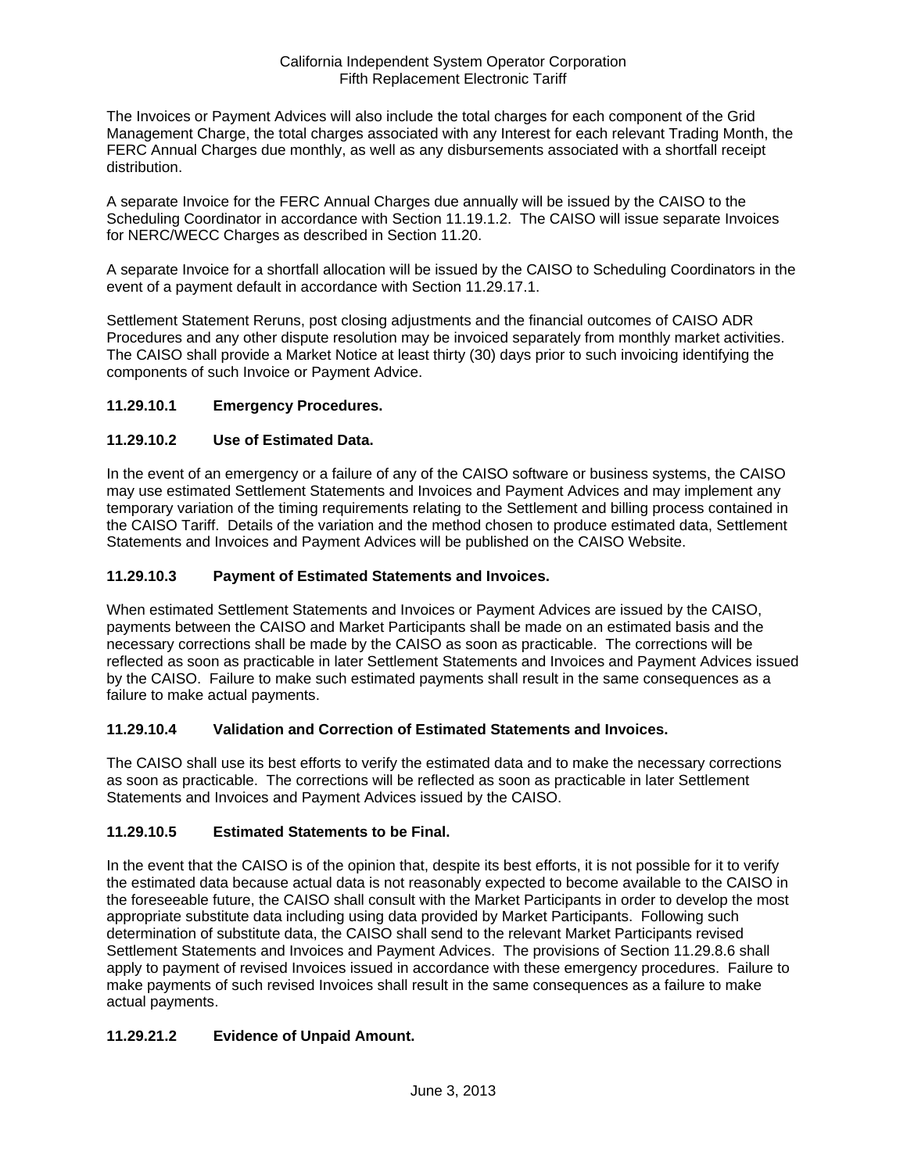The Invoices or Payment Advices will also include the total charges for each component of the Grid Management Charge, the total charges associated with any Interest for each relevant Trading Month, the FERC Annual Charges due monthly, as well as any disbursements associated with a shortfall receipt distribution.

A separate Invoice for the FERC Annual Charges due annually will be issued by the CAISO to the Scheduling Coordinator in accordance with Section 11.19.1.2. The CAISO will issue separate Invoices for NERC/WECC Charges as described in Section 11.20.

A separate Invoice for a shortfall allocation will be issued by the CAISO to Scheduling Coordinators in the event of a payment default in accordance with Section 11.29.17.1.

Settlement Statement Reruns, post closing adjustments and the financial outcomes of CAISO ADR Procedures and any other dispute resolution may be invoiced separately from monthly market activities. The CAISO shall provide a Market Notice at least thirty (30) days prior to such invoicing identifying the components of such Invoice or Payment Advice.

# **11.29.10.1 Emergency Procedures.**

# **11.29.10.2 Use of Estimated Data.**

In the event of an emergency or a failure of any of the CAISO software or business systems, the CAISO may use estimated Settlement Statements and Invoices and Payment Advices and may implement any temporary variation of the timing requirements relating to the Settlement and billing process contained in the CAISO Tariff. Details of the variation and the method chosen to produce estimated data, Settlement Statements and Invoices and Payment Advices will be published on the CAISO Website.

## **11.29.10.3 Payment of Estimated Statements and Invoices.**

When estimated Settlement Statements and Invoices or Payment Advices are issued by the CAISO, payments between the CAISO and Market Participants shall be made on an estimated basis and the necessary corrections shall be made by the CAISO as soon as practicable. The corrections will be reflected as soon as practicable in later Settlement Statements and Invoices and Payment Advices issued by the CAISO. Failure to make such estimated payments shall result in the same consequences as a failure to make actual payments.

## **11.29.10.4 Validation and Correction of Estimated Statements and Invoices.**

The CAISO shall use its best efforts to verify the estimated data and to make the necessary corrections as soon as practicable. The corrections will be reflected as soon as practicable in later Settlement Statements and Invoices and Payment Advices issued by the CAISO.

## **11.29.10.5 Estimated Statements to be Final.**

In the event that the CAISO is of the opinion that, despite its best efforts, it is not possible for it to verify the estimated data because actual data is not reasonably expected to become available to the CAISO in the foreseeable future, the CAISO shall consult with the Market Participants in order to develop the most appropriate substitute data including using data provided by Market Participants. Following such determination of substitute data, the CAISO shall send to the relevant Market Participants revised Settlement Statements and Invoices and Payment Advices. The provisions of Section 11.29.8.6 shall apply to payment of revised Invoices issued in accordance with these emergency procedures. Failure to make payments of such revised Invoices shall result in the same consequences as a failure to make actual payments.

# **11.29.21.2 Evidence of Unpaid Amount.**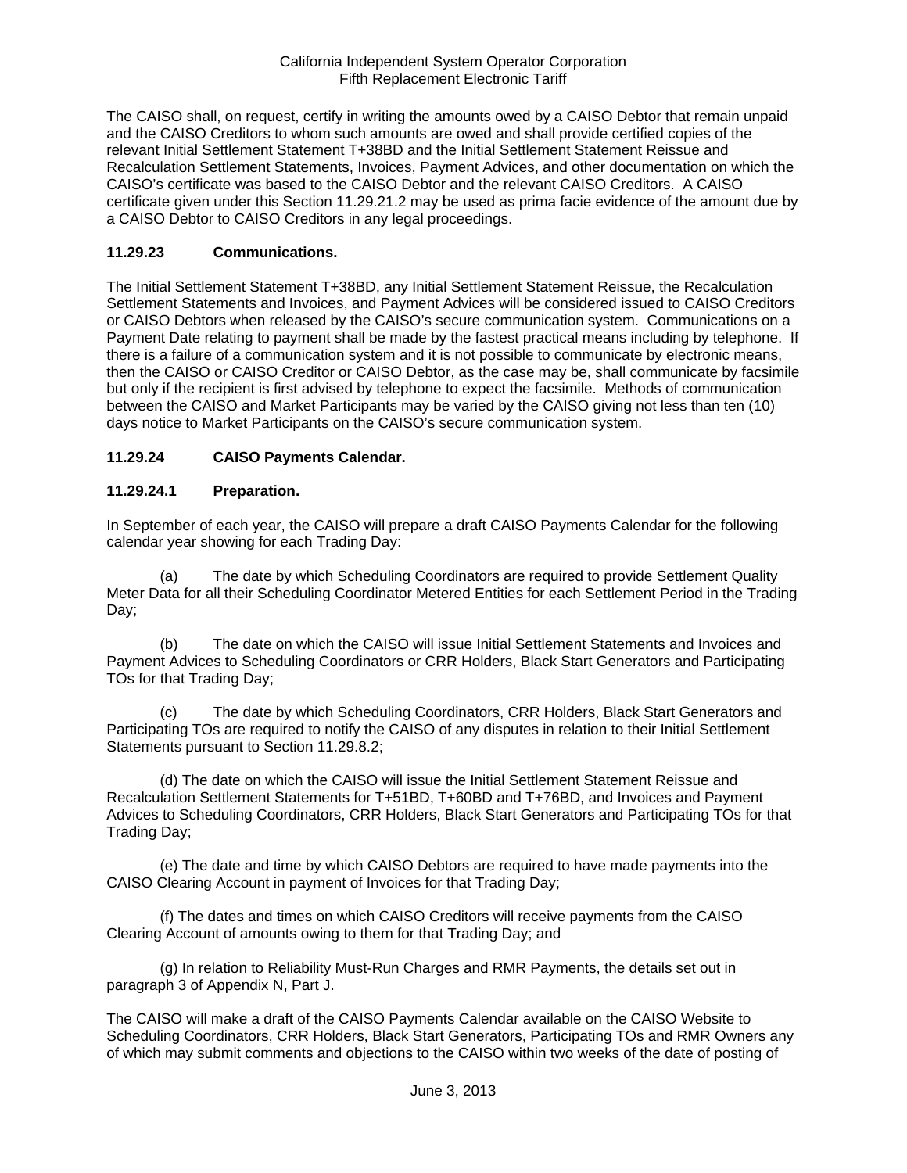The CAISO shall, on request, certify in writing the amounts owed by a CAISO Debtor that remain unpaid and the CAISO Creditors to whom such amounts are owed and shall provide certified copies of the relevant Initial Settlement Statement T+38BD and the Initial Settlement Statement Reissue and Recalculation Settlement Statements, Invoices, Payment Advices, and other documentation on which the CAISO's certificate was based to the CAISO Debtor and the relevant CAISO Creditors. A CAISO certificate given under this Section 11.29.21.2 may be used as prima facie evidence of the amount due by a CAISO Debtor to CAISO Creditors in any legal proceedings.

# **11.29.23 Communications.**

The Initial Settlement Statement T+38BD, any Initial Settlement Statement Reissue, the Recalculation Settlement Statements and Invoices, and Payment Advices will be considered issued to CAISO Creditors or CAISO Debtors when released by the CAISO's secure communication system. Communications on a Payment Date relating to payment shall be made by the fastest practical means including by telephone. If there is a failure of a communication system and it is not possible to communicate by electronic means, then the CAISO or CAISO Creditor or CAISO Debtor, as the case may be, shall communicate by facsimile but only if the recipient is first advised by telephone to expect the facsimile. Methods of communication between the CAISO and Market Participants may be varied by the CAISO giving not less than ten (10) days notice to Market Participants on the CAISO's secure communication system.

# **11.29.24 CAISO Payments Calendar.**

## **11.29.24.1 Preparation.**

In September of each year, the CAISO will prepare a draft CAISO Payments Calendar for the following calendar year showing for each Trading Day:

(a) The date by which Scheduling Coordinators are required to provide Settlement Quality Meter Data for all their Scheduling Coordinator Metered Entities for each Settlement Period in the Trading Day;

(b) The date on which the CAISO will issue Initial Settlement Statements and Invoices and Payment Advices to Scheduling Coordinators or CRR Holders, Black Start Generators and Participating TOs for that Trading Day;

(c) The date by which Scheduling Coordinators, CRR Holders, Black Start Generators and Participating TOs are required to notify the CAISO of any disputes in relation to their Initial Settlement Statements pursuant to Section 11.29.8.2;

(d) The date on which the CAISO will issue the Initial Settlement Statement Reissue and Recalculation Settlement Statements for T+51BD, T+60BD and T+76BD, and Invoices and Payment Advices to Scheduling Coordinators, CRR Holders, Black Start Generators and Participating TOs for that Trading Day;

(e) The date and time by which CAISO Debtors are required to have made payments into the CAISO Clearing Account in payment of Invoices for that Trading Day;

(f) The dates and times on which CAISO Creditors will receive payments from the CAISO Clearing Account of amounts owing to them for that Trading Day; and

(g) In relation to Reliability Must-Run Charges and RMR Payments, the details set out in paragraph 3 of Appendix N, Part J.

The CAISO will make a draft of the CAISO Payments Calendar available on the CAISO Website to Scheduling Coordinators, CRR Holders, Black Start Generators, Participating TOs and RMR Owners any of which may submit comments and objections to the CAISO within two weeks of the date of posting of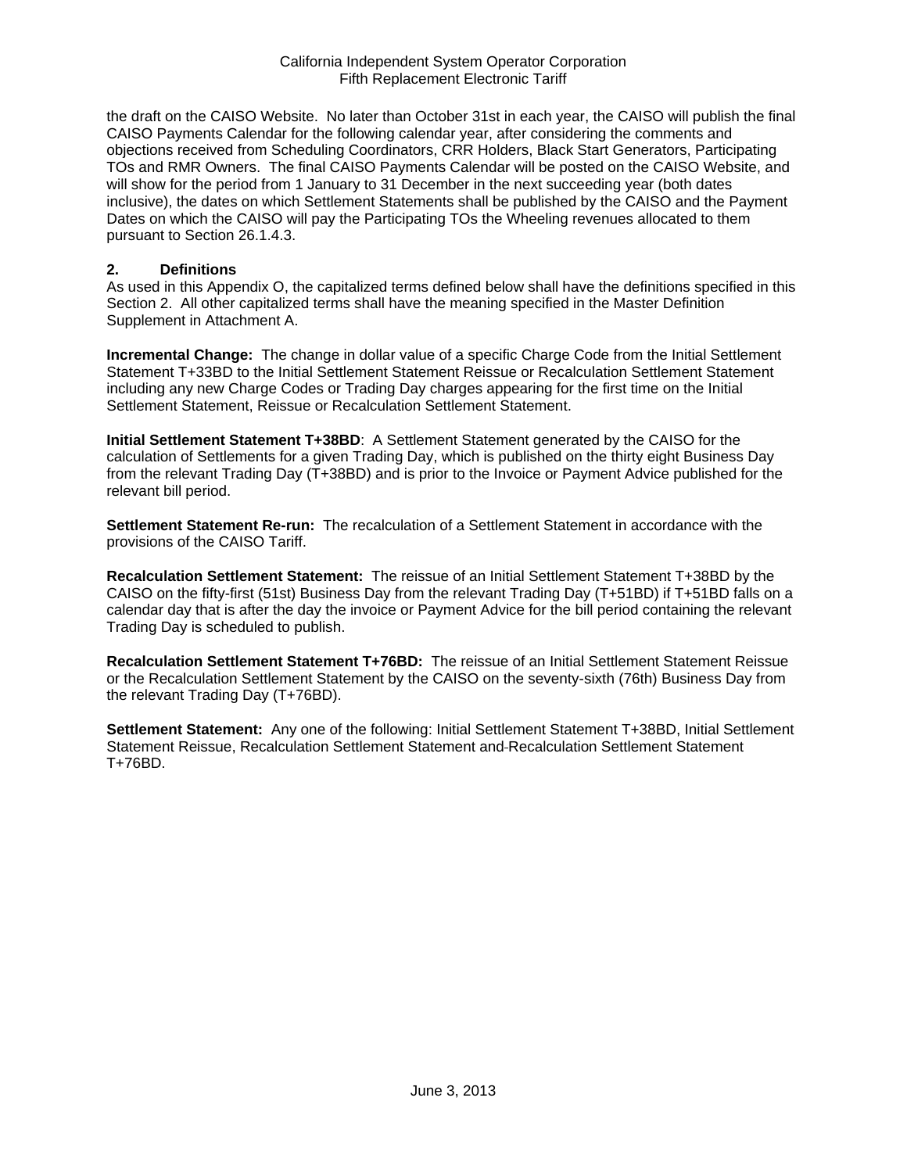the draft on the CAISO Website. No later than October 31st in each year, the CAISO will publish the final CAISO Payments Calendar for the following calendar year, after considering the comments and objections received from Scheduling Coordinators, CRR Holders, Black Start Generators, Participating TOs and RMR Owners. The final CAISO Payments Calendar will be posted on the CAISO Website, and will show for the period from 1 January to 31 December in the next succeeding year (both dates inclusive), the dates on which Settlement Statements shall be published by the CAISO and the Payment Dates on which the CAISO will pay the Participating TOs the Wheeling revenues allocated to them pursuant to Section 26.1.4.3.

#### **2. Definitions**

As used in this Appendix O, the capitalized terms defined below shall have the definitions specified in this Section 2. All other capitalized terms shall have the meaning specified in the Master Definition Supplement in Attachment A.

**Incremental Change:** The change in dollar value of a specific Charge Code from the Initial Settlement Statement T+33BD to the Initial Settlement Statement Reissue or Recalculation Settlement Statement including any new Charge Codes or Trading Day charges appearing for the first time on the Initial Settlement Statement, Reissue or Recalculation Settlement Statement.

**Initial Settlement Statement T+38BD**: A Settlement Statement generated by the CAISO for the calculation of Settlements for a given Trading Day, which is published on the thirty eight Business Day from the relevant Trading Day (T+38BD) and is prior to the Invoice or Payment Advice published for the relevant bill period.

**Settlement Statement Re-run:** The recalculation of a Settlement Statement in accordance with the provisions of the CAISO Tariff.

**Recalculation Settlement Statement:** The reissue of an Initial Settlement Statement T+38BD by the CAISO on the fifty-first (51st) Business Day from the relevant Trading Day (T+51BD) if T+51BD falls on a calendar day that is after the day the invoice or Payment Advice for the bill period containing the relevant Trading Day is scheduled to publish.

**Recalculation Settlement Statement T+76BD:** The reissue of an Initial Settlement Statement Reissue or the Recalculation Settlement Statement by the CAISO on the seventy-sixth (76th) Business Day from the relevant Trading Day (T+76BD).

**Settlement Statement:** Any one of the following: Initial Settlement Statement T+38BD, Initial Settlement Statement Reissue, Recalculation Settlement Statement and Recalculation Settlement Statement T+76BD.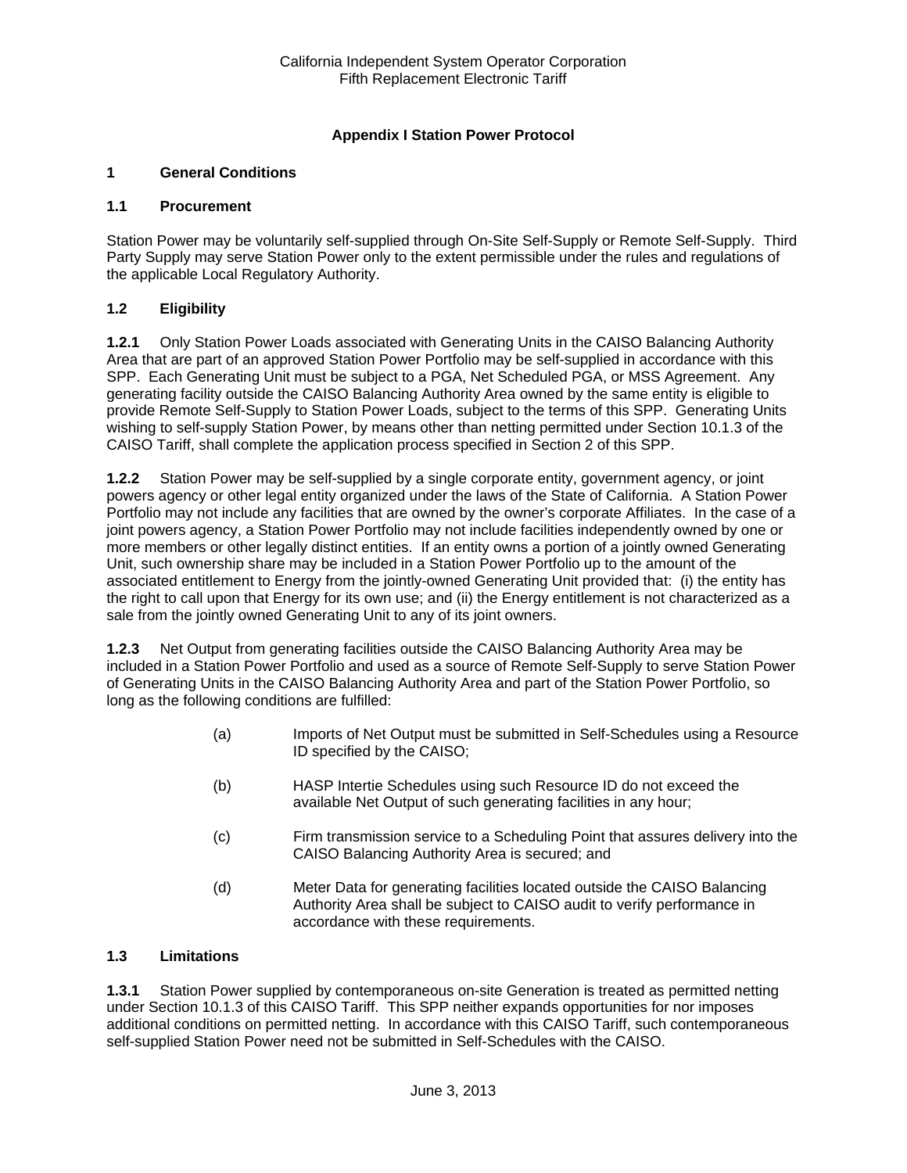# **Appendix I Station Power Protocol**

# **1 General Conditions**

#### **1.1 Procurement**

Station Power may be voluntarily self-supplied through On-Site Self-Supply or Remote Self-Supply. Third Party Supply may serve Station Power only to the extent permissible under the rules and regulations of the applicable Local Regulatory Authority.

## **1.2 Eligibility**

**1.2.1** Only Station Power Loads associated with Generating Units in the CAISO Balancing Authority Area that are part of an approved Station Power Portfolio may be self-supplied in accordance with this SPP. Each Generating Unit must be subject to a PGA, Net Scheduled PGA, or MSS Agreement. Any generating facility outside the CAISO Balancing Authority Area owned by the same entity is eligible to provide Remote Self-Supply to Station Power Loads, subject to the terms of this SPP. Generating Units wishing to self-supply Station Power, by means other than netting permitted under Section 10.1.3 of the CAISO Tariff, shall complete the application process specified in Section 2 of this SPP.

**1.2.2** Station Power may be self-supplied by a single corporate entity, government agency, or joint powers agency or other legal entity organized under the laws of the State of California. A Station Power Portfolio may not include any facilities that are owned by the owner's corporate Affiliates. In the case of a joint powers agency, a Station Power Portfolio may not include facilities independently owned by one or more members or other legally distinct entities. If an entity owns a portion of a jointly owned Generating Unit, such ownership share may be included in a Station Power Portfolio up to the amount of the associated entitlement to Energy from the jointly-owned Generating Unit provided that: (i) the entity has the right to call upon that Energy for its own use; and (ii) the Energy entitlement is not characterized as a sale from the jointly owned Generating Unit to any of its joint owners.

**1.2.3** Net Output from generating facilities outside the CAISO Balancing Authority Area may be included in a Station Power Portfolio and used as a source of Remote Self-Supply to serve Station Power of Generating Units in the CAISO Balancing Authority Area and part of the Station Power Portfolio, so long as the following conditions are fulfilled:

- (a) Imports of Net Output must be submitted in Self-Schedules using a Resource ID specified by the CAISO;
- (b) HASP Intertie Schedules using such Resource ID do not exceed the available Net Output of such generating facilities in any hour;
- (c) Firm transmission service to a Scheduling Point that assures delivery into the CAISO Balancing Authority Area is secured; and
- (d) Meter Data for generating facilities located outside the CAISO Balancing Authority Area shall be subject to CAISO audit to verify performance in accordance with these requirements.

## **1.3 Limitations**

**1.3.1** Station Power supplied by contemporaneous on-site Generation is treated as permitted netting under Section 10.1.3 of this CAISO Tariff. This SPP neither expands opportunities for nor imposes additional conditions on permitted netting. In accordance with this CAISO Tariff, such contemporaneous self-supplied Station Power need not be submitted in Self-Schedules with the CAISO.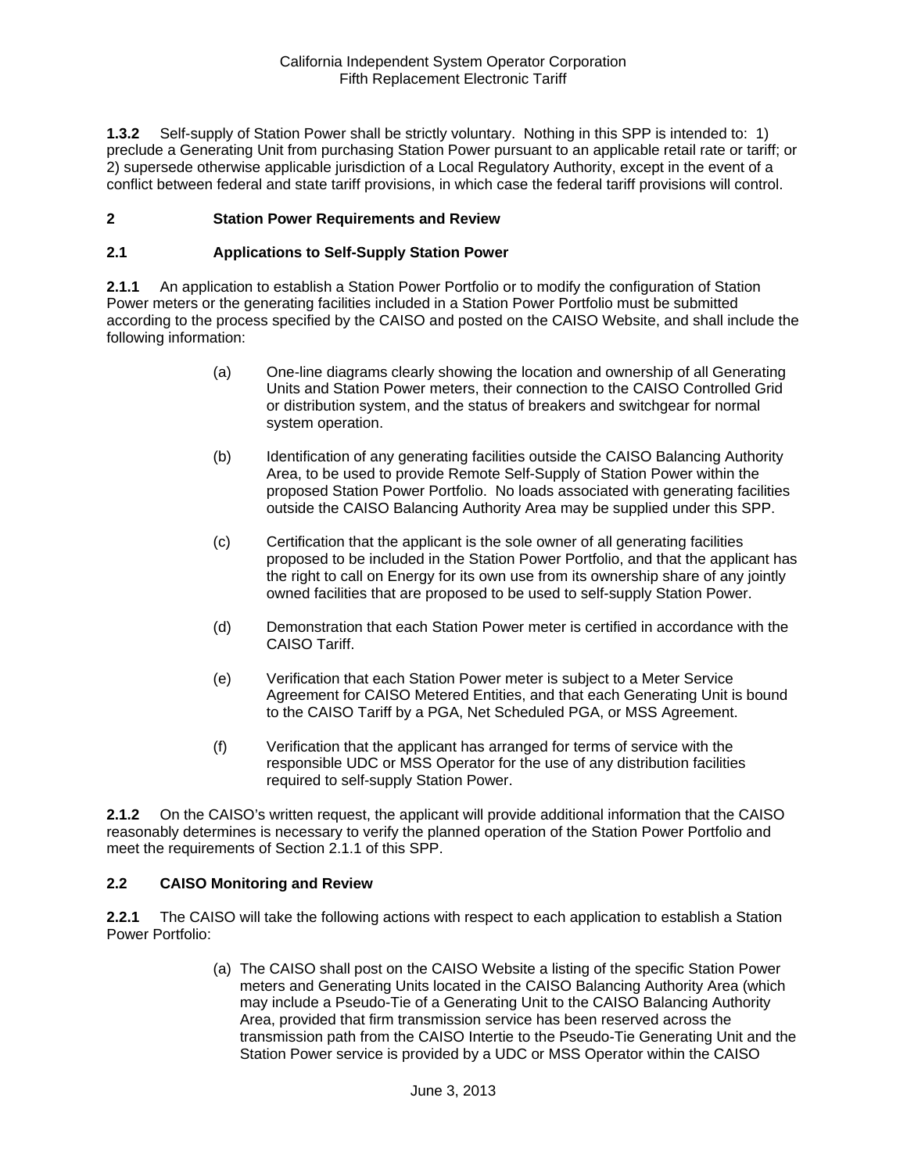**1.3.2** Self-supply of Station Power shall be strictly voluntary. Nothing in this SPP is intended to: 1) preclude a Generating Unit from purchasing Station Power pursuant to an applicable retail rate or tariff; or 2) supersede otherwise applicable jurisdiction of a Local Regulatory Authority, except in the event of a conflict between federal and state tariff provisions, in which case the federal tariff provisions will control.

## **2 Station Power Requirements and Review**

#### **2.1 Applications to Self-Supply Station Power**

**2.1.1** An application to establish a Station Power Portfolio or to modify the configuration of Station Power meters or the generating facilities included in a Station Power Portfolio must be submitted according to the process specified by the CAISO and posted on the CAISO Website, and shall include the following information:

- (a) One-line diagrams clearly showing the location and ownership of all Generating Units and Station Power meters, their connection to the CAISO Controlled Grid or distribution system, and the status of breakers and switchgear for normal system operation.
- (b) Identification of any generating facilities outside the CAISO Balancing Authority Area, to be used to provide Remote Self-Supply of Station Power within the proposed Station Power Portfolio. No loads associated with generating facilities outside the CAISO Balancing Authority Area may be supplied under this SPP.
- (c) Certification that the applicant is the sole owner of all generating facilities proposed to be included in the Station Power Portfolio, and that the applicant has the right to call on Energy for its own use from its ownership share of any jointly owned facilities that are proposed to be used to self-supply Station Power.
- (d) Demonstration that each Station Power meter is certified in accordance with the CAISO Tariff.
- (e) Verification that each Station Power meter is subject to a Meter Service Agreement for CAISO Metered Entities, and that each Generating Unit is bound to the CAISO Tariff by a PGA, Net Scheduled PGA, or MSS Agreement.
- (f) Verification that the applicant has arranged for terms of service with the responsible UDC or MSS Operator for the use of any distribution facilities required to self-supply Station Power.

**2.1.2** On the CAISO's written request, the applicant will provide additional information that the CAISO reasonably determines is necessary to verify the planned operation of the Station Power Portfolio and meet the requirements of Section 2.1.1 of this SPP.

#### **2.2 CAISO Monitoring and Review**

**2.2.1** The CAISO will take the following actions with respect to each application to establish a Station Power Portfolio:

> (a) The CAISO shall post on the CAISO Website a listing of the specific Station Power meters and Generating Units located in the CAISO Balancing Authority Area (which may include a Pseudo-Tie of a Generating Unit to the CAISO Balancing Authority Area, provided that firm transmission service has been reserved across the transmission path from the CAISO Intertie to the Pseudo-Tie Generating Unit and the Station Power service is provided by a UDC or MSS Operator within the CAISO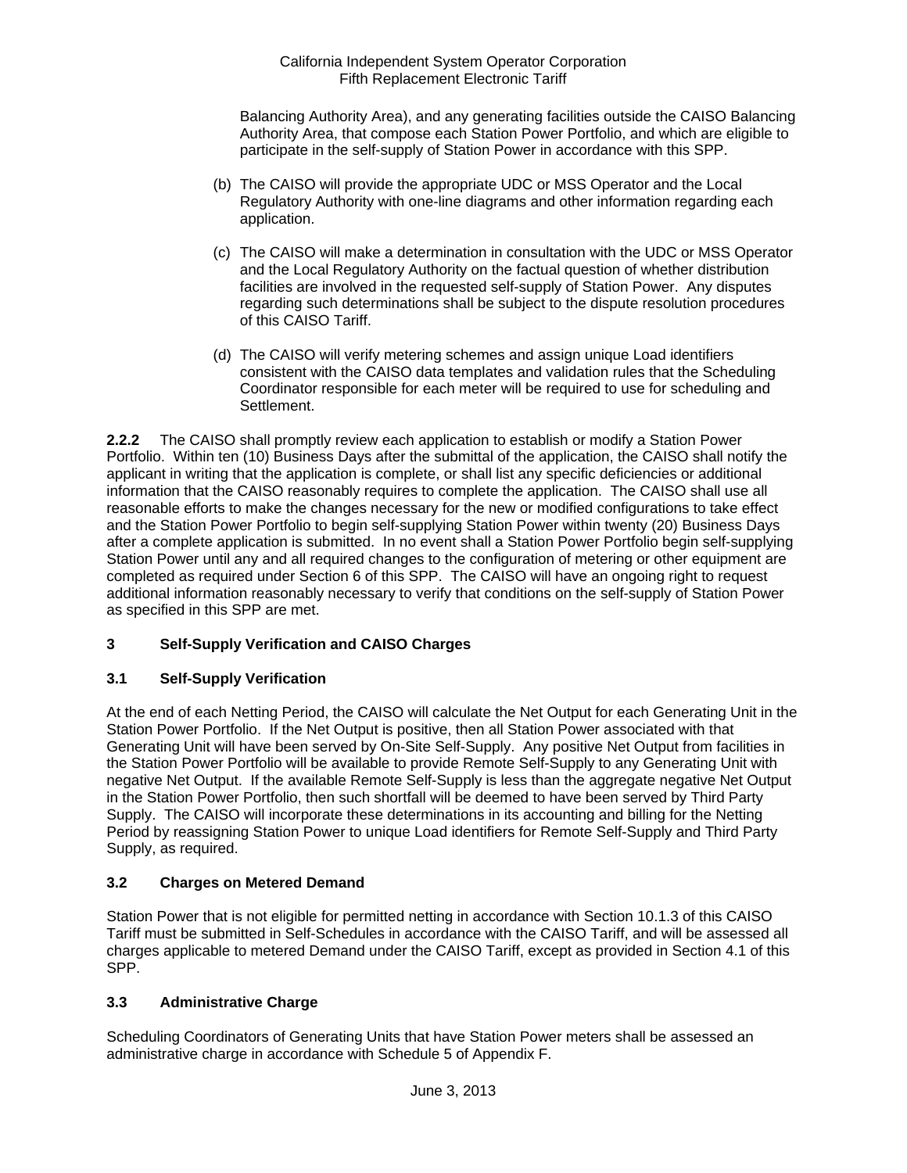Balancing Authority Area), and any generating facilities outside the CAISO Balancing Authority Area, that compose each Station Power Portfolio, and which are eligible to participate in the self-supply of Station Power in accordance with this SPP.

- (b) The CAISO will provide the appropriate UDC or MSS Operator and the Local Regulatory Authority with one-line diagrams and other information regarding each application.
- (c) The CAISO will make a determination in consultation with the UDC or MSS Operator and the Local Regulatory Authority on the factual question of whether distribution facilities are involved in the requested self-supply of Station Power. Any disputes regarding such determinations shall be subject to the dispute resolution procedures of this CAISO Tariff.
- (d) The CAISO will verify metering schemes and assign unique Load identifiers consistent with the CAISO data templates and validation rules that the Scheduling Coordinator responsible for each meter will be required to use for scheduling and Settlement.

**2.2.2** The CAISO shall promptly review each application to establish or modify a Station Power Portfolio. Within ten (10) Business Days after the submittal of the application, the CAISO shall notify the applicant in writing that the application is complete, or shall list any specific deficiencies or additional information that the CAISO reasonably requires to complete the application. The CAISO shall use all reasonable efforts to make the changes necessary for the new or modified configurations to take effect and the Station Power Portfolio to begin self-supplying Station Power within twenty (20) Business Days after a complete application is submitted. In no event shall a Station Power Portfolio begin self-supplying Station Power until any and all required changes to the configuration of metering or other equipment are completed as required under Section 6 of this SPP. The CAISO will have an ongoing right to request additional information reasonably necessary to verify that conditions on the self-supply of Station Power as specified in this SPP are met.

# **3 Self-Supply Verification and CAISO Charges**

# **3.1 Self-Supply Verification**

At the end of each Netting Period, the CAISO will calculate the Net Output for each Generating Unit in the Station Power Portfolio. If the Net Output is positive, then all Station Power associated with that Generating Unit will have been served by On-Site Self-Supply. Any positive Net Output from facilities in the Station Power Portfolio will be available to provide Remote Self-Supply to any Generating Unit with negative Net Output. If the available Remote Self-Supply is less than the aggregate negative Net Output in the Station Power Portfolio, then such shortfall will be deemed to have been served by Third Party Supply. The CAISO will incorporate these determinations in its accounting and billing for the Netting Period by reassigning Station Power to unique Load identifiers for Remote Self-Supply and Third Party Supply, as required.

# **3.2 Charges on Metered Demand**

Station Power that is not eligible for permitted netting in accordance with Section 10.1.3 of this CAISO Tariff must be submitted in Self-Schedules in accordance with the CAISO Tariff, and will be assessed all charges applicable to metered Demand under the CAISO Tariff, except as provided in Section 4.1 of this SPP.

## **3.3 Administrative Charge**

Scheduling Coordinators of Generating Units that have Station Power meters shall be assessed an administrative charge in accordance with Schedule 5 of Appendix F.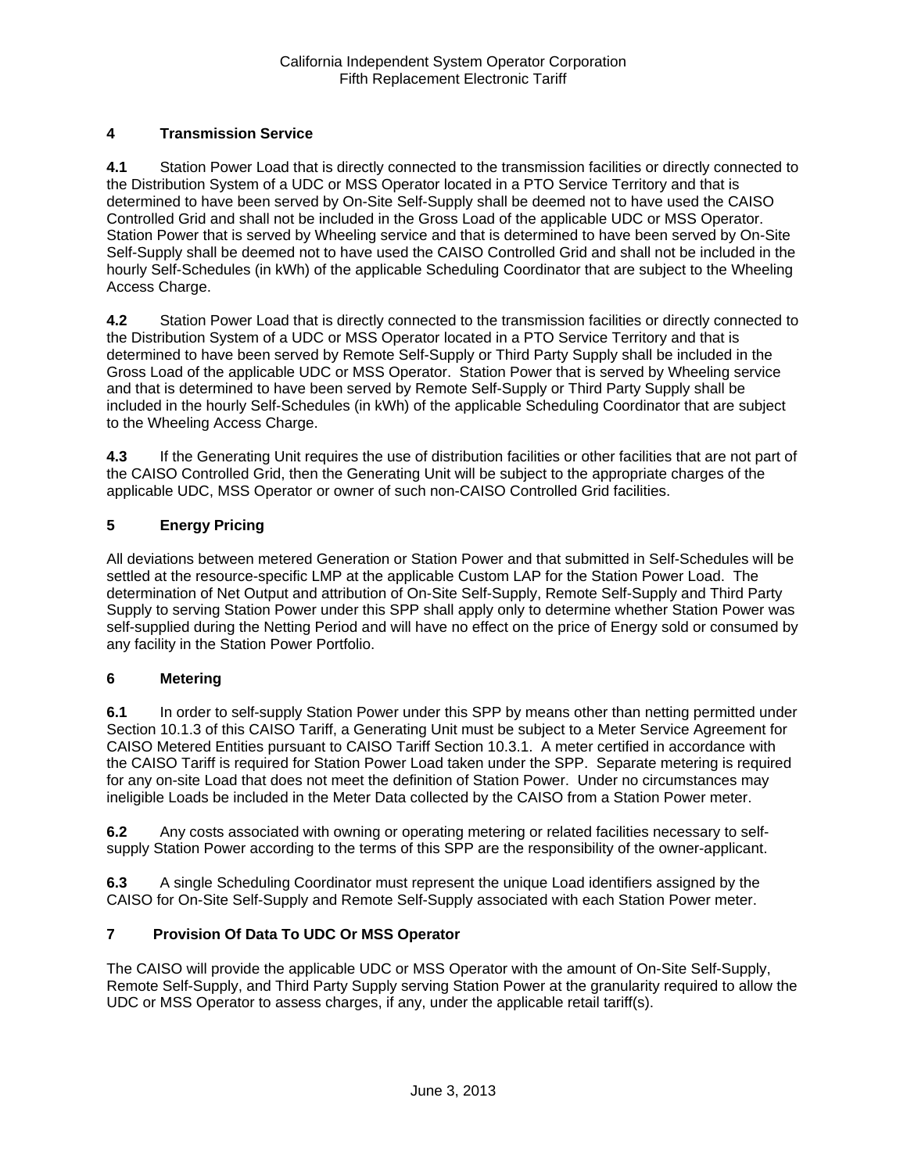# **4 Transmission Service**

**4.1** Station Power Load that is directly connected to the transmission facilities or directly connected to the Distribution System of a UDC or MSS Operator located in a PTO Service Territory and that is determined to have been served by On-Site Self-Supply shall be deemed not to have used the CAISO Controlled Grid and shall not be included in the Gross Load of the applicable UDC or MSS Operator. Station Power that is served by Wheeling service and that is determined to have been served by On-Site Self-Supply shall be deemed not to have used the CAISO Controlled Grid and shall not be included in the hourly Self-Schedules (in kWh) of the applicable Scheduling Coordinator that are subject to the Wheeling Access Charge.

**4.2** Station Power Load that is directly connected to the transmission facilities or directly connected to the Distribution System of a UDC or MSS Operator located in a PTO Service Territory and that is determined to have been served by Remote Self-Supply or Third Party Supply shall be included in the Gross Load of the applicable UDC or MSS Operator. Station Power that is served by Wheeling service and that is determined to have been served by Remote Self-Supply or Third Party Supply shall be included in the hourly Self-Schedules (in kWh) of the applicable Scheduling Coordinator that are subject to the Wheeling Access Charge.

**4.3** If the Generating Unit requires the use of distribution facilities or other facilities that are not part of the CAISO Controlled Grid, then the Generating Unit will be subject to the appropriate charges of the applicable UDC, MSS Operator or owner of such non-CAISO Controlled Grid facilities.

# **5 Energy Pricing**

All deviations between metered Generation or Station Power and that submitted in Self-Schedules will be settled at the resource-specific LMP at the applicable Custom LAP for the Station Power Load. The determination of Net Output and attribution of On-Site Self-Supply, Remote Self-Supply and Third Party Supply to serving Station Power under this SPP shall apply only to determine whether Station Power was self-supplied during the Netting Period and will have no effect on the price of Energy sold or consumed by any facility in the Station Power Portfolio.

## **6 Metering**

**6.1** In order to self-supply Station Power under this SPP by means other than netting permitted under Section 10.1.3 of this CAISO Tariff, a Generating Unit must be subject to a Meter Service Agreement for CAISO Metered Entities pursuant to CAISO Tariff Section 10.3.1. A meter certified in accordance with the CAISO Tariff is required for Station Power Load taken under the SPP. Separate metering is required for any on-site Load that does not meet the definition of Station Power. Under no circumstances may ineligible Loads be included in the Meter Data collected by the CAISO from a Station Power meter.

**6.2** Any costs associated with owning or operating metering or related facilities necessary to selfsupply Station Power according to the terms of this SPP are the responsibility of the owner-applicant.

**6.3** A single Scheduling Coordinator must represent the unique Load identifiers assigned by the CAISO for On-Site Self-Supply and Remote Self-Supply associated with each Station Power meter.

## **7 Provision Of Data To UDC Or MSS Operator**

The CAISO will provide the applicable UDC or MSS Operator with the amount of On-Site Self-Supply, Remote Self-Supply, and Third Party Supply serving Station Power at the granularity required to allow the UDC or MSS Operator to assess charges, if any, under the applicable retail tariff(s).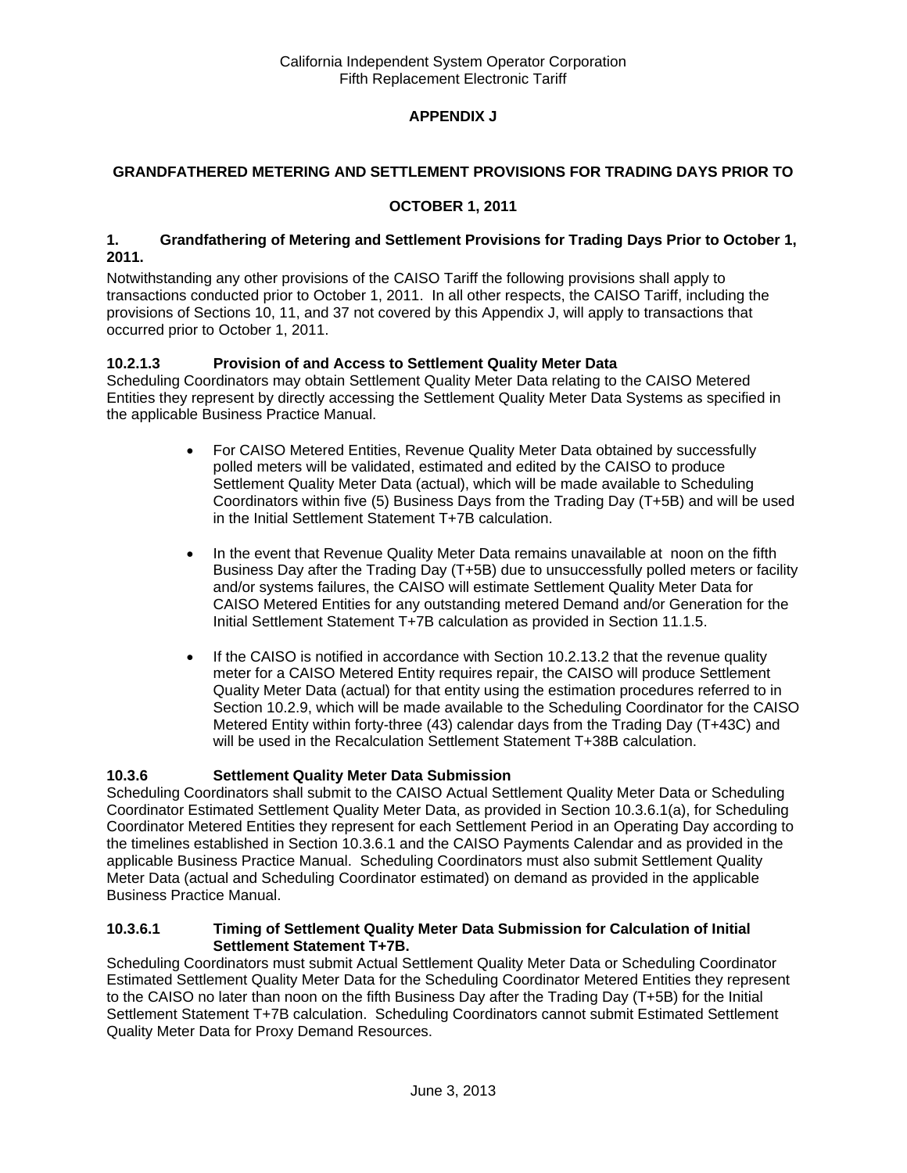# **APPENDIX J**

## **GRANDFATHERED METERING AND SETTLEMENT PROVISIONS FOR TRADING DAYS PRIOR TO**

## **OCTOBER 1, 2011**

#### **1. Grandfathering of Metering and Settlement Provisions for Trading Days Prior to October 1, 2011.**

Notwithstanding any other provisions of the CAISO Tariff the following provisions shall apply to transactions conducted prior to October 1, 2011. In all other respects, the CAISO Tariff, including the provisions of Sections 10, 11, and 37 not covered by this Appendix J, will apply to transactions that occurred prior to October 1, 2011.

# **10.2.1.3 Provision of and Access to Settlement Quality Meter Data**

Scheduling Coordinators may obtain Settlement Quality Meter Data relating to the CAISO Metered Entities they represent by directly accessing the Settlement Quality Meter Data Systems as specified in the applicable Business Practice Manual.

- For CAISO Metered Entities, Revenue Quality Meter Data obtained by successfully polled meters will be validated, estimated and edited by the CAISO to produce Settlement Quality Meter Data (actual), which will be made available to Scheduling Coordinators within five (5) Business Days from the Trading Day (T+5B) and will be used in the Initial Settlement Statement T+7B calculation.
- In the event that Revenue Quality Meter Data remains unavailable at noon on the fifth Business Day after the Trading Day (T+5B) due to unsuccessfully polled meters or facility and/or systems failures, the CAISO will estimate Settlement Quality Meter Data for CAISO Metered Entities for any outstanding metered Demand and/or Generation for the Initial Settlement Statement T+7B calculation as provided in Section 11.1.5.
- $\bullet$  If the CAISO is notified in accordance with Section 10.2.13.2 that the revenue quality meter for a CAISO Metered Entity requires repair, the CAISO will produce Settlement Quality Meter Data (actual) for that entity using the estimation procedures referred to in Section 10.2.9, which will be made available to the Scheduling Coordinator for the CAISO Metered Entity within forty-three (43) calendar days from the Trading Day (T+43C) and will be used in the Recalculation Settlement Statement T+38B calculation.

## **10.3.6 Settlement Quality Meter Data Submission**

Scheduling Coordinators shall submit to the CAISO Actual Settlement Quality Meter Data or Scheduling Coordinator Estimated Settlement Quality Meter Data, as provided in Section 10.3.6.1(a), for Scheduling Coordinator Metered Entities they represent for each Settlement Period in an Operating Day according to the timelines established in Section 10.3.6.1 and the CAISO Payments Calendar and as provided in the applicable Business Practice Manual. Scheduling Coordinators must also submit Settlement Quality Meter Data (actual and Scheduling Coordinator estimated) on demand as provided in the applicable Business Practice Manual.

#### **10.3.6.1 Timing of Settlement Quality Meter Data Submission for Calculation of Initial Settlement Statement T+7B.**

Scheduling Coordinators must submit Actual Settlement Quality Meter Data or Scheduling Coordinator Estimated Settlement Quality Meter Data for the Scheduling Coordinator Metered Entities they represent to the CAISO no later than noon on the fifth Business Day after the Trading Day (T+5B) for the Initial Settlement Statement T+7B calculation. Scheduling Coordinators cannot submit Estimated Settlement Quality Meter Data for Proxy Demand Resources.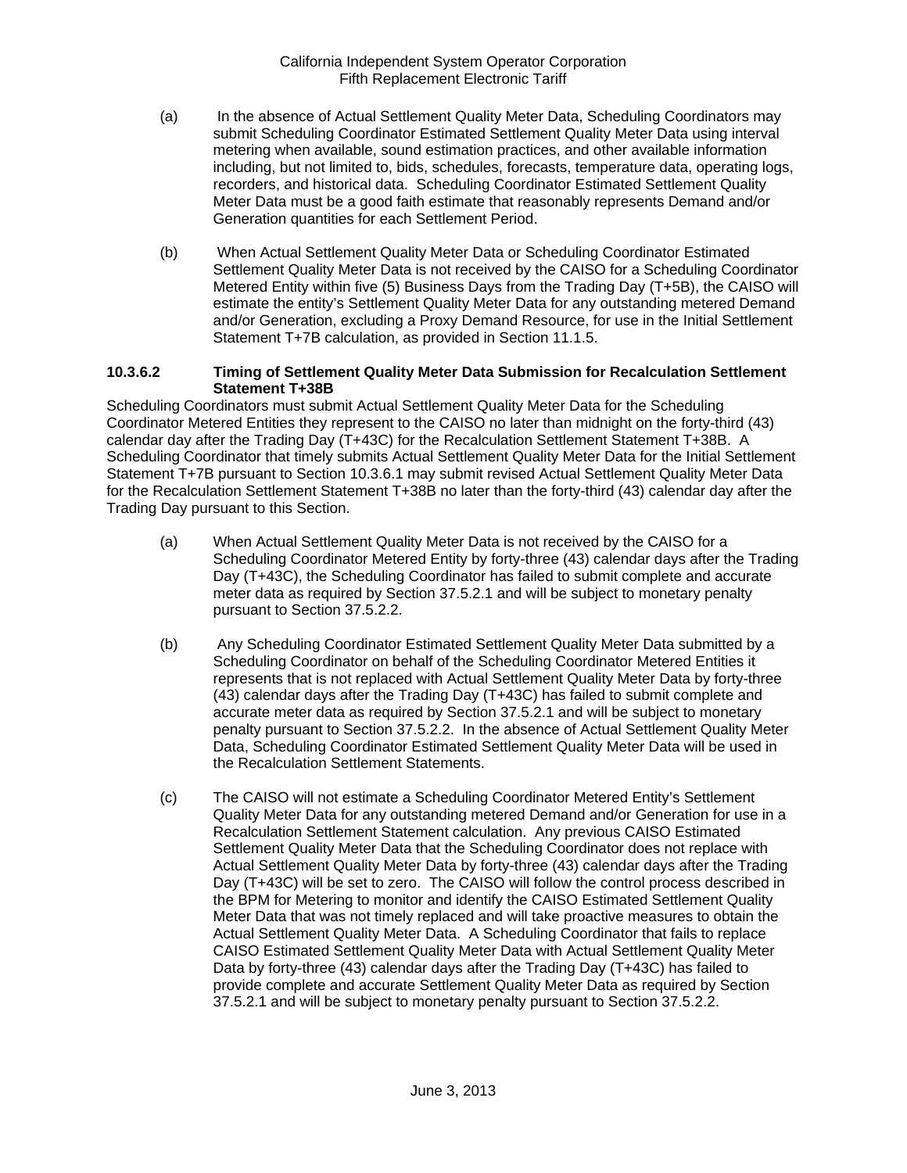- (a) In the absence of Actual Settlement Quality Meter Data, Scheduling Coordinators may submit Scheduling Coordinator Estimated Settlement Quality Meter Data using interval metering when available, sound estimation practices, and other available information including, but not limited to, bids, schedules, forecasts, temperature data, operating logs, recorders, and historical data. Scheduling Coordinator Estimated Settlement Quality Meter Data must be a good faith estimate that reasonably represents Demand and/or Generation quantities for each Settlement Period.
- (b) When Actual Settlement Quality Meter Data or Scheduling Coordinator Estimated Settlement Quality Meter Data is not received by the CAISO for a Scheduling Coordinator Metered Entity within five (5) Business Days from the Trading Day (T+5B), the CAISO will estimate the entity's Settlement Quality Meter Data for any outstanding metered Demand and/or Generation, excluding a Proxy Demand Resource, for use in the Initial Settlement Statement T+7B calculation, as provided in Section 11.1.5.

#### **10.3.6.2 Timing of Settlement Quality Meter Data Submission for Recalculation Settlement Statement T+38B**

Scheduling Coordinators must submit Actual Settlement Quality Meter Data for the Scheduling Coordinator Metered Entities they represent to the CAISO no later than midnight on the forty-third (43) calendar day after the Trading Day (T+43C) for the Recalculation Settlement Statement T+38B. A Scheduling Coordinator that timely submits Actual Settlement Quality Meter Data for the Initial Settlement Statement T+7B pursuant to Section 10.3.6.1 may submit revised Actual Settlement Quality Meter Data for the Recalculation Settlement Statement T+38B no later than the forty-third (43) calendar day after the Trading Day pursuant to this Section.

- (a) When Actual Settlement Quality Meter Data is not received by the CAISO for a Scheduling Coordinator Metered Entity by forty-three (43) calendar days after the Trading Day (T+43C), the Scheduling Coordinator has failed to submit complete and accurate meter data as required by Section 37.5.2.1 and will be subject to monetary penalty pursuant to Section 37.5.2.2.
- (b) Any Scheduling Coordinator Estimated Settlement Quality Meter Data submitted by a Scheduling Coordinator on behalf of the Scheduling Coordinator Metered Entities it represents that is not replaced with Actual Settlement Quality Meter Data by forty-three (43) calendar days after the Trading Day (T+43C) has failed to submit complete and accurate meter data as required by Section 37.5.2.1 and will be subject to monetary penalty pursuant to Section 37.5.2.2. In the absence of Actual Settlement Quality Meter Data, Scheduling Coordinator Estimated Settlement Quality Meter Data will be used in the Recalculation Settlement Statements.
- (c) The CAISO will not estimate a Scheduling Coordinator Metered Entity's Settlement Quality Meter Data for any outstanding metered Demand and/or Generation for use in a Recalculation Settlement Statement calculation. Any previous CAISO Estimated Settlement Quality Meter Data that the Scheduling Coordinator does not replace with Actual Settlement Quality Meter Data by forty-three (43) calendar days after the Trading Day (T+43C) will be set to zero. The CAISO will follow the control process described in the BPM for Metering to monitor and identify the CAISO Estimated Settlement Quality Meter Data that was not timely replaced and will take proactive measures to obtain the Actual Settlement Quality Meter Data. A Scheduling Coordinator that fails to replace CAISO Estimated Settlement Quality Meter Data with Actual Settlement Quality Meter Data by forty-three (43) calendar days after the Trading Day (T+43C) has failed to provide complete and accurate Settlement Quality Meter Data as required by Section 37.5.2.1 and will be subject to monetary penalty pursuant to Section 37.5.2.2.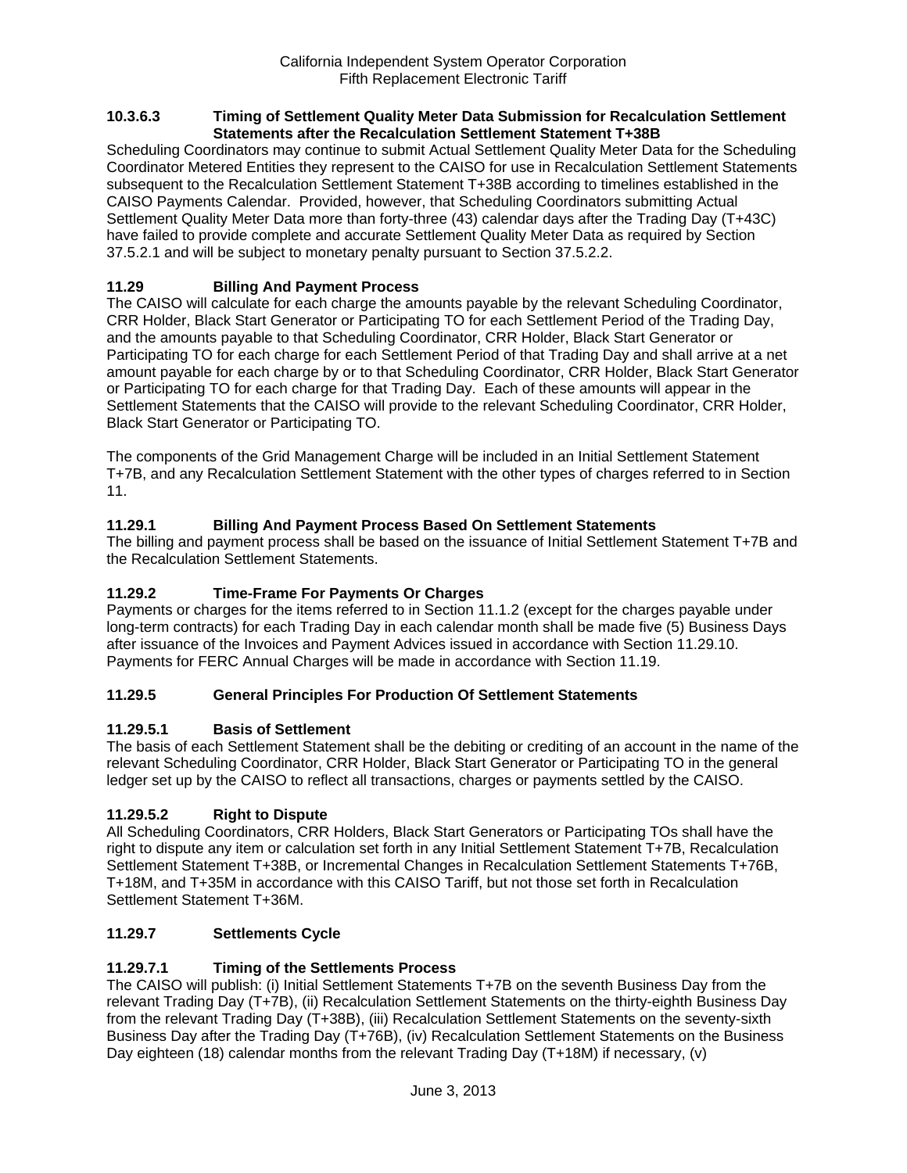#### **10.3.6.3 Timing of Settlement Quality Meter Data Submission for Recalculation Settlement Statements after the Recalculation Settlement Statement T+38B**

Scheduling Coordinators may continue to submit Actual Settlement Quality Meter Data for the Scheduling Coordinator Metered Entities they represent to the CAISO for use in Recalculation Settlement Statements subsequent to the Recalculation Settlement Statement T+38B according to timelines established in the CAISO Payments Calendar. Provided, however, that Scheduling Coordinators submitting Actual Settlement Quality Meter Data more than forty-three (43) calendar days after the Trading Day (T+43C) have failed to provide complete and accurate Settlement Quality Meter Data as required by Section 37.5.2.1 and will be subject to monetary penalty pursuant to Section 37.5.2.2.

# **11.29 Billing And Payment Process**

The CAISO will calculate for each charge the amounts payable by the relevant Scheduling Coordinator, CRR Holder, Black Start Generator or Participating TO for each Settlement Period of the Trading Day, and the amounts payable to that Scheduling Coordinator, CRR Holder, Black Start Generator or Participating TO for each charge for each Settlement Period of that Trading Day and shall arrive at a net amount payable for each charge by or to that Scheduling Coordinator, CRR Holder, Black Start Generator or Participating TO for each charge for that Trading Day. Each of these amounts will appear in the Settlement Statements that the CAISO will provide to the relevant Scheduling Coordinator, CRR Holder, Black Start Generator or Participating TO.

The components of the Grid Management Charge will be included in an Initial Settlement Statement T+7B, and any Recalculation Settlement Statement with the other types of charges referred to in Section 11.

# **11.29.1 Billing And Payment Process Based On Settlement Statements**

The billing and payment process shall be based on the issuance of Initial Settlement Statement T+7B and the Recalculation Settlement Statements.

## **11.29.2 Time-Frame For Payments Or Charges**

Payments or charges for the items referred to in Section 11.1.2 (except for the charges payable under long-term contracts) for each Trading Day in each calendar month shall be made five (5) Business Days after issuance of the Invoices and Payment Advices issued in accordance with Section 11.29.10. Payments for FERC Annual Charges will be made in accordance with Section 11.19.

## **11.29.5 General Principles For Production Of Settlement Statements**

## **11.29.5.1 Basis of Settlement**

The basis of each Settlement Statement shall be the debiting or crediting of an account in the name of the relevant Scheduling Coordinator, CRR Holder, Black Start Generator or Participating TO in the general ledger set up by the CAISO to reflect all transactions, charges or payments settled by the CAISO.

## **11.29.5.2 Right to Dispute**

All Scheduling Coordinators, CRR Holders, Black Start Generators or Participating TOs shall have the right to dispute any item or calculation set forth in any Initial Settlement Statement T+7B, Recalculation Settlement Statement T+38B, or Incremental Changes in Recalculation Settlement Statements T+76B, T+18M, and T+35M in accordance with this CAISO Tariff, but not those set forth in Recalculation Settlement Statement T+36M.

## **11.29.7 Settlements Cycle**

## **11.29.7.1 Timing of the Settlements Process**

The CAISO will publish: (i) Initial Settlement Statements T+7B on the seventh Business Day from the relevant Trading Day (T+7B), (ii) Recalculation Settlement Statements on the thirty-eighth Business Day from the relevant Trading Day (T+38B), (iii) Recalculation Settlement Statements on the seventy-sixth Business Day after the Trading Day (T+76B), (iv) Recalculation Settlement Statements on the Business Day eighteen (18) calendar months from the relevant Trading Day (T+18M) if necessary, (v)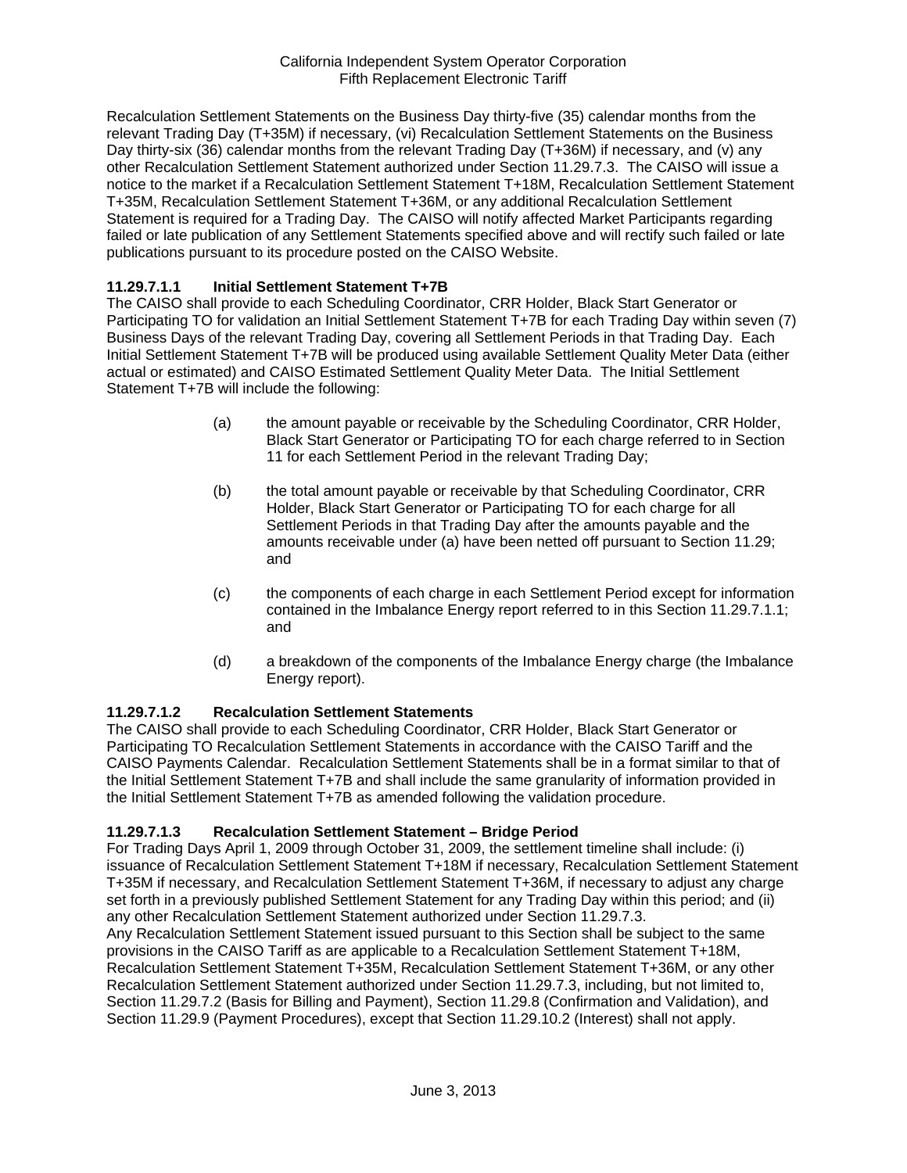Recalculation Settlement Statements on the Business Day thirty-five (35) calendar months from the relevant Trading Day (T+35M) if necessary, (vi) Recalculation Settlement Statements on the Business Day thirty-six (36) calendar months from the relevant Trading Day (T+36M) if necessary, and (v) any other Recalculation Settlement Statement authorized under Section 11.29.7.3. The CAISO will issue a notice to the market if a Recalculation Settlement Statement T+18M, Recalculation Settlement Statement T+35M, Recalculation Settlement Statement T+36M, or any additional Recalculation Settlement Statement is required for a Trading Day. The CAISO will notify affected Market Participants regarding failed or late publication of any Settlement Statements specified above and will rectify such failed or late publications pursuant to its procedure posted on the CAISO Website.

# **11.29.7.1.1 Initial Settlement Statement T+7B**

The CAISO shall provide to each Scheduling Coordinator, CRR Holder, Black Start Generator or Participating TO for validation an Initial Settlement Statement T+7B for each Trading Day within seven (7) Business Days of the relevant Trading Day, covering all Settlement Periods in that Trading Day. Each Initial Settlement Statement T+7B will be produced using available Settlement Quality Meter Data (either actual or estimated) and CAISO Estimated Settlement Quality Meter Data. The Initial Settlement Statement T+7B will include the following:

- (a) the amount payable or receivable by the Scheduling Coordinator, CRR Holder, Black Start Generator or Participating TO for each charge referred to in Section 11 for each Settlement Period in the relevant Trading Day;
- (b) the total amount payable or receivable by that Scheduling Coordinator, CRR Holder, Black Start Generator or Participating TO for each charge for all Settlement Periods in that Trading Day after the amounts payable and the amounts receivable under (a) have been netted off pursuant to Section 11.29; and
- (c) the components of each charge in each Settlement Period except for information contained in the Imbalance Energy report referred to in this Section 11.29.7.1.1; and
- (d) a breakdown of the components of the Imbalance Energy charge (the Imbalance Energy report).

## **11.29.7.1.2 Recalculation Settlement Statements**

The CAISO shall provide to each Scheduling Coordinator, CRR Holder, Black Start Generator or Participating TO Recalculation Settlement Statements in accordance with the CAISO Tariff and the CAISO Payments Calendar. Recalculation Settlement Statements shall be in a format similar to that of the Initial Settlement Statement T+7B and shall include the same granularity of information provided in the Initial Settlement Statement T+7B as amended following the validation procedure.

# **11.29.7.1.3 Recalculation Settlement Statement – Bridge Period**

For Trading Days April 1, 2009 through October 31, 2009, the settlement timeline shall include: (i) issuance of Recalculation Settlement Statement T+18M if necessary, Recalculation Settlement Statement T+35M if necessary, and Recalculation Settlement Statement T+36M, if necessary to adjust any charge set forth in a previously published Settlement Statement for any Trading Day within this period; and (ii) any other Recalculation Settlement Statement authorized under Section 11.29.7.3.

Any Recalculation Settlement Statement issued pursuant to this Section shall be subject to the same provisions in the CAISO Tariff as are applicable to a Recalculation Settlement Statement T+18M, Recalculation Settlement Statement T+35M, Recalculation Settlement Statement T+36M, or any other Recalculation Settlement Statement authorized under Section 11.29.7.3, including, but not limited to, Section 11.29.7.2 (Basis for Billing and Payment), Section 11.29.8 (Confirmation and Validation), and Section 11.29.9 (Payment Procedures), except that Section 11.29.10.2 (Interest) shall not apply.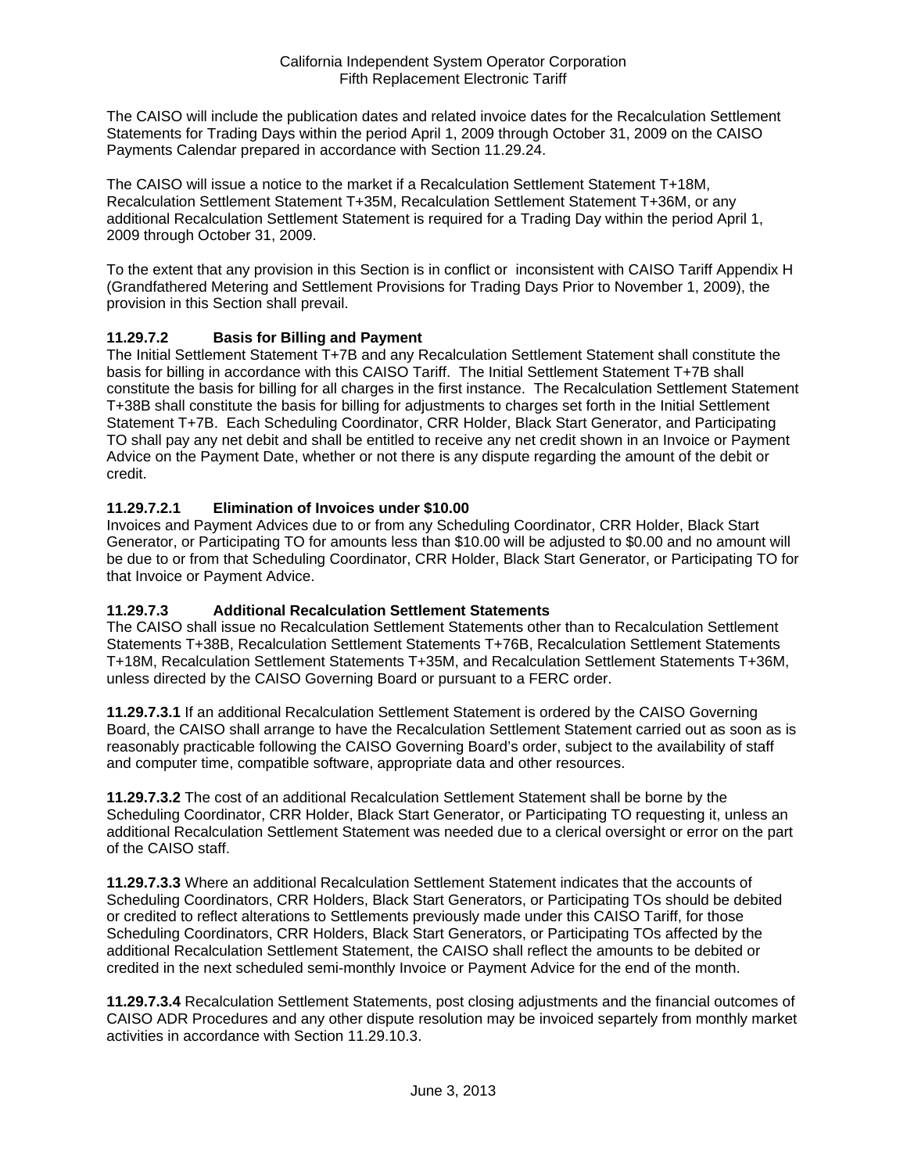The CAISO will include the publication dates and related invoice dates for the Recalculation Settlement Statements for Trading Days within the period April 1, 2009 through October 31, 2009 on the CAISO Payments Calendar prepared in accordance with Section 11.29.24.

The CAISO will issue a notice to the market if a Recalculation Settlement Statement T+18M, Recalculation Settlement Statement T+35M, Recalculation Settlement Statement T+36M, or any additional Recalculation Settlement Statement is required for a Trading Day within the period April 1, 2009 through October 31, 2009.

To the extent that any provision in this Section is in conflict or inconsistent with CAISO Tariff Appendix H (Grandfathered Metering and Settlement Provisions for Trading Days Prior to November 1, 2009), the provision in this Section shall prevail.

# **11.29.7.2 Basis for Billing and Payment**

The Initial Settlement Statement T+7B and any Recalculation Settlement Statement shall constitute the basis for billing in accordance with this CAISO Tariff. The Initial Settlement Statement T+7B shall constitute the basis for billing for all charges in the first instance. The Recalculation Settlement Statement T+38B shall constitute the basis for billing for adjustments to charges set forth in the Initial Settlement Statement T+7B. Each Scheduling Coordinator, CRR Holder, Black Start Generator, and Participating TO shall pay any net debit and shall be entitled to receive any net credit shown in an Invoice or Payment Advice on the Payment Date, whether or not there is any dispute regarding the amount of the debit or credit.

# **11.29.7.2.1 Elimination of Invoices under \$10.00**

Invoices and Payment Advices due to or from any Scheduling Coordinator, CRR Holder, Black Start Generator, or Participating TO for amounts less than \$10.00 will be adjusted to \$0.00 and no amount will be due to or from that Scheduling Coordinator, CRR Holder, Black Start Generator, or Participating TO for that Invoice or Payment Advice.

## **11.29.7.3 Additional Recalculation Settlement Statements**

The CAISO shall issue no Recalculation Settlement Statements other than to Recalculation Settlement Statements T+38B, Recalculation Settlement Statements T+76B, Recalculation Settlement Statements T+18M, Recalculation Settlement Statements T+35M, and Recalculation Settlement Statements T+36M, unless directed by the CAISO Governing Board or pursuant to a FERC order.

**11.29.7.3.1** If an additional Recalculation Settlement Statement is ordered by the CAISO Governing Board, the CAISO shall arrange to have the Recalculation Settlement Statement carried out as soon as is reasonably practicable following the CAISO Governing Board's order, subject to the availability of staff and computer time, compatible software, appropriate data and other resources.

**11.29.7.3.2** The cost of an additional Recalculation Settlement Statement shall be borne by the Scheduling Coordinator, CRR Holder, Black Start Generator, or Participating TO requesting it, unless an additional Recalculation Settlement Statement was needed due to a clerical oversight or error on the part of the CAISO staff.

**11.29.7.3.3** Where an additional Recalculation Settlement Statement indicates that the accounts of Scheduling Coordinators, CRR Holders, Black Start Generators, or Participating TOs should be debited or credited to reflect alterations to Settlements previously made under this CAISO Tariff, for those Scheduling Coordinators, CRR Holders, Black Start Generators, or Participating TOs affected by the additional Recalculation Settlement Statement, the CAISO shall reflect the amounts to be debited or credited in the next scheduled semi-monthly Invoice or Payment Advice for the end of the month.

**11.29.7.3.4** Recalculation Settlement Statements, post closing adjustments and the financial outcomes of CAISO ADR Procedures and any other dispute resolution may be invoiced separtely from monthly market activities in accordance with Section 11.29.10.3.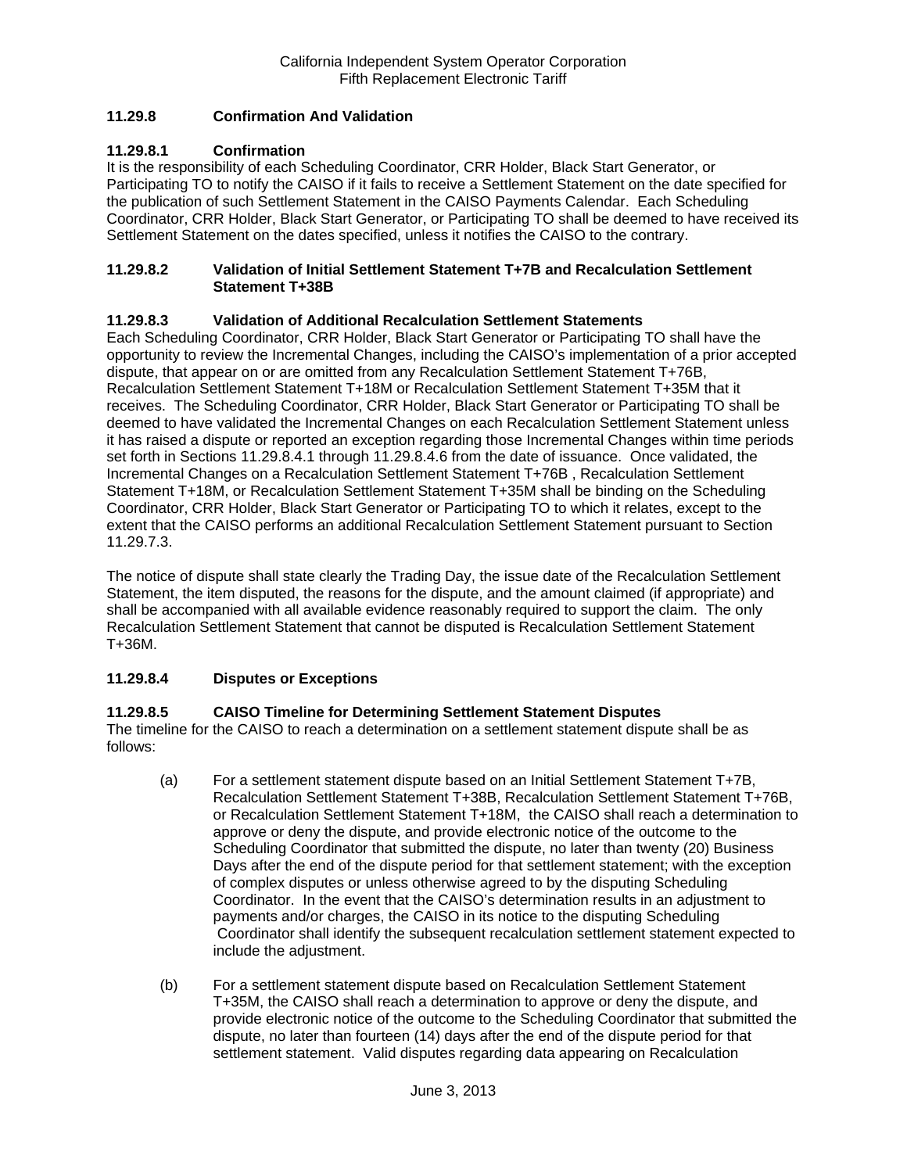# **11.29.8 Confirmation And Validation**

## **11.29.8.1 Confirmation**

It is the responsibility of each Scheduling Coordinator, CRR Holder, Black Start Generator, or Participating TO to notify the CAISO if it fails to receive a Settlement Statement on the date specified for the publication of such Settlement Statement in the CAISO Payments Calendar. Each Scheduling Coordinator, CRR Holder, Black Start Generator, or Participating TO shall be deemed to have received its Settlement Statement on the dates specified, unless it notifies the CAISO to the contrary.

#### **11.29.8.2 Validation of Initial Settlement Statement T+7B and Recalculation Settlement Statement T+38B**

## **11.29.8.3 Validation of Additional Recalculation Settlement Statements**

Each Scheduling Coordinator, CRR Holder, Black Start Generator or Participating TO shall have the opportunity to review the Incremental Changes, including the CAISO's implementation of a prior accepted dispute, that appear on or are omitted from any Recalculation Settlement Statement T+76B, Recalculation Settlement Statement T+18M or Recalculation Settlement Statement T+35M that it receives. The Scheduling Coordinator, CRR Holder, Black Start Generator or Participating TO shall be deemed to have validated the Incremental Changes on each Recalculation Settlement Statement unless it has raised a dispute or reported an exception regarding those Incremental Changes within time periods set forth in Sections 11.29.8.4.1 through 11.29.8.4.6 from the date of issuance. Once validated, the Incremental Changes on a Recalculation Settlement Statement T+76B , Recalculation Settlement Statement T+18M, or Recalculation Settlement Statement T+35M shall be binding on the Scheduling Coordinator, CRR Holder, Black Start Generator or Participating TO to which it relates, except to the extent that the CAISO performs an additional Recalculation Settlement Statement pursuant to Section 11.29.7.3.

The notice of dispute shall state clearly the Trading Day, the issue date of the Recalculation Settlement Statement, the item disputed, the reasons for the dispute, and the amount claimed (if appropriate) and shall be accompanied with all available evidence reasonably required to support the claim. The only Recalculation Settlement Statement that cannot be disputed is Recalculation Settlement Statement T+36M.

## **11.29.8.4 Disputes or Exceptions**

## **11.29.8.5 CAISO Timeline for Determining Settlement Statement Disputes**

The timeline for the CAISO to reach a determination on a settlement statement dispute shall be as follows:

- (a) For a settlement statement dispute based on an Initial Settlement Statement T+7B, Recalculation Settlement Statement T+38B, Recalculation Settlement Statement T+76B, or Recalculation Settlement Statement T+18M, the CAISO shall reach a determination to approve or deny the dispute, and provide electronic notice of the outcome to the Scheduling Coordinator that submitted the dispute, no later than twenty (20) Business Days after the end of the dispute period for that settlement statement; with the exception of complex disputes or unless otherwise agreed to by the disputing Scheduling Coordinator. In the event that the CAISO's determination results in an adjustment to payments and/or charges, the CAISO in its notice to the disputing Scheduling Coordinator shall identify the subsequent recalculation settlement statement expected to include the adjustment.
- (b) For a settlement statement dispute based on Recalculation Settlement Statement T+35M, the CAISO shall reach a determination to approve or deny the dispute, and provide electronic notice of the outcome to the Scheduling Coordinator that submitted the dispute, no later than fourteen (14) days after the end of the dispute period for that settlement statement. Valid disputes regarding data appearing on Recalculation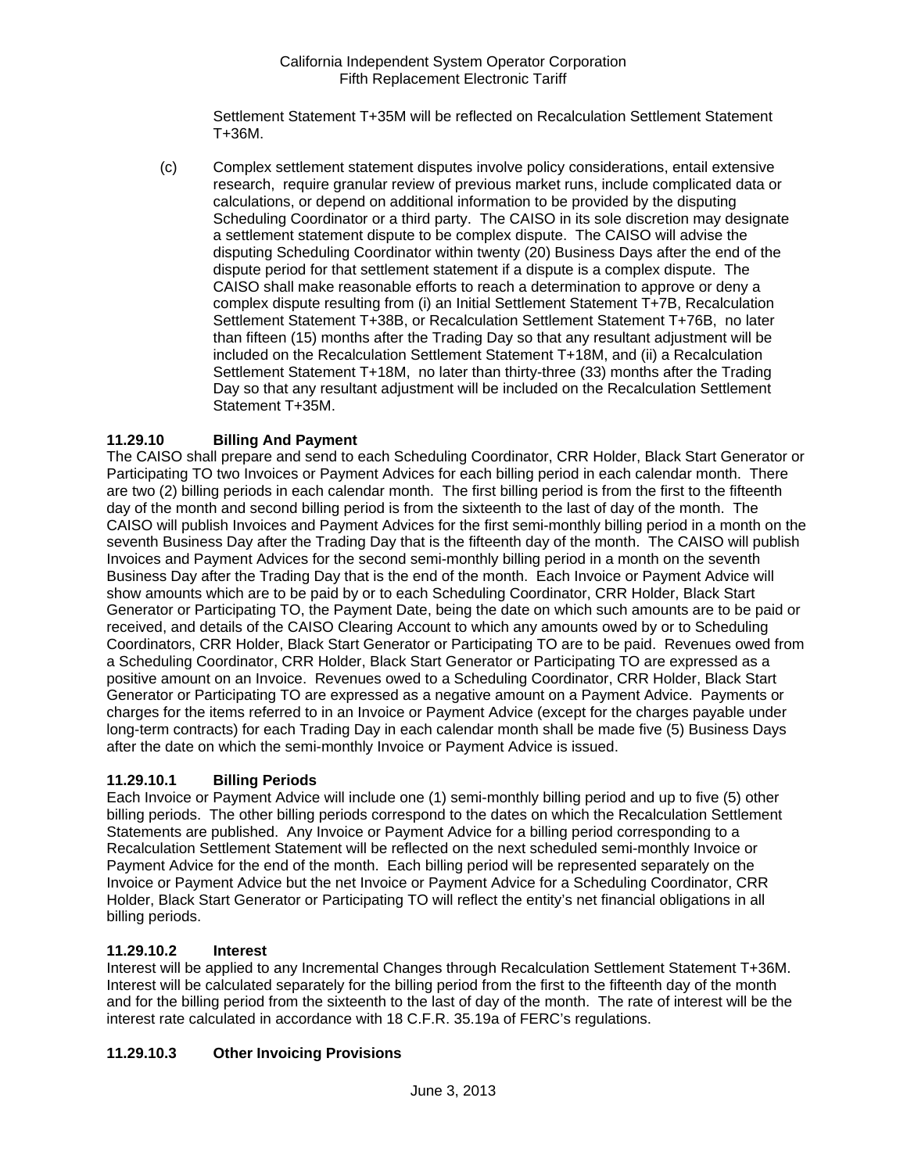Settlement Statement T+35M will be reflected on Recalculation Settlement Statement T+36M.

(c) Complex settlement statement disputes involve policy considerations, entail extensive research, require granular review of previous market runs, include complicated data or calculations, or depend on additional information to be provided by the disputing Scheduling Coordinator or a third party. The CAISO in its sole discretion may designate a settlement statement dispute to be complex dispute. The CAISO will advise the disputing Scheduling Coordinator within twenty (20) Business Days after the end of the dispute period for that settlement statement if a dispute is a complex dispute. The CAISO shall make reasonable efforts to reach a determination to approve or deny a complex dispute resulting from (i) an Initial Settlement Statement T+7B, Recalculation Settlement Statement T+38B, or Recalculation Settlement Statement T+76B, no later than fifteen (15) months after the Trading Day so that any resultant adjustment will be included on the Recalculation Settlement Statement T+18M, and (ii) a Recalculation Settlement Statement T+18M, no later than thirty-three (33) months after the Trading Day so that any resultant adjustment will be included on the Recalculation Settlement Statement T+35M.

# **11.29.10 Billing And Payment**

The CAISO shall prepare and send to each Scheduling Coordinator, CRR Holder, Black Start Generator or Participating TO two Invoices or Payment Advices for each billing period in each calendar month. There are two (2) billing periods in each calendar month. The first billing period is from the first to the fifteenth day of the month and second billing period is from the sixteenth to the last of day of the month. The CAISO will publish Invoices and Payment Advices for the first semi-monthly billing period in a month on the seventh Business Day after the Trading Day that is the fifteenth day of the month. The CAISO will publish Invoices and Payment Advices for the second semi-monthly billing period in a month on the seventh Business Day after the Trading Day that is the end of the month. Each Invoice or Payment Advice will show amounts which are to be paid by or to each Scheduling Coordinator, CRR Holder, Black Start Generator or Participating TO, the Payment Date, being the date on which such amounts are to be paid or received, and details of the CAISO Clearing Account to which any amounts owed by or to Scheduling Coordinators, CRR Holder, Black Start Generator or Participating TO are to be paid. Revenues owed from a Scheduling Coordinator, CRR Holder, Black Start Generator or Participating TO are expressed as a positive amount on an Invoice. Revenues owed to a Scheduling Coordinator, CRR Holder, Black Start Generator or Participating TO are expressed as a negative amount on a Payment Advice. Payments or charges for the items referred to in an Invoice or Payment Advice (except for the charges payable under long-term contracts) for each Trading Day in each calendar month shall be made five (5) Business Days after the date on which the semi-monthly Invoice or Payment Advice is issued.

# **11.29.10.1 Billing Periods**

Each Invoice or Payment Advice will include one (1) semi-monthly billing period and up to five (5) other billing periods. The other billing periods correspond to the dates on which the Recalculation Settlement Statements are published. Any Invoice or Payment Advice for a billing period corresponding to a Recalculation Settlement Statement will be reflected on the next scheduled semi-monthly Invoice or Payment Advice for the end of the month. Each billing period will be represented separately on the Invoice or Payment Advice but the net Invoice or Payment Advice for a Scheduling Coordinator, CRR Holder, Black Start Generator or Participating TO will reflect the entity's net financial obligations in all billing periods.

## **11.29.10.2 Interest**

Interest will be applied to any Incremental Changes through Recalculation Settlement Statement T+36M. Interest will be calculated separately for the billing period from the first to the fifteenth day of the month and for the billing period from the sixteenth to the last of day of the month. The rate of interest will be the interest rate calculated in accordance with 18 C.F.R. 35.19a of FERC's regulations.

# **11.29.10.3 Other Invoicing Provisions**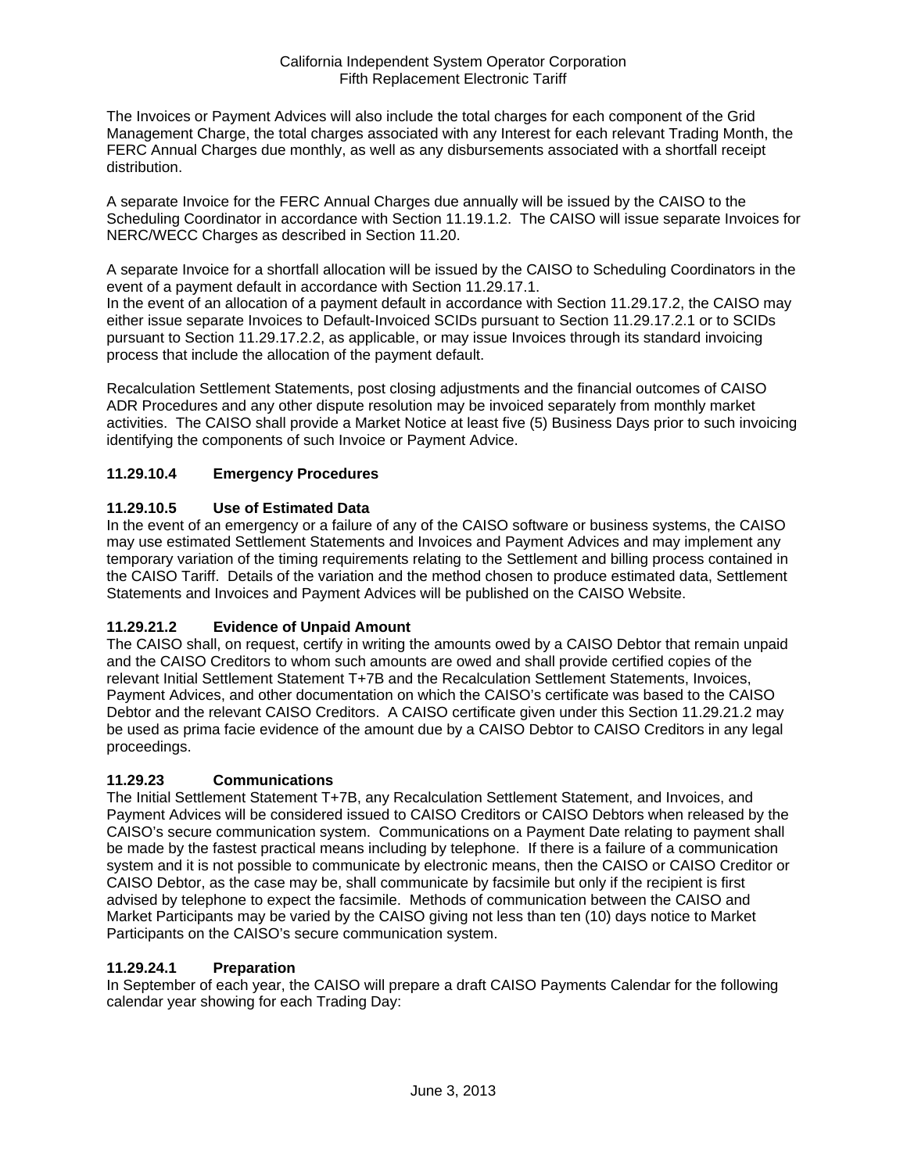The Invoices or Payment Advices will also include the total charges for each component of the Grid Management Charge, the total charges associated with any Interest for each relevant Trading Month, the FERC Annual Charges due monthly, as well as any disbursements associated with a shortfall receipt distribution.

A separate Invoice for the FERC Annual Charges due annually will be issued by the CAISO to the Scheduling Coordinator in accordance with Section 11.19.1.2. The CAISO will issue separate Invoices for NERC/WECC Charges as described in Section 11.20.

A separate Invoice for a shortfall allocation will be issued by the CAISO to Scheduling Coordinators in the event of a payment default in accordance with Section 11.29.17.1.

In the event of an allocation of a payment default in accordance with Section 11.29.17.2, the CAISO may either issue separate Invoices to Default-Invoiced SCIDs pursuant to Section 11.29.17.2.1 or to SCIDs pursuant to Section 11.29.17.2.2, as applicable, or may issue Invoices through its standard invoicing process that include the allocation of the payment default.

Recalculation Settlement Statements, post closing adjustments and the financial outcomes of CAISO ADR Procedures and any other dispute resolution may be invoiced separately from monthly market activities. The CAISO shall provide a Market Notice at least five (5) Business Days prior to such invoicing identifying the components of such Invoice or Payment Advice.

# **11.29.10.4 Emergency Procedures**

# **11.29.10.5 Use of Estimated Data**

In the event of an emergency or a failure of any of the CAISO software or business systems, the CAISO may use estimated Settlement Statements and Invoices and Payment Advices and may implement any temporary variation of the timing requirements relating to the Settlement and billing process contained in the CAISO Tariff. Details of the variation and the method chosen to produce estimated data, Settlement Statements and Invoices and Payment Advices will be published on the CAISO Website.

# **11.29.21.2 Evidence of Unpaid Amount**

The CAISO shall, on request, certify in writing the amounts owed by a CAISO Debtor that remain unpaid and the CAISO Creditors to whom such amounts are owed and shall provide certified copies of the relevant Initial Settlement Statement T+7B and the Recalculation Settlement Statements, Invoices, Payment Advices, and other documentation on which the CAISO's certificate was based to the CAISO Debtor and the relevant CAISO Creditors. A CAISO certificate given under this Section 11.29.21.2 may be used as prima facie evidence of the amount due by a CAISO Debtor to CAISO Creditors in any legal proceedings.

## **11.29.23 Communications**

The Initial Settlement Statement T+7B, any Recalculation Settlement Statement, and Invoices, and Payment Advices will be considered issued to CAISO Creditors or CAISO Debtors when released by the CAISO's secure communication system. Communications on a Payment Date relating to payment shall be made by the fastest practical means including by telephone. If there is a failure of a communication system and it is not possible to communicate by electronic means, then the CAISO or CAISO Creditor or CAISO Debtor, as the case may be, shall communicate by facsimile but only if the recipient is first advised by telephone to expect the facsimile. Methods of communication between the CAISO and Market Participants may be varied by the CAISO giving not less than ten (10) days notice to Market Participants on the CAISO's secure communication system.

## **11.29.24.1 Preparation**

In September of each year, the CAISO will prepare a draft CAISO Payments Calendar for the following calendar year showing for each Trading Day: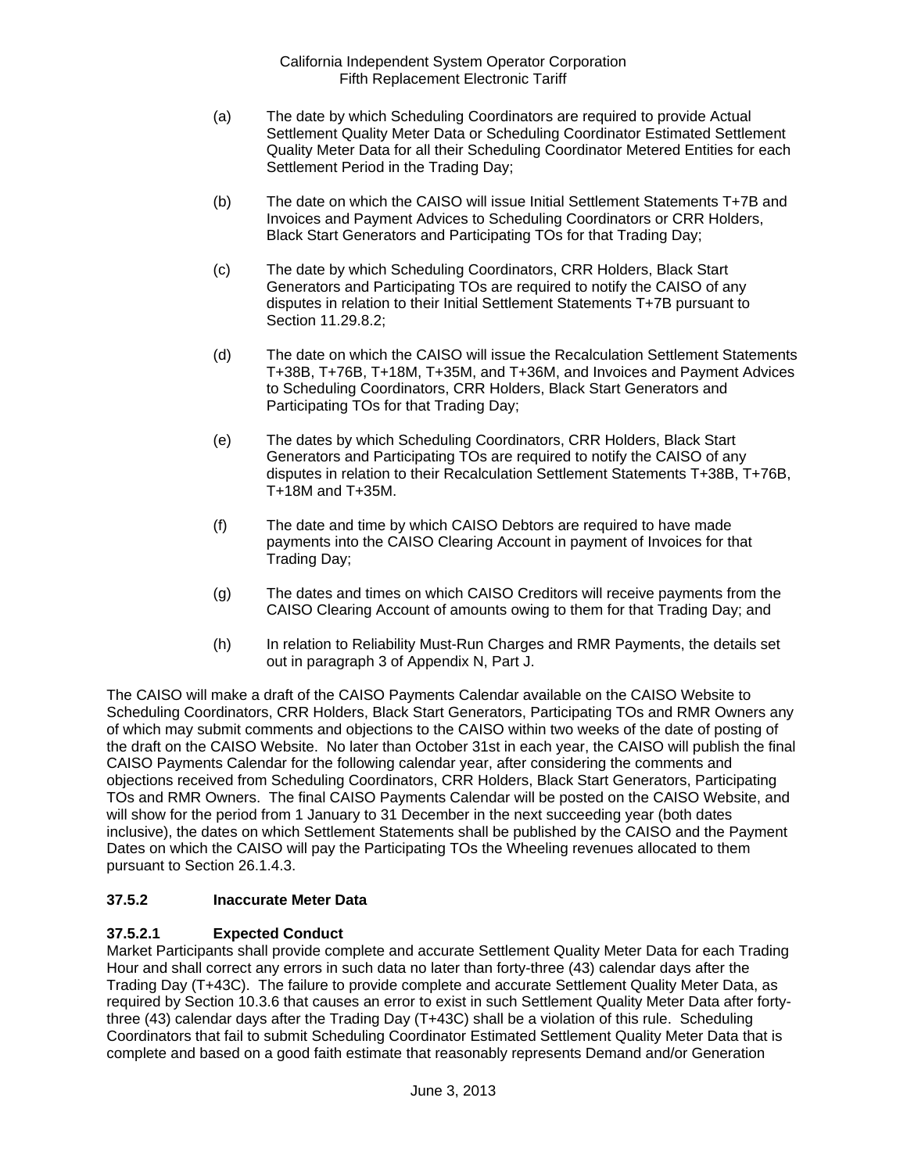- (a) The date by which Scheduling Coordinators are required to provide Actual Settlement Quality Meter Data or Scheduling Coordinator Estimated Settlement Quality Meter Data for all their Scheduling Coordinator Metered Entities for each Settlement Period in the Trading Day;
- (b) The date on which the CAISO will issue Initial Settlement Statements T+7B and Invoices and Payment Advices to Scheduling Coordinators or CRR Holders, Black Start Generators and Participating TOs for that Trading Day;
- (c) The date by which Scheduling Coordinators, CRR Holders, Black Start Generators and Participating TOs are required to notify the CAISO of any disputes in relation to their Initial Settlement Statements T+7B pursuant to Section 11.29.8.2;
- (d) The date on which the CAISO will issue the Recalculation Settlement Statements T+38B, T+76B, T+18M, T+35M, and T+36M, and Invoices and Payment Advices to Scheduling Coordinators, CRR Holders, Black Start Generators and Participating TOs for that Trading Day;
- (e) The dates by which Scheduling Coordinators, CRR Holders, Black Start Generators and Participating TOs are required to notify the CAISO of any disputes in relation to their Recalculation Settlement Statements T+38B, T+76B, T+18M and T+35M.
- (f) The date and time by which CAISO Debtors are required to have made payments into the CAISO Clearing Account in payment of Invoices for that Trading Day;
- (g) The dates and times on which CAISO Creditors will receive payments from the CAISO Clearing Account of amounts owing to them for that Trading Day; and
- (h) In relation to Reliability Must-Run Charges and RMR Payments, the details set out in paragraph 3 of Appendix N, Part J.

The CAISO will make a draft of the CAISO Payments Calendar available on the CAISO Website to Scheduling Coordinators, CRR Holders, Black Start Generators, Participating TOs and RMR Owners any of which may submit comments and objections to the CAISO within two weeks of the date of posting of the draft on the CAISO Website. No later than October 31st in each year, the CAISO will publish the final CAISO Payments Calendar for the following calendar year, after considering the comments and objections received from Scheduling Coordinators, CRR Holders, Black Start Generators, Participating TOs and RMR Owners. The final CAISO Payments Calendar will be posted on the CAISO Website, and will show for the period from 1 January to 31 December in the next succeeding year (both dates inclusive), the dates on which Settlement Statements shall be published by the CAISO and the Payment Dates on which the CAISO will pay the Participating TOs the Wheeling revenues allocated to them pursuant to Section 26.1.4.3.

# **37.5.2 Inaccurate Meter Data**

# **37.5.2.1 Expected Conduct**

Market Participants shall provide complete and accurate Settlement Quality Meter Data for each Trading Hour and shall correct any errors in such data no later than forty-three (43) calendar days after the Trading Day (T+43C). The failure to provide complete and accurate Settlement Quality Meter Data, as required by Section 10.3.6 that causes an error to exist in such Settlement Quality Meter Data after fortythree (43) calendar days after the Trading Day (T+43C) shall be a violation of this rule. Scheduling Coordinators that fail to submit Scheduling Coordinator Estimated Settlement Quality Meter Data that is complete and based on a good faith estimate that reasonably represents Demand and/or Generation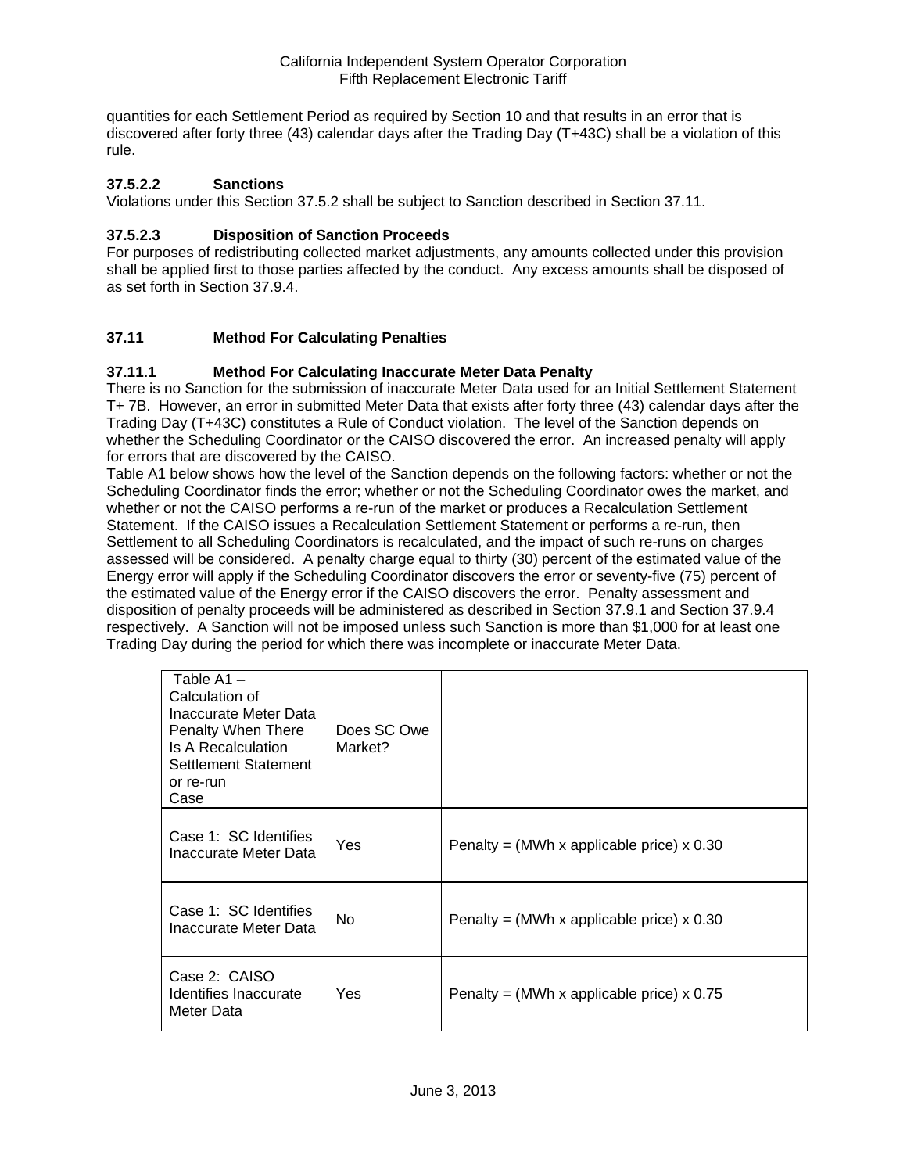quantities for each Settlement Period as required by Section 10 and that results in an error that is discovered after forty three (43) calendar days after the Trading Day (T+43C) shall be a violation of this rule.

## **37.5.2.2 Sanctions**

Violations under this Section 37.5.2 shall be subject to Sanction described in Section 37.11.

## **37.5.2.3 Disposition of Sanction Proceeds**

For purposes of redistributing collected market adjustments, any amounts collected under this provision shall be applied first to those parties affected by the conduct. Any excess amounts shall be disposed of as set forth in Section 37.9.4.

# **37.11 Method For Calculating Penalties**

## **37.11.1 Method For Calculating Inaccurate Meter Data Penalty**

There is no Sanction for the submission of inaccurate Meter Data used for an Initial Settlement Statement T+ 7B. However, an error in submitted Meter Data that exists after forty three (43) calendar days after the Trading Day (T+43C) constitutes a Rule of Conduct violation. The level of the Sanction depends on whether the Scheduling Coordinator or the CAISO discovered the error. An increased penalty will apply for errors that are discovered by the CAISO.

Table A1 below shows how the level of the Sanction depends on the following factors: whether or not the Scheduling Coordinator finds the error; whether or not the Scheduling Coordinator owes the market, and whether or not the CAISO performs a re-run of the market or produces a Recalculation Settlement Statement. If the CAISO issues a Recalculation Settlement Statement or performs a re-run, then Settlement to all Scheduling Coordinators is recalculated, and the impact of such re-runs on charges assessed will be considered. A penalty charge equal to thirty (30) percent of the estimated value of the Energy error will apply if the Scheduling Coordinator discovers the error or seventy-five (75) percent of the estimated value of the Energy error if the CAISO discovers the error. Penalty assessment and disposition of penalty proceeds will be administered as described in Section 37.9.1 and Section 37.9.4 respectively. A Sanction will not be imposed unless such Sanction is more than \$1,000 for at least one Trading Day during the period for which there was incomplete or inaccurate Meter Data.

| Table A1-<br>Calculation of<br>Inaccurate Meter Data<br>Penalty When There<br>Is A Recalculation<br>Settlement Statement<br>or re-run<br>Case | Does SC Owe<br>Market? |                                             |
|-----------------------------------------------------------------------------------------------------------------------------------------------|------------------------|---------------------------------------------|
| Case 1: SC Identifies<br>Inaccurate Meter Data                                                                                                | Yes                    | Penalty = (MWh x applicable price) $x$ 0.30 |
| Case 1: SC Identifies<br>Inaccurate Meter Data                                                                                                | No.                    | Penalty = (MWh x applicable price) $x$ 0.30 |
| Case 2: CAISO<br>Identifies Inaccurate<br>Meter Data                                                                                          | Yes                    | Penalty = (MWh x applicable price) $x$ 0.75 |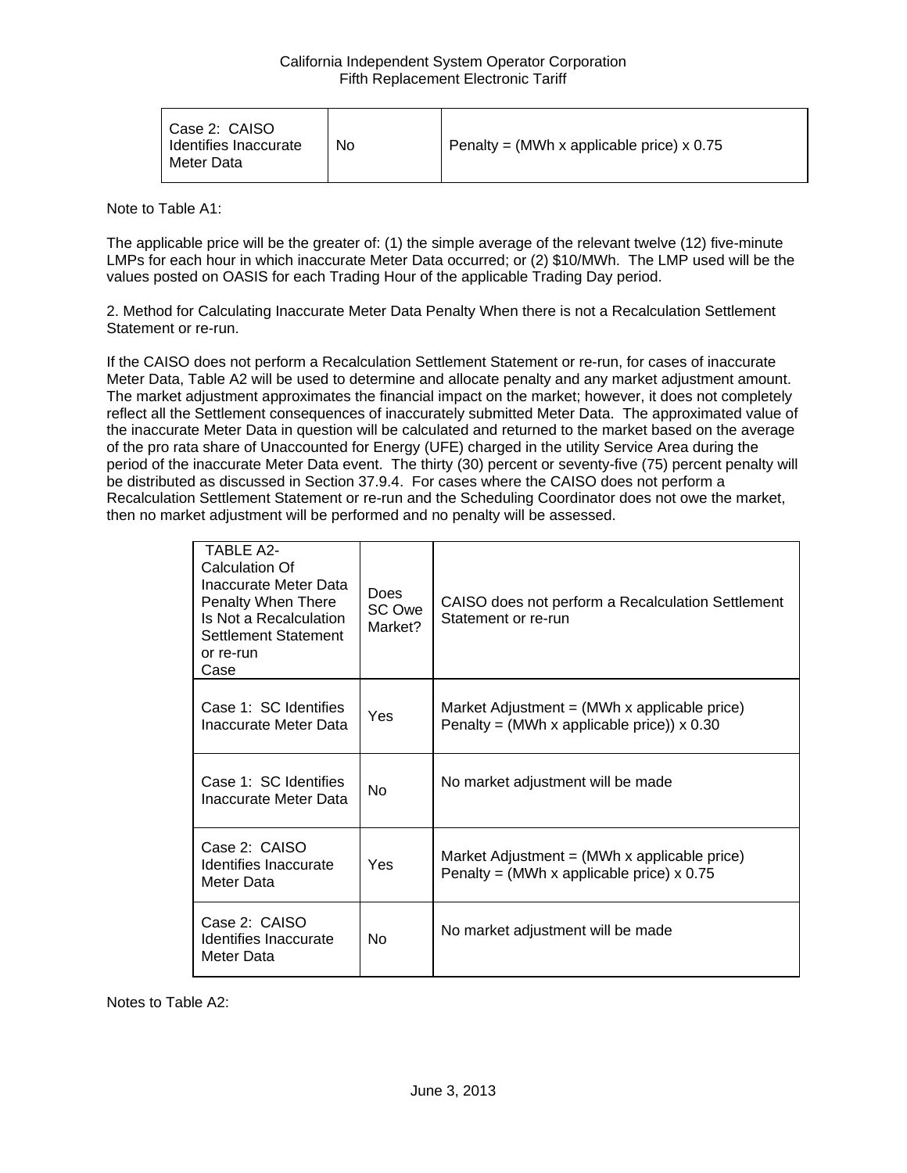| Case 2: CAISO<br>Identifies Inaccurate<br>Meter Data | No | Penalty = (MWh x applicable price) $\times$ 0.75 |
|------------------------------------------------------|----|--------------------------------------------------|
|------------------------------------------------------|----|--------------------------------------------------|

Note to Table A1:

The applicable price will be the greater of: (1) the simple average of the relevant twelve (12) five-minute LMPs for each hour in which inaccurate Meter Data occurred; or (2) \$10/MWh. The LMP used will be the values posted on OASIS for each Trading Hour of the applicable Trading Day period.

2. Method for Calculating Inaccurate Meter Data Penalty When there is not a Recalculation Settlement Statement or re-run.

If the CAISO does not perform a Recalculation Settlement Statement or re-run, for cases of inaccurate Meter Data, Table A2 will be used to determine and allocate penalty and any market adjustment amount. The market adjustment approximates the financial impact on the market; however, it does not completely reflect all the Settlement consequences of inaccurately submitted Meter Data. The approximated value of the inaccurate Meter Data in question will be calculated and returned to the market based on the average of the pro rata share of Unaccounted for Energy (UFE) charged in the utility Service Area during the period of the inaccurate Meter Data event. The thirty (30) percent or seventy-five (75) percent penalty will be distributed as discussed in Section 37.9.4. For cases where the CAISO does not perform a Recalculation Settlement Statement or re-run and the Scheduling Coordinator does not owe the market, then no market adjustment will be performed and no penalty will be assessed.

| TARI F A2-<br>Calculation Of<br>Inaccurate Meter Data<br>Penalty When There<br>Is Not a Recalculation<br>Settlement Statement<br>or re-run<br>Case | Does<br>SC Owe<br>Market? | CAISO does not perform a Recalculation Settlement<br>Statement or re-run                                        |
|----------------------------------------------------------------------------------------------------------------------------------------------------|---------------------------|-----------------------------------------------------------------------------------------------------------------|
| Case 1: SC Identifies<br>Inaccurate Meter Data                                                                                                     | Yes                       | Market Adjustment = $(MWh \times \text{applicable price})$<br>Penalty = (MWh x applicable price)) $\times$ 0.30 |
| Case 1: SC Identifies<br>Inaccurate Meter Data                                                                                                     | <b>No</b>                 | No market adjustment will be made                                                                               |
| Case 2: CAISO<br>Identifies Inaccurate<br>Meter Data                                                                                               | Yes                       | Market Adjustment = $(MWh \times \text{applicable price})$<br>Penalty = (MWh x applicable price) $x$ 0.75       |
| Case 2: CAISO<br>Identifies Inaccurate<br>Meter Data                                                                                               | No                        | No market adjustment will be made                                                                               |

Notes to Table A2: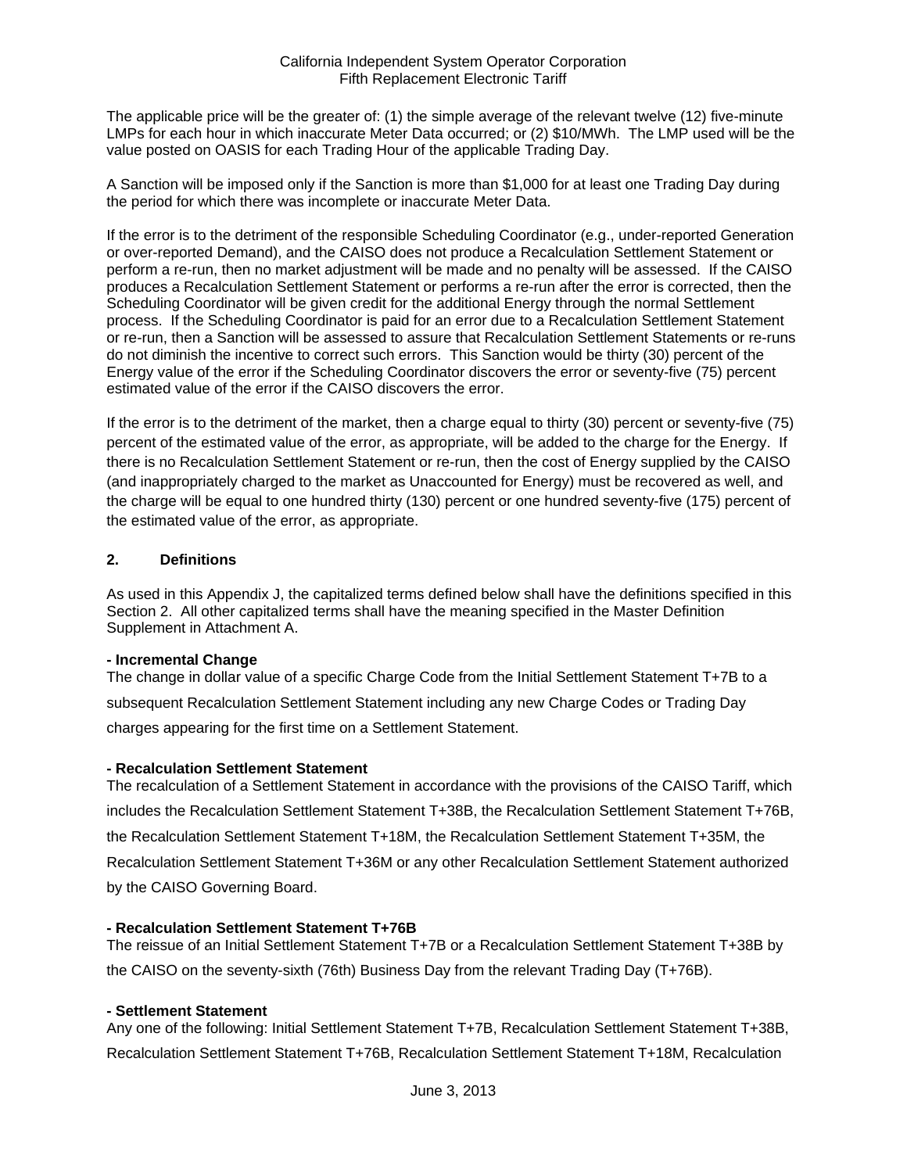The applicable price will be the greater of: (1) the simple average of the relevant twelve (12) five-minute LMPs for each hour in which inaccurate Meter Data occurred; or (2) \$10/MWh. The LMP used will be the value posted on OASIS for each Trading Hour of the applicable Trading Day.

A Sanction will be imposed only if the Sanction is more than \$1,000 for at least one Trading Day during the period for which there was incomplete or inaccurate Meter Data.

If the error is to the detriment of the responsible Scheduling Coordinator (e.g., under-reported Generation or over-reported Demand), and the CAISO does not produce a Recalculation Settlement Statement or perform a re-run, then no market adjustment will be made and no penalty will be assessed. If the CAISO produces a Recalculation Settlement Statement or performs a re-run after the error is corrected, then the Scheduling Coordinator will be given credit for the additional Energy through the normal Settlement process. If the Scheduling Coordinator is paid for an error due to a Recalculation Settlement Statement or re-run, then a Sanction will be assessed to assure that Recalculation Settlement Statements or re-runs do not diminish the incentive to correct such errors. This Sanction would be thirty (30) percent of the Energy value of the error if the Scheduling Coordinator discovers the error or seventy-five (75) percent estimated value of the error if the CAISO discovers the error.

If the error is to the detriment of the market, then a charge equal to thirty (30) percent or seventy-five (75) percent of the estimated value of the error, as appropriate, will be added to the charge for the Energy. If there is no Recalculation Settlement Statement or re-run, then the cost of Energy supplied by the CAISO (and inappropriately charged to the market as Unaccounted for Energy) must be recovered as well, and the charge will be equal to one hundred thirty (130) percent or one hundred seventy-five (175) percent of the estimated value of the error, as appropriate.

## **2. Definitions**

As used in this Appendix J, the capitalized terms defined below shall have the definitions specified in this Section 2. All other capitalized terms shall have the meaning specified in the Master Definition Supplement in Attachment A.

## **- Incremental Change**

The change in dollar value of a specific Charge Code from the Initial Settlement Statement T+7B to a subsequent Recalculation Settlement Statement including any new Charge Codes or Trading Day charges appearing for the first time on a Settlement Statement.

## **- Recalculation Settlement Statement**

The recalculation of a Settlement Statement in accordance with the provisions of the CAISO Tariff, which includes the Recalculation Settlement Statement T+38B, the Recalculation Settlement Statement T+76B, the Recalculation Settlement Statement T+18M, the Recalculation Settlement Statement T+35M, the Recalculation Settlement Statement T+36M or any other Recalculation Settlement Statement authorized by the CAISO Governing Board.

## **- Recalculation Settlement Statement T+76B**

The reissue of an Initial Settlement Statement T+7B or a Recalculation Settlement Statement T+38B by the CAISO on the seventy-sixth (76th) Business Day from the relevant Trading Day (T+76B).

## **- Settlement Statement**

Any one of the following: Initial Settlement Statement T+7B, Recalculation Settlement Statement T+38B, Recalculation Settlement Statement T+76B, Recalculation Settlement Statement T+18M, Recalculation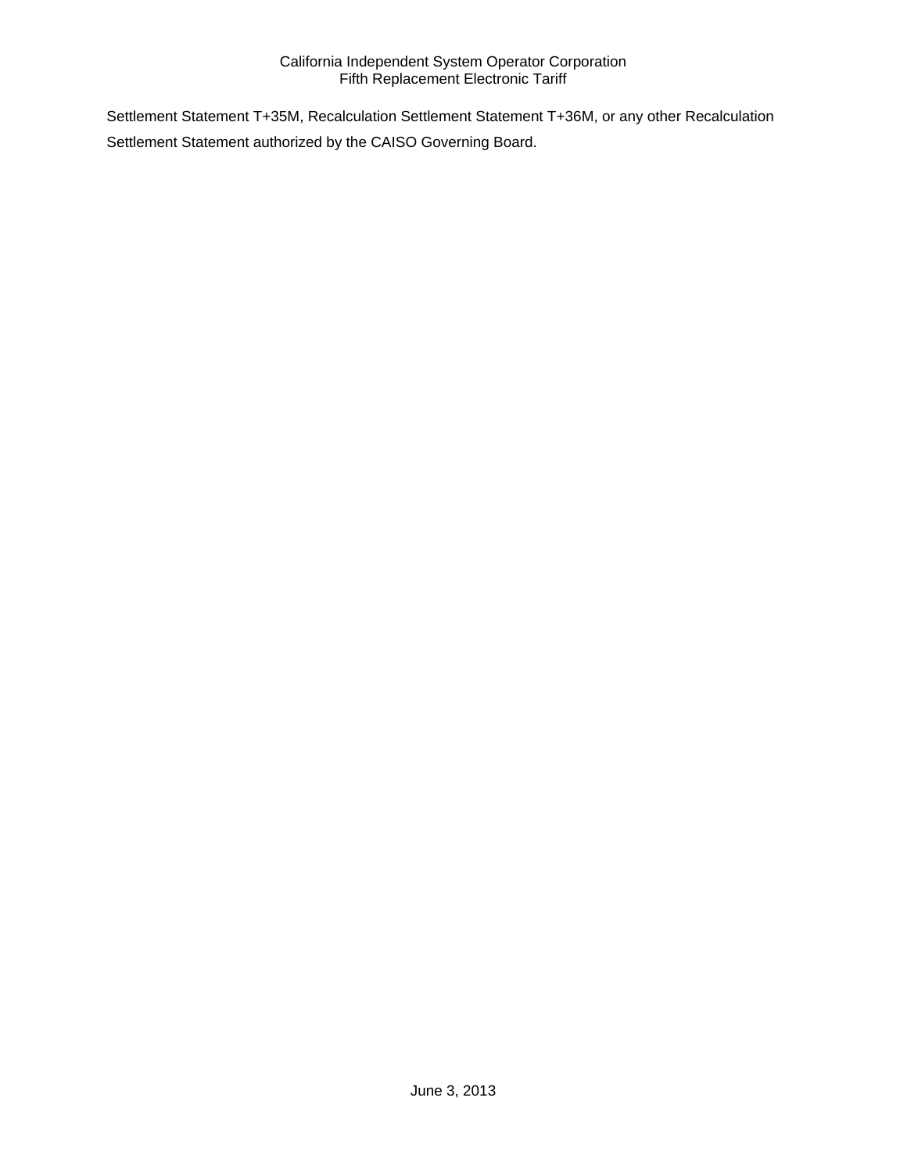Settlement Statement T+35M, Recalculation Settlement Statement T+36M, or any other Recalculation Settlement Statement authorized by the CAISO Governing Board.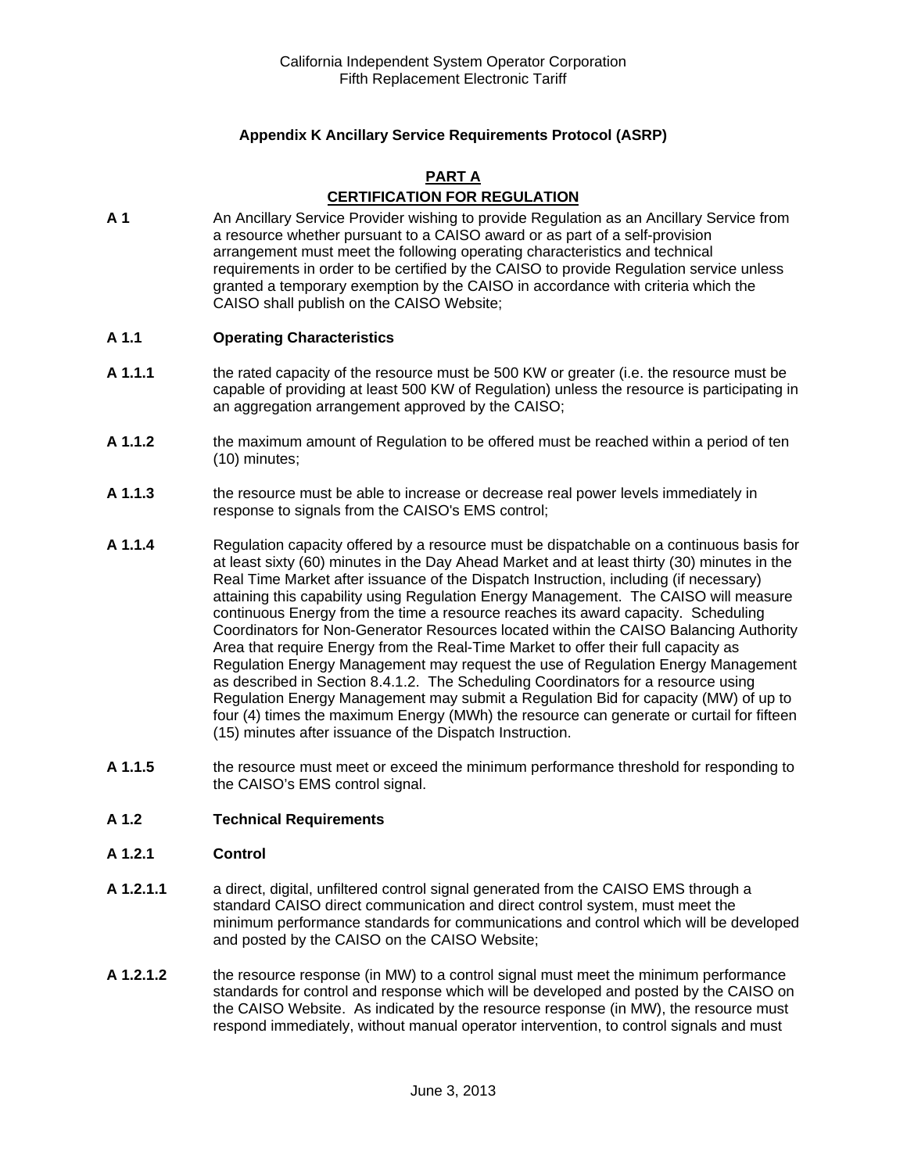# **Appendix K Ancillary Service Requirements Protocol (ASRP)**

#### **PART A**

# **CERTIFICATION FOR REGULATION**

**A 1** An Ancillary Service Provider wishing to provide Regulation as an Ancillary Service from a resource whether pursuant to a CAISO award or as part of a self-provision arrangement must meet the following operating characteristics and technical requirements in order to be certified by the CAISO to provide Regulation service unless granted a temporary exemption by the CAISO in accordance with criteria which the CAISO shall publish on the CAISO Website;

#### **A 1.1 Operating Characteristics**

- **A 1.1.1** the rated capacity of the resource must be 500 KW or greater (i.e. the resource must be capable of providing at least 500 KW of Regulation) unless the resource is participating in an aggregation arrangement approved by the CAISO;
- **A 1.1.2** the maximum amount of Regulation to be offered must be reached within a period of ten (10) minutes;
- **A 1.1.3** the resource must be able to increase or decrease real power levels immediately in response to signals from the CAISO's EMS control;
- **A 1.1.4** Regulation capacity offered by a resource must be dispatchable on a continuous basis for at least sixty (60) minutes in the Day Ahead Market and at least thirty (30) minutes in the Real Time Market after issuance of the Dispatch Instruction, including (if necessary) attaining this capability using Regulation Energy Management. The CAISO will measure continuous Energy from the time a resource reaches its award capacity. Scheduling Coordinators for Non-Generator Resources located within the CAISO Balancing Authority Area that require Energy from the Real-Time Market to offer their full capacity as Regulation Energy Management may request the use of Regulation Energy Management as described in Section 8.4.1.2. The Scheduling Coordinators for a resource using Regulation Energy Management may submit a Regulation Bid for capacity (MW) of up to four (4) times the maximum Energy (MWh) the resource can generate or curtail for fifteen (15) minutes after issuance of the Dispatch Instruction.
- **A 1.1.5** the resource must meet or exceed the minimum performance threshold for responding to the CAISO's EMS control signal.

## **A 1.2 Technical Requirements**

#### **A 1.2.1 Control**

- **A 1.2.1.1** a direct, digital, unfiltered control signal generated from the CAISO EMS through a standard CAISO direct communication and direct control system, must meet the minimum performance standards for communications and control which will be developed and posted by the CAISO on the CAISO Website;
- **A 1.2.1.2** the resource response (in MW) to a control signal must meet the minimum performance standards for control and response which will be developed and posted by the CAISO on the CAISO Website. As indicated by the resource response (in MW), the resource must respond immediately, without manual operator intervention, to control signals and must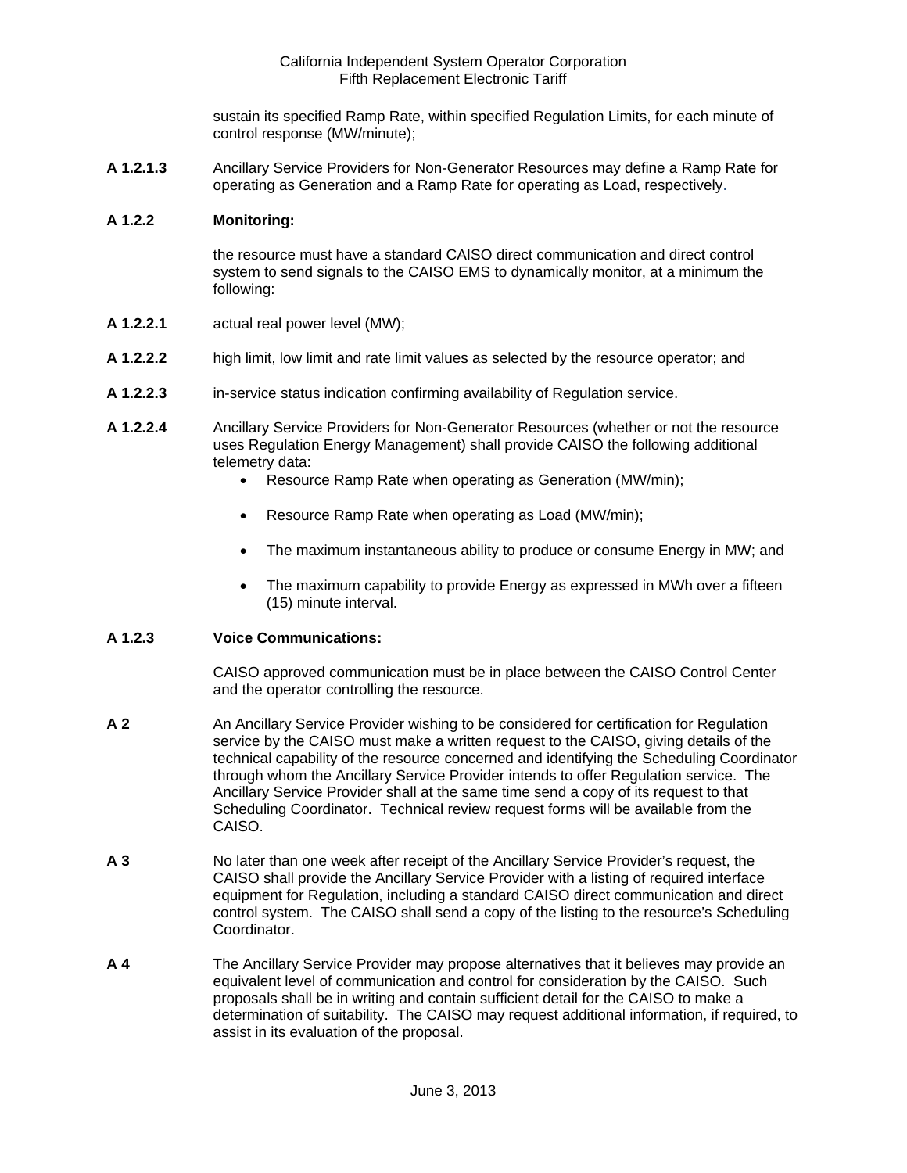sustain its specified Ramp Rate, within specified Regulation Limits, for each minute of control response (MW/minute);

**A 1.2.1.3** Ancillary Service Providers for Non-Generator Resources may define a Ramp Rate for operating as Generation and a Ramp Rate for operating as Load, respectively.

#### **A 1.2.2 Monitoring:**

the resource must have a standard CAISO direct communication and direct control system to send signals to the CAISO EMS to dynamically monitor, at a minimum the following:

- **A 1.2.2.1** actual real power level (MW);
- **A 1.2.2.2** high limit, low limit and rate limit values as selected by the resource operator; and
- **A 1.2.2.3** in-service status indication confirming availability of Regulation service.
- **A 1.2.2.4** Ancillary Service Providers for Non-Generator Resources (whether or not the resource uses Regulation Energy Management) shall provide CAISO the following additional telemetry data:
	- Resource Ramp Rate when operating as Generation (MW/min);
	- Resource Ramp Rate when operating as Load (MW/min);
	- The maximum instantaneous ability to produce or consume Energy in MW; and
	- The maximum capability to provide Energy as expressed in MWh over a fifteen (15) minute interval.

#### **A 1.2.3 Voice Communications:**

CAISO approved communication must be in place between the CAISO Control Center and the operator controlling the resource.

- **A 2** An Ancillary Service Provider wishing to be considered for certification for Regulation service by the CAISO must make a written request to the CAISO, giving details of the technical capability of the resource concerned and identifying the Scheduling Coordinator through whom the Ancillary Service Provider intends to offer Regulation service. The Ancillary Service Provider shall at the same time send a copy of its request to that Scheduling Coordinator. Technical review request forms will be available from the CAISO.
- **A 3** No later than one week after receipt of the Ancillary Service Provider's request, the CAISO shall provide the Ancillary Service Provider with a listing of required interface equipment for Regulation, including a standard CAISO direct communication and direct control system. The CAISO shall send a copy of the listing to the resource's Scheduling Coordinator.
- **A 4** The Ancillary Service Provider may propose alternatives that it believes may provide an equivalent level of communication and control for consideration by the CAISO. Such proposals shall be in writing and contain sufficient detail for the CAISO to make a determination of suitability. The CAISO may request additional information, if required, to assist in its evaluation of the proposal.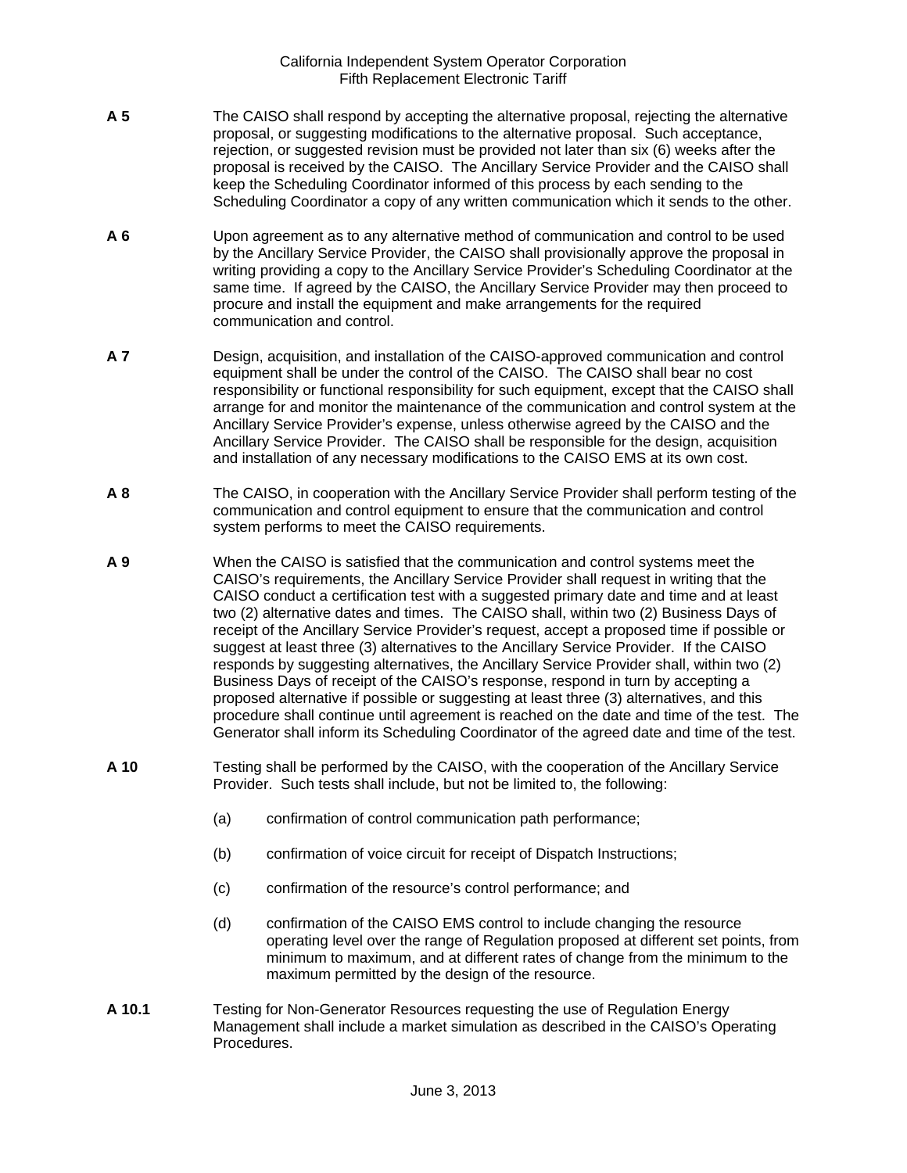- **A 5** The CAISO shall respond by accepting the alternative proposal, rejecting the alternative proposal, or suggesting modifications to the alternative proposal. Such acceptance, rejection, or suggested revision must be provided not later than six (6) weeks after the proposal is received by the CAISO. The Ancillary Service Provider and the CAISO shall keep the Scheduling Coordinator informed of this process by each sending to the Scheduling Coordinator a copy of any written communication which it sends to the other.
- **A 6** Upon agreement as to any alternative method of communication and control to be used by the Ancillary Service Provider, the CAISO shall provisionally approve the proposal in writing providing a copy to the Ancillary Service Provider's Scheduling Coordinator at the same time. If agreed by the CAISO, the Ancillary Service Provider may then proceed to procure and install the equipment and make arrangements for the required communication and control.
- **A 7** Design, acquisition, and installation of the CAISO-approved communication and control equipment shall be under the control of the CAISO. The CAISO shall bear no cost responsibility or functional responsibility for such equipment, except that the CAISO shall arrange for and monitor the maintenance of the communication and control system at the Ancillary Service Provider's expense, unless otherwise agreed by the CAISO and the Ancillary Service Provider. The CAISO shall be responsible for the design, acquisition and installation of any necessary modifications to the CAISO EMS at its own cost.
- **A 8** The CAISO, in cooperation with the Ancillary Service Provider shall perform testing of the communication and control equipment to ensure that the communication and control system performs to meet the CAISO requirements.
- **A 9** When the CAISO is satisfied that the communication and control systems meet the CAISO's requirements, the Ancillary Service Provider shall request in writing that the CAISO conduct a certification test with a suggested primary date and time and at least two (2) alternative dates and times. The CAISO shall, within two (2) Business Days of receipt of the Ancillary Service Provider's request, accept a proposed time if possible or suggest at least three (3) alternatives to the Ancillary Service Provider. If the CAISO responds by suggesting alternatives, the Ancillary Service Provider shall, within two (2) Business Days of receipt of the CAISO's response, respond in turn by accepting a proposed alternative if possible or suggesting at least three (3) alternatives, and this procedure shall continue until agreement is reached on the date and time of the test. The Generator shall inform its Scheduling Coordinator of the agreed date and time of the test.
- **A 10** Testing shall be performed by the CAISO, with the cooperation of the Ancillary Service Provider. Such tests shall include, but not be limited to, the following:
	- (a) confirmation of control communication path performance;
	- (b) confirmation of voice circuit for receipt of Dispatch Instructions;
	- (c) confirmation of the resource's control performance; and
	- (d) confirmation of the CAISO EMS control to include changing the resource operating level over the range of Regulation proposed at different set points, from minimum to maximum, and at different rates of change from the minimum to the maximum permitted by the design of the resource.
- **A 10.1** Testing for Non-Generator Resources requesting the use of Regulation Energy Management shall include a market simulation as described in the CAISO's Operating Procedures.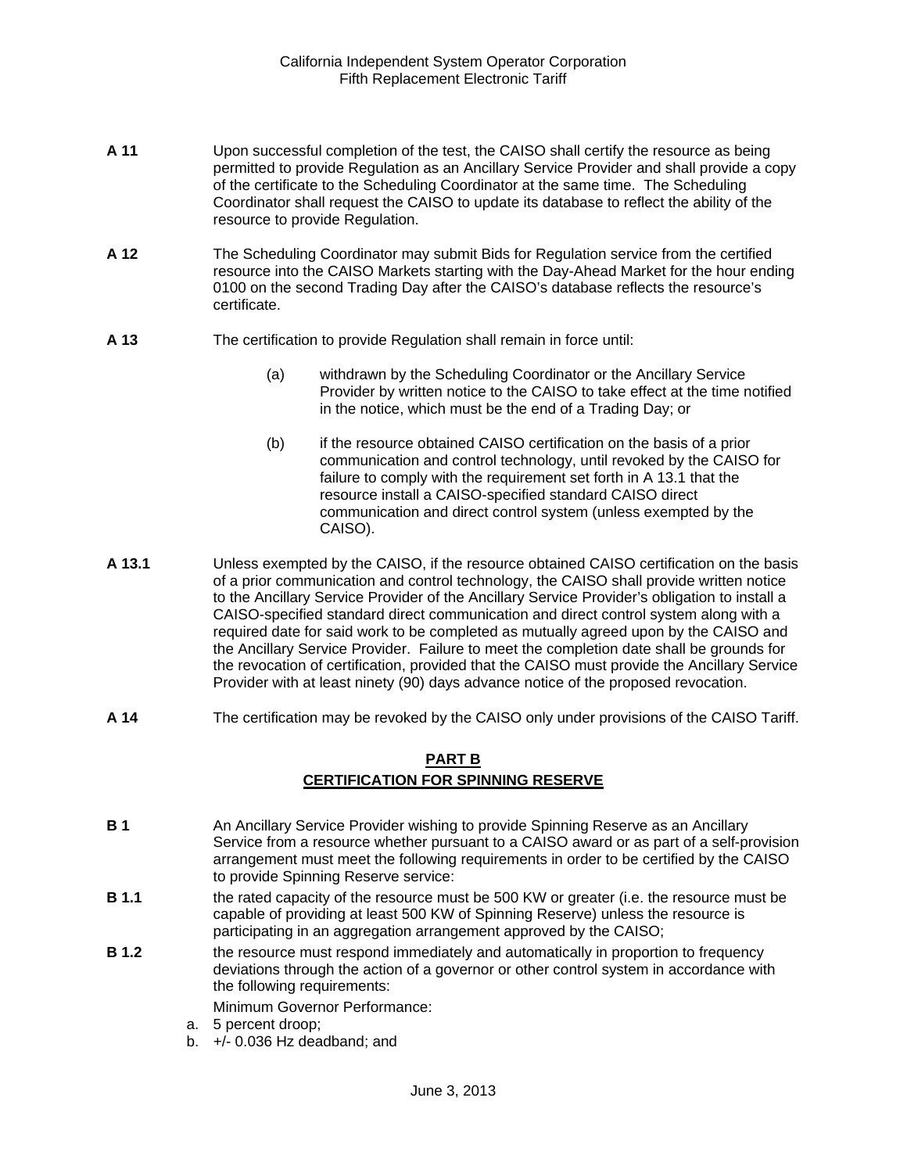- **A 11** Upon successful completion of the test, the CAISO shall certify the resource as being permitted to provide Regulation as an Ancillary Service Provider and shall provide a copy of the certificate to the Scheduling Coordinator at the same time. The Scheduling Coordinator shall request the CAISO to update its database to reflect the ability of the resource to provide Regulation.
- **A 12** The Scheduling Coordinator may submit Bids for Regulation service from the certified resource into the CAISO Markets starting with the Day-Ahead Market for the hour ending 0100 on the second Trading Day after the CAISO's database reflects the resource's certificate.
- **A 13** The certification to provide Regulation shall remain in force until:
	- (a) withdrawn by the Scheduling Coordinator or the Ancillary Service Provider by written notice to the CAISO to take effect at the time notified in the notice, which must be the end of a Trading Day; or
	- (b) if the resource obtained CAISO certification on the basis of a prior communication and control technology, until revoked by the CAISO for failure to comply with the requirement set forth in A 13.1 that the resource install a CAISO-specified standard CAISO direct communication and direct control system (unless exempted by the CAISO).
- **A 13.1** Unless exempted by the CAISO, if the resource obtained CAISO certification on the basis of a prior communication and control technology, the CAISO shall provide written notice to the Ancillary Service Provider of the Ancillary Service Provider's obligation to install a CAISO-specified standard direct communication and direct control system along with a required date for said work to be completed as mutually agreed upon by the CAISO and the Ancillary Service Provider. Failure to meet the completion date shall be grounds for the revocation of certification, provided that the CAISO must provide the Ancillary Service Provider with at least ninety (90) days advance notice of the proposed revocation.
- **A 14** The certification may be revoked by the CAISO only under provisions of the CAISO Tariff.

# **PART B CERTIFICATION FOR SPINNING RESERVE**

- **B 1** An Ancillary Service Provider wishing to provide Spinning Reserve as an Ancillary Service from a resource whether pursuant to a CAISO award or as part of a self-provision arrangement must meet the following requirements in order to be certified by the CAISO to provide Spinning Reserve service:
- **B 1.1** the rated capacity of the resource must be 500 KW or greater (i.e. the resource must be capable of providing at least 500 KW of Spinning Reserve) unless the resource is participating in an aggregation arrangement approved by the CAISO;
- **B 1.2 the resource must respond immediately and automatically in proportion to frequency** deviations through the action of a governor or other control system in accordance with the following requirements:

Minimum Governor Performance:

- a. 5 percent droop;
- b. +/- 0.036 Hz deadband; and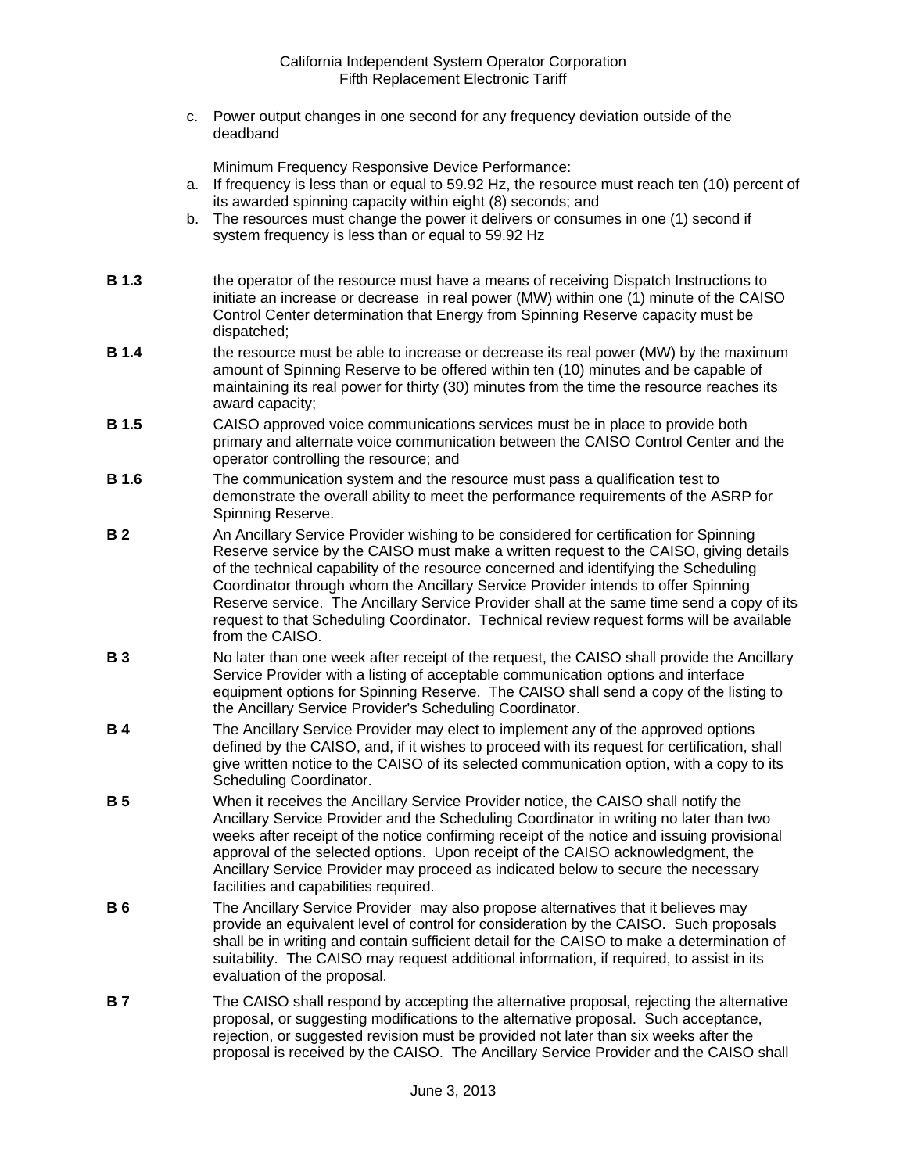c. Power output changes in one second for any frequency deviation outside of the deadband

Minimum Frequency Responsive Device Performance:

- a. If frequency is less than or equal to 59.92 Hz, the resource must reach ten (10) percent of its awarded spinning capacity within eight (8) seconds; and
- b. The resources must change the power it delivers or consumes in one (1) second if system frequency is less than or equal to 59.92 Hz
- **B 1.3** the operator of the resource must have a means of receiving Dispatch Instructions to initiate an increase or decrease in real power (MW) within one (1) minute of the CAISO Control Center determination that Energy from Spinning Reserve capacity must be dispatched;
- **B 1.4** the resource must be able to increase or decrease its real power (MW) by the maximum amount of Spinning Reserve to be offered within ten (10) minutes and be capable of maintaining its real power for thirty (30) minutes from the time the resource reaches its award capacity;
- **B 1.5** CAISO approved voice communications services must be in place to provide both primary and alternate voice communication between the CAISO Control Center and the operator controlling the resource; and
- **B 1.6** The communication system and the resource must pass a qualification test to demonstrate the overall ability to meet the performance requirements of the ASRP for Spinning Reserve.
- **B 2** An Ancillary Service Provider wishing to be considered for certification for Spinning Reserve service by the CAISO must make a written request to the CAISO, giving details of the technical capability of the resource concerned and identifying the Scheduling Coordinator through whom the Ancillary Service Provider intends to offer Spinning Reserve service. The Ancillary Service Provider shall at the same time send a copy of its request to that Scheduling Coordinator. Technical review request forms will be available from the CAISO.
- **B 3** No later than one week after receipt of the request, the CAISO shall provide the Ancillary Service Provider with a listing of acceptable communication options and interface equipment options for Spinning Reserve. The CAISO shall send a copy of the listing to the Ancillary Service Provider's Scheduling Coordinator.
- **B 4** The Ancillary Service Provider may elect to implement any of the approved options defined by the CAISO, and, if it wishes to proceed with its request for certification, shall give written notice to the CAISO of its selected communication option, with a copy to its Scheduling Coordinator.
- **B 5** When it receives the Ancillary Service Provider notice, the CAISO shall notify the Ancillary Service Provider and the Scheduling Coordinator in writing no later than two weeks after receipt of the notice confirming receipt of the notice and issuing provisional approval of the selected options. Upon receipt of the CAISO acknowledgment, the Ancillary Service Provider may proceed as indicated below to secure the necessary facilities and capabilities required.
- **B 6** The Ancillary Service Provider may also propose alternatives that it believes may provide an equivalent level of control for consideration by the CAISO. Such proposals shall be in writing and contain sufficient detail for the CAISO to make a determination of suitability. The CAISO may request additional information, if required, to assist in its evaluation of the proposal.
- **B 7** The CAISO shall respond by accepting the alternative proposal, rejecting the alternative proposal, or suggesting modifications to the alternative proposal. Such acceptance, rejection, or suggested revision must be provided not later than six weeks after the proposal is received by the CAISO. The Ancillary Service Provider and the CAISO shall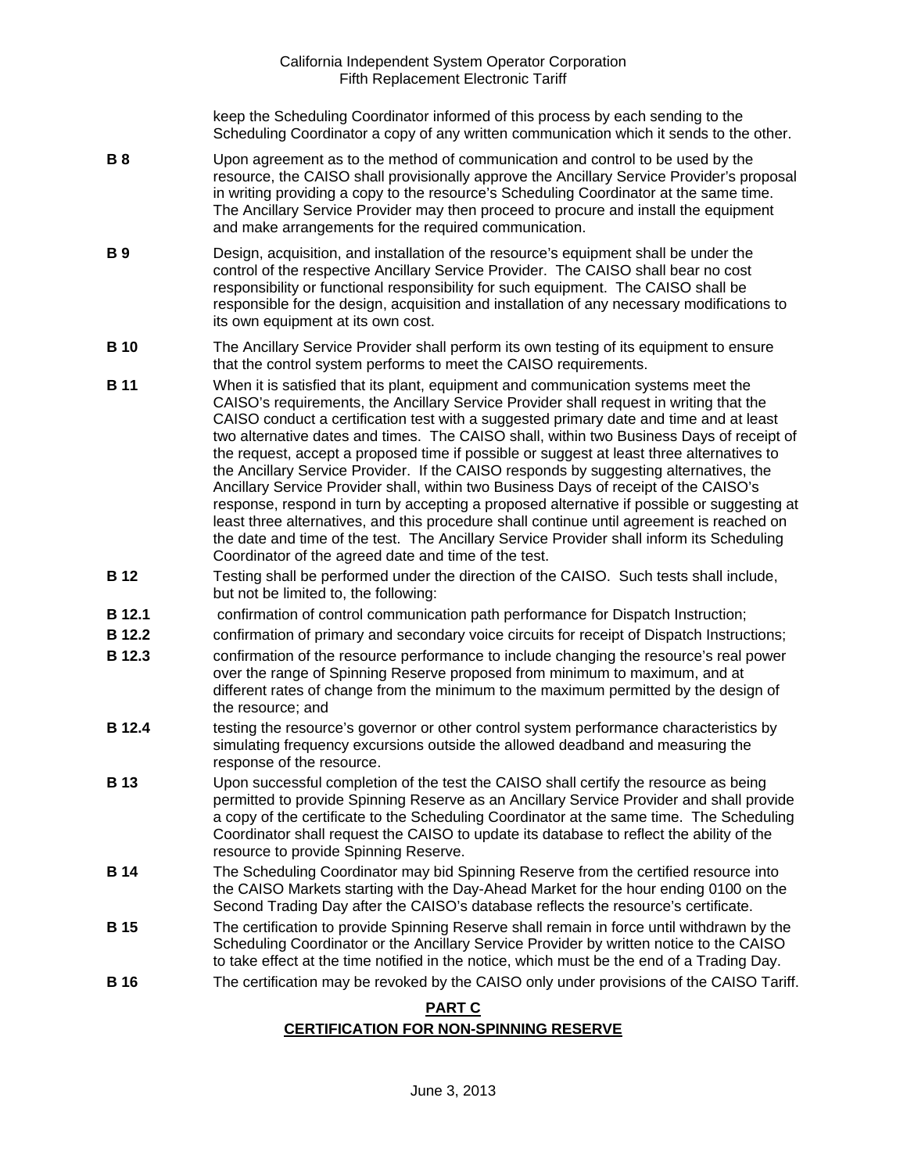keep the Scheduling Coordinator informed of this process by each sending to the Scheduling Coordinator a copy of any written communication which it sends to the other.

- **B 8** Upon agreement as to the method of communication and control to be used by the resource, the CAISO shall provisionally approve the Ancillary Service Provider's proposal in writing providing a copy to the resource's Scheduling Coordinator at the same time. The Ancillary Service Provider may then proceed to procure and install the equipment and make arrangements for the required communication.
- **B 9** Design, acquisition, and installation of the resource's equipment shall be under the control of the respective Ancillary Service Provider. The CAISO shall bear no cost responsibility or functional responsibility for such equipment. The CAISO shall be responsible for the design, acquisition and installation of any necessary modifications to its own equipment at its own cost.
- **B 10** The Ancillary Service Provider shall perform its own testing of its equipment to ensure that the control system performs to meet the CAISO requirements.
- **B 11** When it is satisfied that its plant, equipment and communication systems meet the CAISO's requirements, the Ancillary Service Provider shall request in writing that the CAISO conduct a certification test with a suggested primary date and time and at least two alternative dates and times. The CAISO shall, within two Business Days of receipt of the request, accept a proposed time if possible or suggest at least three alternatives to the Ancillary Service Provider. If the CAISO responds by suggesting alternatives, the Ancillary Service Provider shall, within two Business Days of receipt of the CAISO's response, respond in turn by accepting a proposed alternative if possible or suggesting at least three alternatives, and this procedure shall continue until agreement is reached on the date and time of the test. The Ancillary Service Provider shall inform its Scheduling Coordinator of the agreed date and time of the test.
- **B 12** Testing shall be performed under the direction of the CAISO. Such tests shall include, but not be limited to, the following:
- **B 12.1** confirmation of control communication path performance for Dispatch Instruction;
- **B 12.2** confirmation of primary and secondary voice circuits for receipt of Dispatch Instructions;
- **B 12.3** confirmation of the resource performance to include changing the resource's real power over the range of Spinning Reserve proposed from minimum to maximum, and at different rates of change from the minimum to the maximum permitted by the design of the resource; and
- **B 12.4** testing the resource's governor or other control system performance characteristics by simulating frequency excursions outside the allowed deadband and measuring the response of the resource.
- **B 13** Upon successful completion of the test the CAISO shall certify the resource as being permitted to provide Spinning Reserve as an Ancillary Service Provider and shall provide a copy of the certificate to the Scheduling Coordinator at the same time. The Scheduling Coordinator shall request the CAISO to update its database to reflect the ability of the resource to provide Spinning Reserve.
- **B 14** The Scheduling Coordinator may bid Spinning Reserve from the certified resource into the CAISO Markets starting with the Day-Ahead Market for the hour ending 0100 on the Second Trading Day after the CAISO's database reflects the resource's certificate.
- **B 15** The certification to provide Spinning Reserve shall remain in force until withdrawn by the Scheduling Coordinator or the Ancillary Service Provider by written notice to the CAISO to take effect at the time notified in the notice, which must be the end of a Trading Day.
- **B 16 The certification may be revoked by the CAISO only under provisions of the CAISO Tariff.**

#### **PART C**

#### **CERTIFICATION FOR NON-SPINNING RESERVE**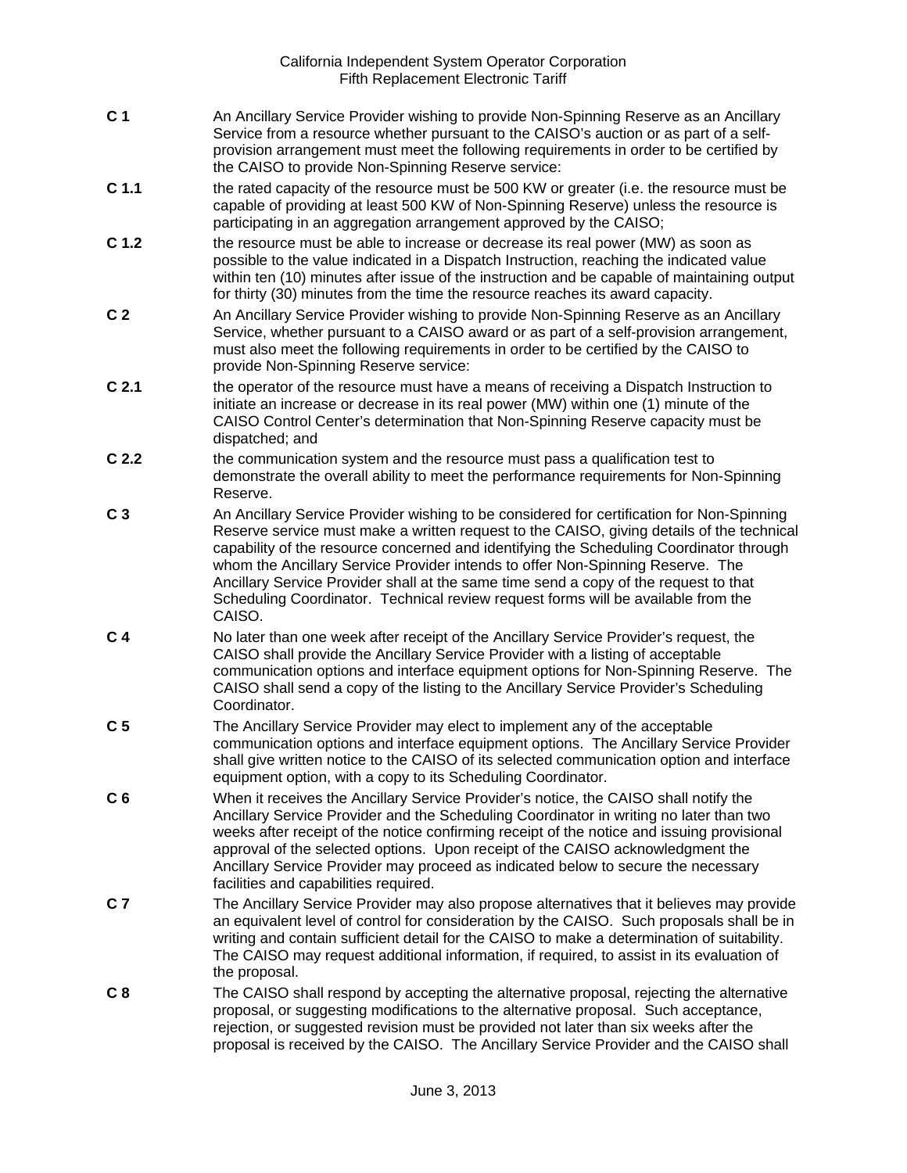- **C 1** An Ancillary Service Provider wishing to provide Non-Spinning Reserve as an Ancillary Service from a resource whether pursuant to the CAISO's auction or as part of a selfprovision arrangement must meet the following requirements in order to be certified by the CAISO to provide Non-Spinning Reserve service:
- **C 1.1** the rated capacity of the resource must be 500 KW or greater (i.e. the resource must be capable of providing at least 500 KW of Non-Spinning Reserve) unless the resource is participating in an aggregation arrangement approved by the CAISO:
- **C 1.2** the resource must be able to increase or decrease its real power (MW) as soon as possible to the value indicated in a Dispatch Instruction, reaching the indicated value within ten (10) minutes after issue of the instruction and be capable of maintaining output for thirty (30) minutes from the time the resource reaches its award capacity.
- **C 2** An Ancillary Service Provider wishing to provide Non-Spinning Reserve as an Ancillary Service, whether pursuant to a CAISO award or as part of a self-provision arrangement, must also meet the following requirements in order to be certified by the CAISO to provide Non-Spinning Reserve service:
- **C 2.1** the operator of the resource must have a means of receiving a Dispatch Instruction to initiate an increase or decrease in its real power (MW) within one (1) minute of the CAISO Control Center's determination that Non-Spinning Reserve capacity must be dispatched; and
- **C 2.2** the communication system and the resource must pass a qualification test to demonstrate the overall ability to meet the performance requirements for Non-Spinning Reserve.
- **C 3** An Ancillary Service Provider wishing to be considered for certification for Non-Spinning Reserve service must make a written request to the CAISO, giving details of the technical capability of the resource concerned and identifying the Scheduling Coordinator through whom the Ancillary Service Provider intends to offer Non-Spinning Reserve. The Ancillary Service Provider shall at the same time send a copy of the request to that Scheduling Coordinator. Technical review request forms will be available from the CAISO.
- **C 4** No later than one week after receipt of the Ancillary Service Provider's request, the CAISO shall provide the Ancillary Service Provider with a listing of acceptable communication options and interface equipment options for Non-Spinning Reserve. The CAISO shall send a copy of the listing to the Ancillary Service Provider's Scheduling Coordinator.
- **C 5** The Ancillary Service Provider may elect to implement any of the acceptable communication options and interface equipment options. The Ancillary Service Provider shall give written notice to the CAISO of its selected communication option and interface equipment option, with a copy to its Scheduling Coordinator.
- **C 6** When it receives the Ancillary Service Provider's notice, the CAISO shall notify the Ancillary Service Provider and the Scheduling Coordinator in writing no later than two weeks after receipt of the notice confirming receipt of the notice and issuing provisional approval of the selected options. Upon receipt of the CAISO acknowledgment the Ancillary Service Provider may proceed as indicated below to secure the necessary facilities and capabilities required.
- **C 7** The Ancillary Service Provider may also propose alternatives that it believes may provide an equivalent level of control for consideration by the CAISO. Such proposals shall be in writing and contain sufficient detail for the CAISO to make a determination of suitability. The CAISO may request additional information, if required, to assist in its evaluation of the proposal.
- **C 8** The CAISO shall respond by accepting the alternative proposal, rejecting the alternative proposal, or suggesting modifications to the alternative proposal. Such acceptance, rejection, or suggested revision must be provided not later than six weeks after the proposal is received by the CAISO. The Ancillary Service Provider and the CAISO shall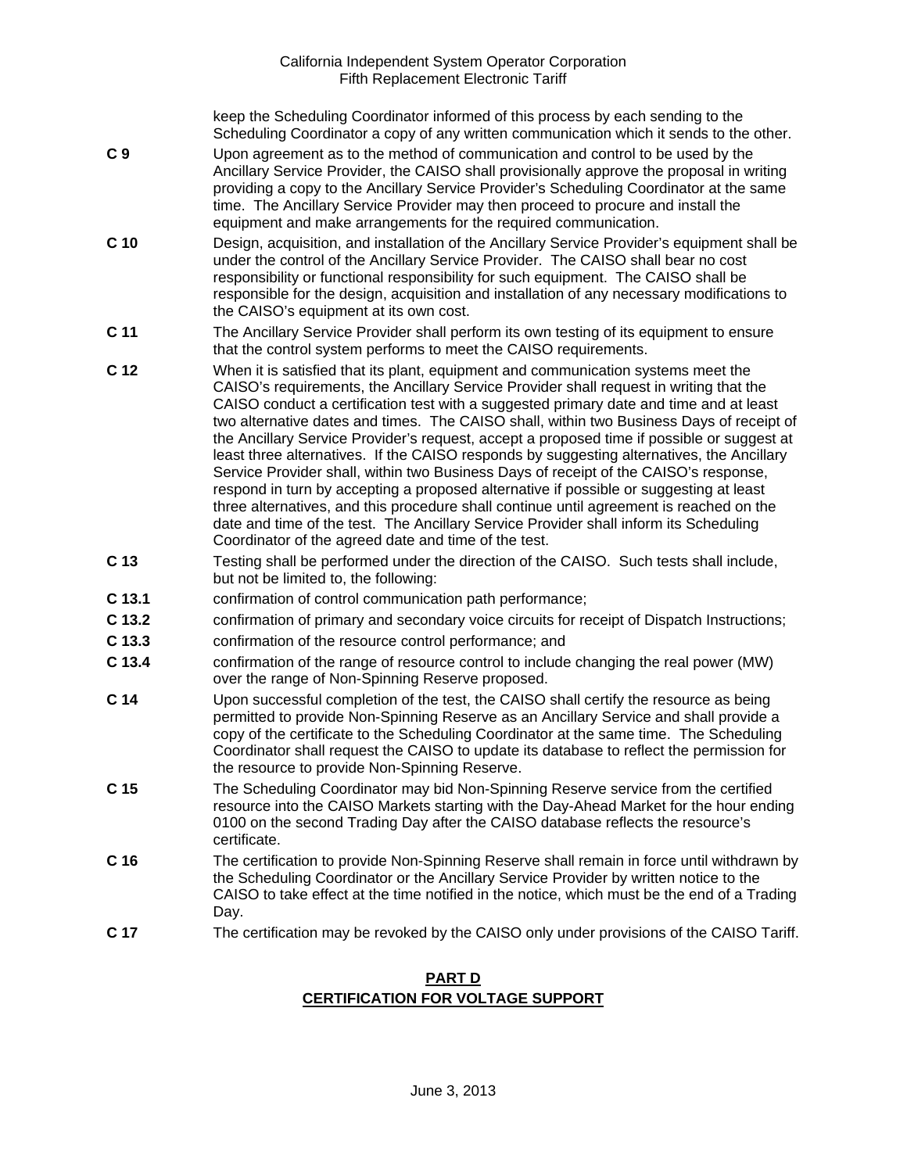keep the Scheduling Coordinator informed of this process by each sending to the Scheduling Coordinator a copy of any written communication which it sends to the other.

- **C 9** Upon agreement as to the method of communication and control to be used by the Ancillary Service Provider, the CAISO shall provisionally approve the proposal in writing providing a copy to the Ancillary Service Provider's Scheduling Coordinator at the same time. The Ancillary Service Provider may then proceed to procure and install the equipment and make arrangements for the required communication.
- **C 10** Design, acquisition, and installation of the Ancillary Service Provider's equipment shall be under the control of the Ancillary Service Provider. The CAISO shall bear no cost responsibility or functional responsibility for such equipment. The CAISO shall be responsible for the design, acquisition and installation of any necessary modifications to the CAISO's equipment at its own cost.
- **C 11** The Ancillary Service Provider shall perform its own testing of its equipment to ensure that the control system performs to meet the CAISO requirements.
- **C 12** When it is satisfied that its plant, equipment and communication systems meet the CAISO's requirements, the Ancillary Service Provider shall request in writing that the CAISO conduct a certification test with a suggested primary date and time and at least two alternative dates and times. The CAISO shall, within two Business Days of receipt of the Ancillary Service Provider's request, accept a proposed time if possible or suggest at least three alternatives. If the CAISO responds by suggesting alternatives, the Ancillary Service Provider shall, within two Business Days of receipt of the CAISO's response, respond in turn by accepting a proposed alternative if possible or suggesting at least three alternatives, and this procedure shall continue until agreement is reached on the date and time of the test. The Ancillary Service Provider shall inform its Scheduling Coordinator of the agreed date and time of the test.
- **C 13** Testing shall be performed under the direction of the CAISO. Such tests shall include, but not be limited to, the following:
- **C 13.1** confirmation of control communication path performance;
- **C 13.2** confirmation of primary and secondary voice circuits for receipt of Dispatch Instructions;
- **C 13.3** confirmation of the resource control performance; and
- **C 13.4** confirmation of the range of resource control to include changing the real power (MW) over the range of Non-Spinning Reserve proposed.
- **C 14** Upon successful completion of the test, the CAISO shall certify the resource as being permitted to provide Non-Spinning Reserve as an Ancillary Service and shall provide a copy of the certificate to the Scheduling Coordinator at the same time. The Scheduling Coordinator shall request the CAISO to update its database to reflect the permission for the resource to provide Non-Spinning Reserve.
- **C 15** The Scheduling Coordinator may bid Non-Spinning Reserve service from the certified resource into the CAISO Markets starting with the Day-Ahead Market for the hour ending 0100 on the second Trading Day after the CAISO database reflects the resource's certificate.
- **C 16** The certification to provide Non-Spinning Reserve shall remain in force until withdrawn by the Scheduling Coordinator or the Ancillary Service Provider by written notice to the CAISO to take effect at the time notified in the notice, which must be the end of a Trading Day.
- **C 17** The certification may be revoked by the CAISO only under provisions of the CAISO Tariff.

# **PART D CERTIFICATION FOR VOLTAGE SUPPORT**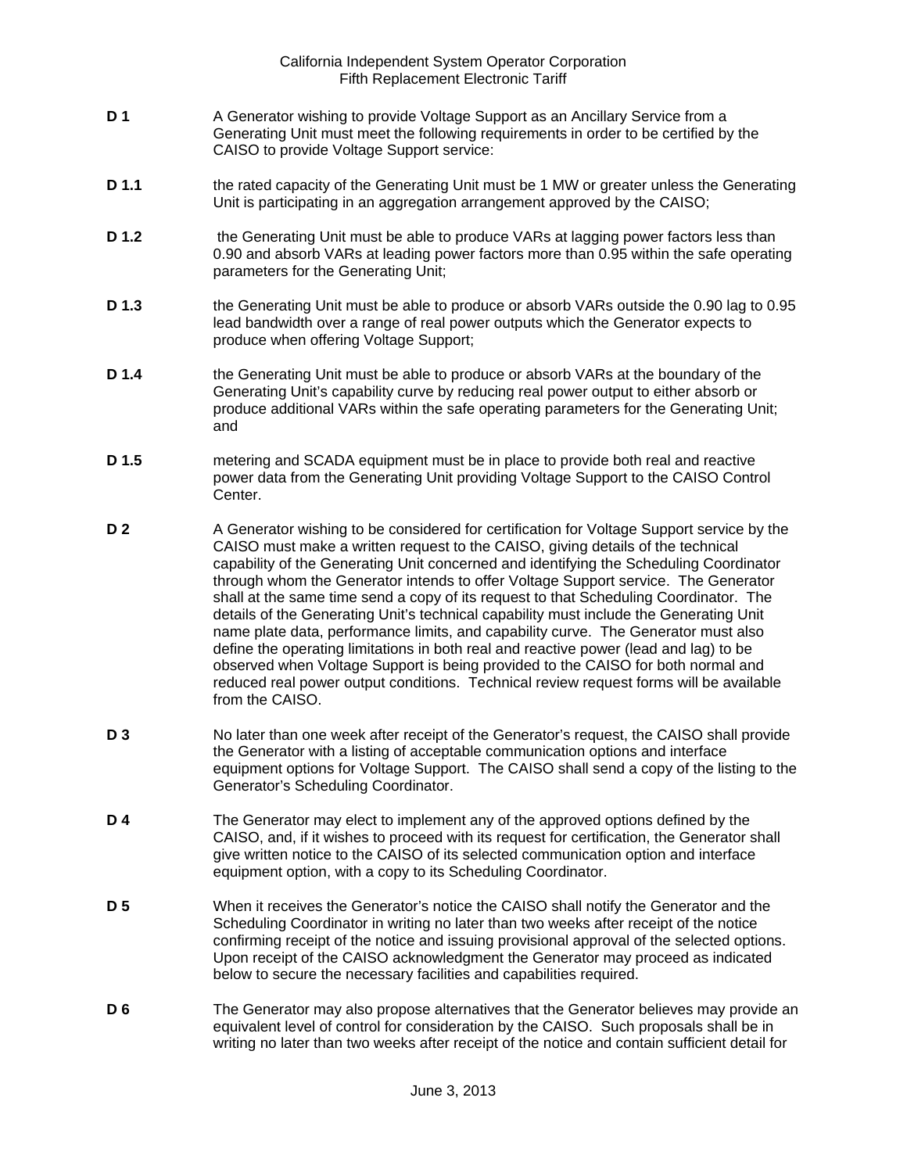- **D 1** A Generator wishing to provide Voltage Support as an Ancillary Service from a Generating Unit must meet the following requirements in order to be certified by the CAISO to provide Voltage Support service:
- **D 1.1** the rated capacity of the Generating Unit must be 1 MW or greater unless the Generating Unit is participating in an aggregation arrangement approved by the CAISO;
- **D 1.2** the Generating Unit must be able to produce VARs at lagging power factors less than 0.90 and absorb VARs at leading power factors more than 0.95 within the safe operating parameters for the Generating Unit;
- **D 1.3** the Generating Unit must be able to produce or absorb VARs outside the 0.90 lag to 0.95 lead bandwidth over a range of real power outputs which the Generator expects to produce when offering Voltage Support;
- **D 1.4** the Generating Unit must be able to produce or absorb VARs at the boundary of the Generating Unit's capability curve by reducing real power output to either absorb or produce additional VARs within the safe operating parameters for the Generating Unit; and
- **D 1.5** metering and SCADA equipment must be in place to provide both real and reactive power data from the Generating Unit providing Voltage Support to the CAISO Control Center.
- **D 2** A Generator wishing to be considered for certification for Voltage Support service by the CAISO must make a written request to the CAISO, giving details of the technical capability of the Generating Unit concerned and identifying the Scheduling Coordinator through whom the Generator intends to offer Voltage Support service. The Generator shall at the same time send a copy of its request to that Scheduling Coordinator. The details of the Generating Unit's technical capability must include the Generating Unit name plate data, performance limits, and capability curve. The Generator must also define the operating limitations in both real and reactive power (lead and lag) to be observed when Voltage Support is being provided to the CAISO for both normal and reduced real power output conditions. Technical review request forms will be available from the CAISO.
- **D 3** No later than one week after receipt of the Generator's request, the CAISO shall provide the Generator with a listing of acceptable communication options and interface equipment options for Voltage Support. The CAISO shall send a copy of the listing to the Generator's Scheduling Coordinator.
- **D 4** The Generator may elect to implement any of the approved options defined by the CAISO, and, if it wishes to proceed with its request for certification, the Generator shall give written notice to the CAISO of its selected communication option and interface equipment option, with a copy to its Scheduling Coordinator.
- **D 5** When it receives the Generator's notice the CAISO shall notify the Generator and the Scheduling Coordinator in writing no later than two weeks after receipt of the notice confirming receipt of the notice and issuing provisional approval of the selected options. Upon receipt of the CAISO acknowledgment the Generator may proceed as indicated below to secure the necessary facilities and capabilities required.
- **D 6** The Generator may also propose alternatives that the Generator believes may provide an equivalent level of control for consideration by the CAISO. Such proposals shall be in writing no later than two weeks after receipt of the notice and contain sufficient detail for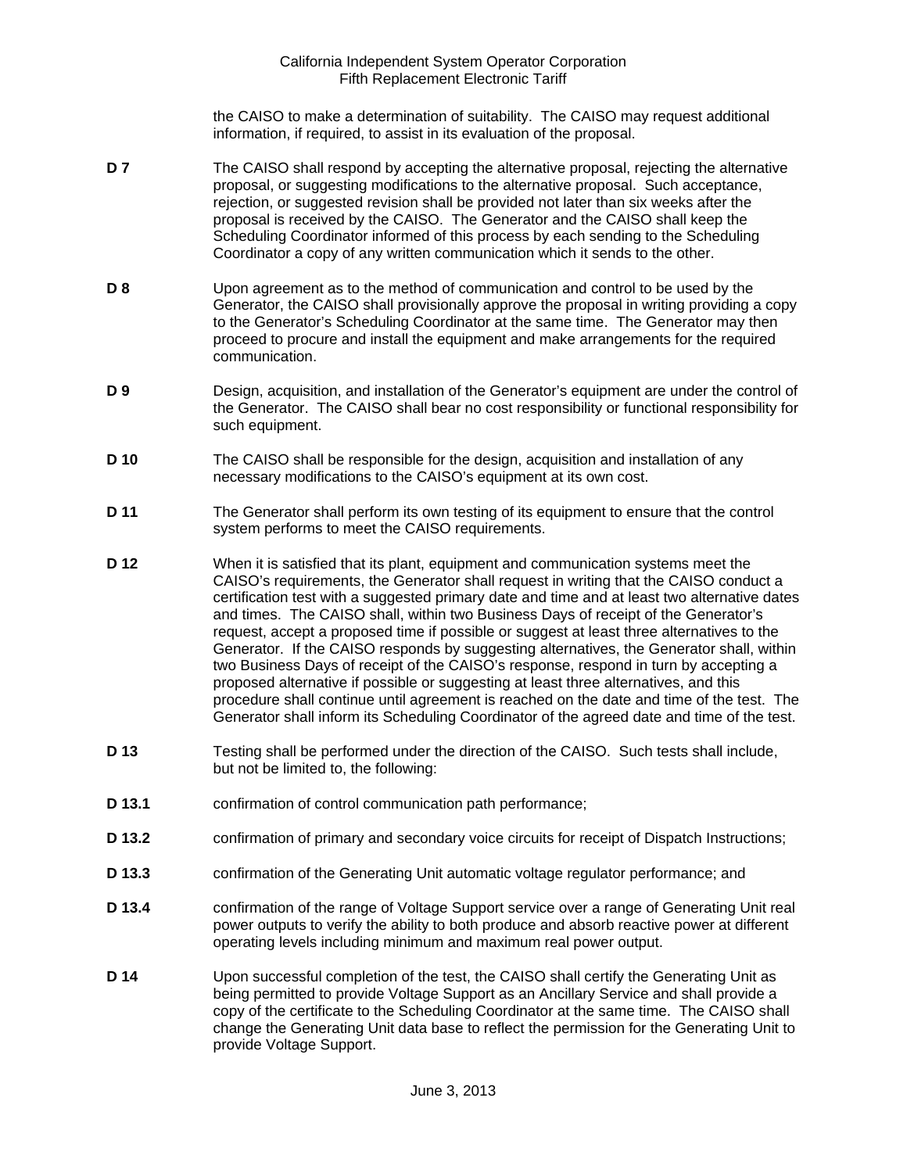the CAISO to make a determination of suitability. The CAISO may request additional information, if required, to assist in its evaluation of the proposal.

- **D 7** The CAISO shall respond by accepting the alternative proposal, rejecting the alternative proposal, or suggesting modifications to the alternative proposal. Such acceptance, rejection, or suggested revision shall be provided not later than six weeks after the proposal is received by the CAISO. The Generator and the CAISO shall keep the Scheduling Coordinator informed of this process by each sending to the Scheduling Coordinator a copy of any written communication which it sends to the other.
- **D 8** Upon agreement as to the method of communication and control to be used by the Generator, the CAISO shall provisionally approve the proposal in writing providing a copy to the Generator's Scheduling Coordinator at the same time. The Generator may then proceed to procure and install the equipment and make arrangements for the required communication.
- **D 9** Design, acquisition, and installation of the Generator's equipment are under the control of the Generator. The CAISO shall bear no cost responsibility or functional responsibility for such equipment.
- **D 10** The CAISO shall be responsible for the design, acquisition and installation of any necessary modifications to the CAISO's equipment at its own cost.
- **D 11** The Generator shall perform its own testing of its equipment to ensure that the control system performs to meet the CAISO requirements.
- **D 12** When it is satisfied that its plant, equipment and communication systems meet the CAISO's requirements, the Generator shall request in writing that the CAISO conduct a certification test with a suggested primary date and time and at least two alternative dates and times. The CAISO shall, within two Business Days of receipt of the Generator's request, accept a proposed time if possible or suggest at least three alternatives to the Generator. If the CAISO responds by suggesting alternatives, the Generator shall, within two Business Days of receipt of the CAISO's response, respond in turn by accepting a proposed alternative if possible or suggesting at least three alternatives, and this procedure shall continue until agreement is reached on the date and time of the test. The Generator shall inform its Scheduling Coordinator of the agreed date and time of the test.
- **D 13** Testing shall be performed under the direction of the CAISO. Such tests shall include, but not be limited to, the following:
- **D 13.1** confirmation of control communication path performance;
- **D 13.2** confirmation of primary and secondary voice circuits for receipt of Dispatch Instructions;
- **D 13.3** confirmation of the Generating Unit automatic voltage regulator performance; and
- **D 13.4** confirmation of the range of Voltage Support service over a range of Generating Unit real power outputs to verify the ability to both produce and absorb reactive power at different operating levels including minimum and maximum real power output.
- **D 14** Upon successful completion of the test, the CAISO shall certify the Generating Unit as being permitted to provide Voltage Support as an Ancillary Service and shall provide a copy of the certificate to the Scheduling Coordinator at the same time. The CAISO shall change the Generating Unit data base to reflect the permission for the Generating Unit to provide Voltage Support.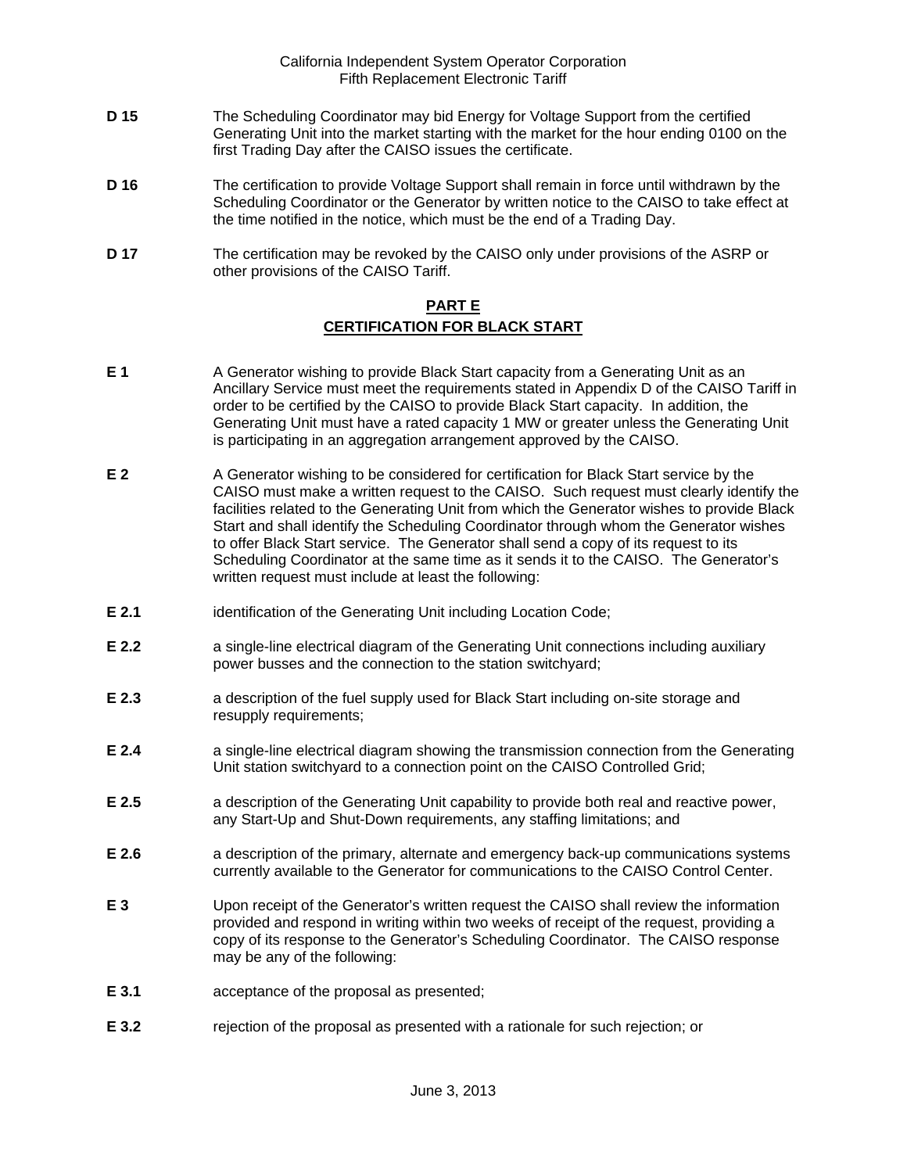- **D 15** The Scheduling Coordinator may bid Energy for Voltage Support from the certified Generating Unit into the market starting with the market for the hour ending 0100 on the first Trading Day after the CAISO issues the certificate.
- **D 16** The certification to provide Voltage Support shall remain in force until withdrawn by the Scheduling Coordinator or the Generator by written notice to the CAISO to take effect at the time notified in the notice, which must be the end of a Trading Day.
- **D 17** The certification may be revoked by the CAISO only under provisions of the ASRP or other provisions of the CAISO Tariff.

# **PART E CERTIFICATION FOR BLACK START**

- **E 1** A Generator wishing to provide Black Start capacity from a Generating Unit as an Ancillary Service must meet the requirements stated in Appendix D of the CAISO Tariff in order to be certified by the CAISO to provide Black Start capacity. In addition, the Generating Unit must have a rated capacity 1 MW or greater unless the Generating Unit is participating in an aggregation arrangement approved by the CAISO.
- **E 2** A Generator wishing to be considered for certification for Black Start service by the CAISO must make a written request to the CAISO. Such request must clearly identify the facilities related to the Generating Unit from which the Generator wishes to provide Black Start and shall identify the Scheduling Coordinator through whom the Generator wishes to offer Black Start service. The Generator shall send a copy of its request to its Scheduling Coordinator at the same time as it sends it to the CAISO. The Generator's written request must include at least the following:
- **E 2.1** identification of the Generating Unit including Location Code;
- **E 2.2 a** single-line electrical diagram of the Generating Unit connections including auxiliary power busses and the connection to the station switchyard;
- **E 2.3** a description of the fuel supply used for Black Start including on-site storage and resupply requirements;
- **E 2.4** a single-line electrical diagram showing the transmission connection from the Generating Unit station switchyard to a connection point on the CAISO Controlled Grid;
- **E 2.5** a description of the Generating Unit capability to provide both real and reactive power, any Start-Up and Shut-Down requirements, any staffing limitations; and
- **E 2.6** a description of the primary, alternate and emergency back-up communications systems currently available to the Generator for communications to the CAISO Control Center.
- **E 3** Upon receipt of the Generator's written request the CAISO shall review the information provided and respond in writing within two weeks of receipt of the request, providing a copy of its response to the Generator's Scheduling Coordinator. The CAISO response may be any of the following:
- **E 3.1** acceptance of the proposal as presented;
- **E 3.2** rejection of the proposal as presented with a rationale for such rejection; or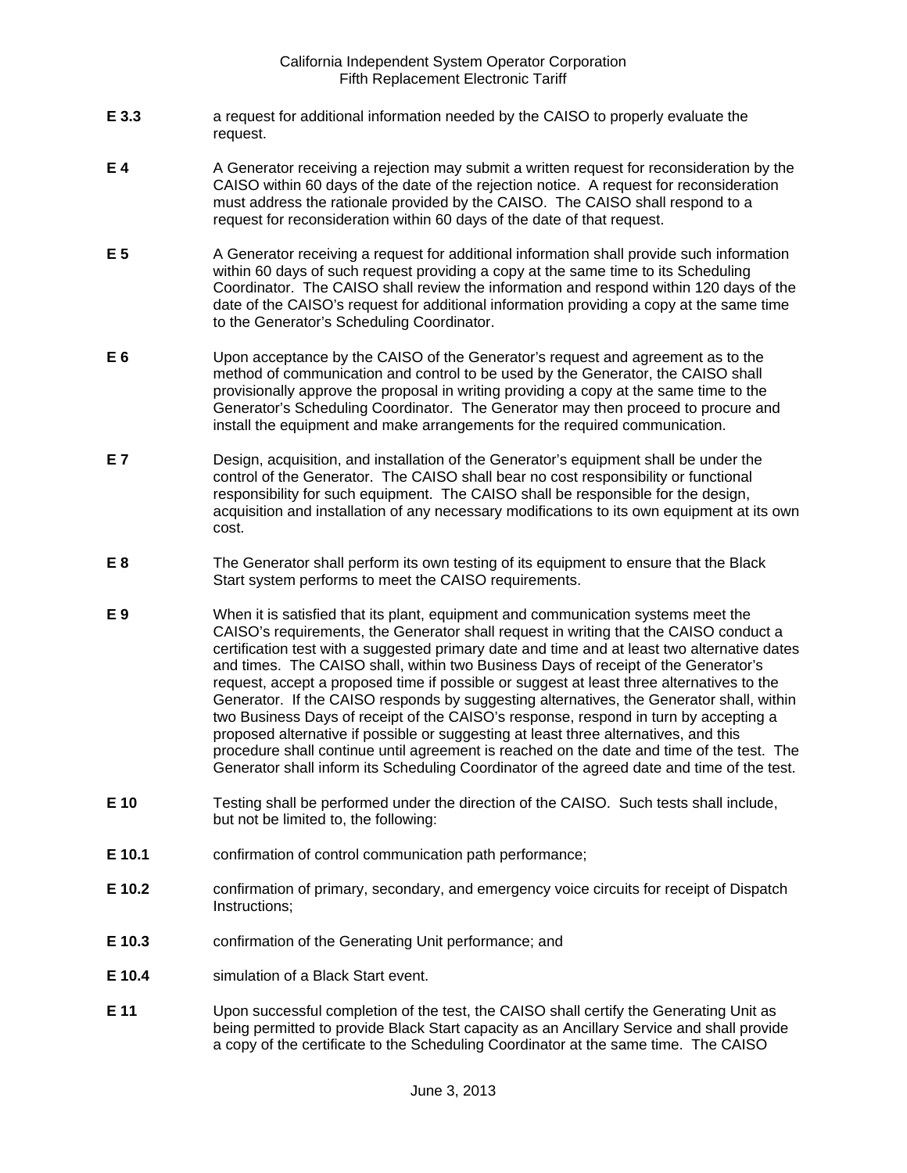- **E 3.3** a request for additional information needed by the CAISO to properly evaluate the request.
- **E 4** A Generator receiving a rejection may submit a written request for reconsideration by the CAISO within 60 days of the date of the rejection notice. A request for reconsideration must address the rationale provided by the CAISO. The CAISO shall respond to a request for reconsideration within 60 days of the date of that request.
- **E 5** A Generator receiving a request for additional information shall provide such information within 60 days of such request providing a copy at the same time to its Scheduling Coordinator. The CAISO shall review the information and respond within 120 days of the date of the CAISO's request for additional information providing a copy at the same time to the Generator's Scheduling Coordinator.
- **E 6** Upon acceptance by the CAISO of the Generator's request and agreement as to the method of communication and control to be used by the Generator, the CAISO shall provisionally approve the proposal in writing providing a copy at the same time to the Generator's Scheduling Coordinator. The Generator may then proceed to procure and install the equipment and make arrangements for the required communication.
- **E 7** Design, acquisition, and installation of the Generator's equipment shall be under the control of the Generator. The CAISO shall bear no cost responsibility or functional responsibility for such equipment. The CAISO shall be responsible for the design, acquisition and installation of any necessary modifications to its own equipment at its own cost.
- **E 8** The Generator shall perform its own testing of its equipment to ensure that the Black Start system performs to meet the CAISO requirements.
- **E 9** When it is satisfied that its plant, equipment and communication systems meet the CAISO's requirements, the Generator shall request in writing that the CAISO conduct a certification test with a suggested primary date and time and at least two alternative dates and times. The CAISO shall, within two Business Days of receipt of the Generator's request, accept a proposed time if possible or suggest at least three alternatives to the Generator. If the CAISO responds by suggesting alternatives, the Generator shall, within two Business Days of receipt of the CAISO's response, respond in turn by accepting a proposed alternative if possible or suggesting at least three alternatives, and this procedure shall continue until agreement is reached on the date and time of the test. The Generator shall inform its Scheduling Coordinator of the agreed date and time of the test.
- **E 10** Testing shall be performed under the direction of the CAISO. Such tests shall include, but not be limited to, the following:
- **E 10.1** confirmation of control communication path performance;
- **E 10.2** confirmation of primary, secondary, and emergency voice circuits for receipt of Dispatch Instructions;
- **E 10.3** confirmation of the Generating Unit performance; and
- **E 10.4** simulation of a Black Start event.
- **E 11** Upon successful completion of the test, the CAISO shall certify the Generating Unit as being permitted to provide Black Start capacity as an Ancillary Service and shall provide a copy of the certificate to the Scheduling Coordinator at the same time. The CAISO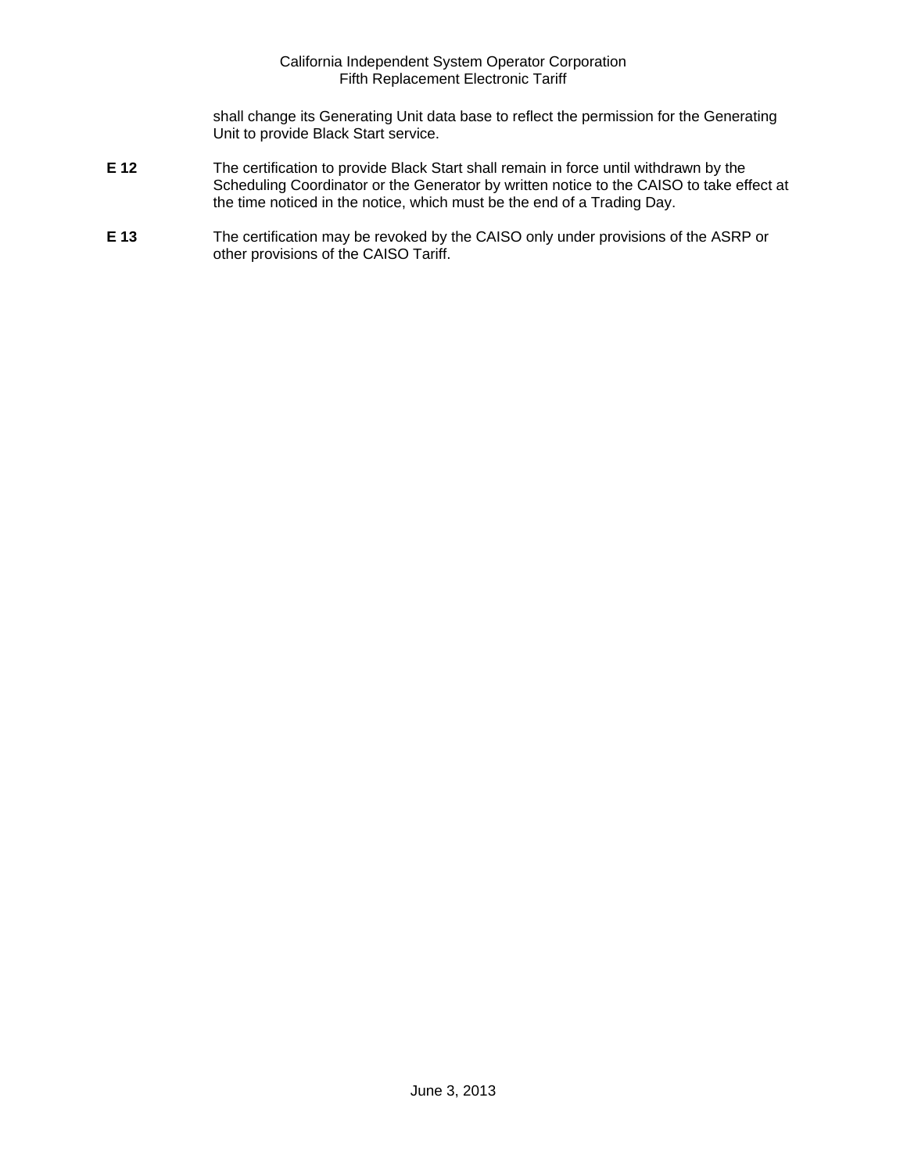shall change its Generating Unit data base to reflect the permission for the Generating Unit to provide Black Start service.

- **E 12** The certification to provide Black Start shall remain in force until withdrawn by the Scheduling Coordinator or the Generator by written notice to the CAISO to take effect at the time noticed in the notice, which must be the end of a Trading Day.
- **E 13** The certification may be revoked by the CAISO only under provisions of the ASRP or other provisions of the CAISO Tariff.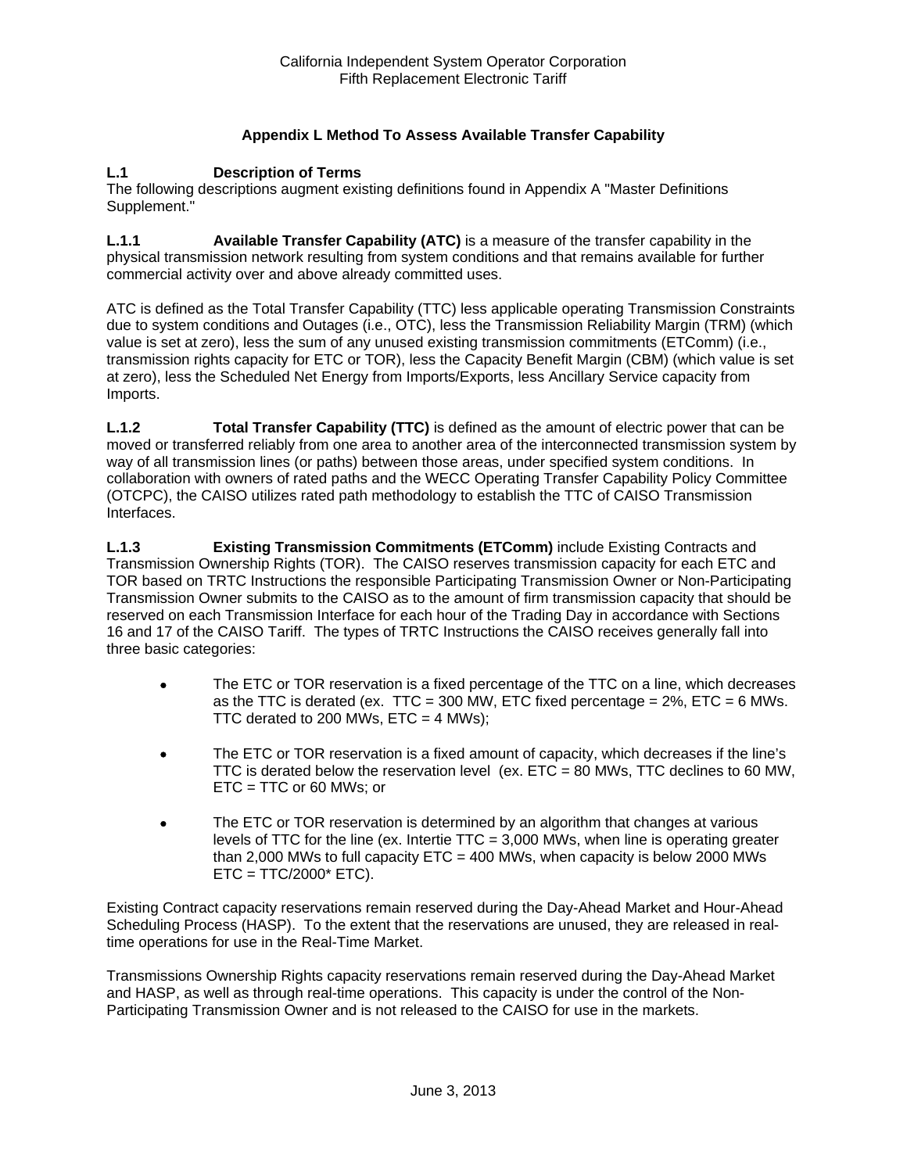# **Appendix L Method To Assess Available Transfer Capability**

#### **L.1 Description of Terms**

The following descriptions augment existing definitions found in Appendix A "Master Definitions Supplement."

**L.1.1 Available Transfer Capability (ATC)** is a measure of the transfer capability in the physical transmission network resulting from system conditions and that remains available for further commercial activity over and above already committed uses.

ATC is defined as the Total Transfer Capability (TTC) less applicable operating Transmission Constraints due to system conditions and Outages (i.e., OTC), less the Transmission Reliability Margin (TRM) (which value is set at zero), less the sum of any unused existing transmission commitments (ETComm) (i.e., transmission rights capacity for ETC or TOR), less the Capacity Benefit Margin (CBM) (which value is set at zero), less the Scheduled Net Energy from Imports/Exports, less Ancillary Service capacity from Imports.

**L.1.2 Total Transfer Capability (TTC)** is defined as the amount of electric power that can be moved or transferred reliably from one area to another area of the interconnected transmission system by way of all transmission lines (or paths) between those areas, under specified system conditions. In collaboration with owners of rated paths and the WECC Operating Transfer Capability Policy Committee (OTCPC), the CAISO utilizes rated path methodology to establish the TTC of CAISO Transmission Interfaces.

**L.1.3 Existing Transmission Commitments (ETComm)** include Existing Contracts and Transmission Ownership Rights (TOR). The CAISO reserves transmission capacity for each ETC and TOR based on TRTC Instructions the responsible Participating Transmission Owner or Non-Participating Transmission Owner submits to the CAISO as to the amount of firm transmission capacity that should be reserved on each Transmission Interface for each hour of the Trading Day in accordance with Sections 16 and 17 of the CAISO Tariff. The types of TRTC Instructions the CAISO receives generally fall into three basic categories:

- The ETC or TOR reservation is a fixed percentage of the TTC on a line, which decreases as the TTC is derated (ex. TTC = 300 MW, ETC fixed percentage =  $2\%$ , ETC = 6 MWs. TTC derated to 200 MWs,  $ETC = 4$  MWs);
- The ETC or TOR reservation is a fixed amount of capacity, which decreases if the line's TTC is derated below the reservation level (ex.  $ETC = 80$  MWs, TTC declines to 60 MW, ETC = TTC or 60 MWs; or
- The ETC or TOR reservation is determined by an algorithm that changes at various levels of TTC for the line (ex. Intertie  $TTC = 3,000$  MWs, when line is operating greater than 2,000 MWs to full capacity  $ETC = 400$  MWs, when capacity is below 2000 MWs  $ETC = TTC/2000* ETC$ ).

Existing Contract capacity reservations remain reserved during the Day-Ahead Market and Hour-Ahead Scheduling Process (HASP). To the extent that the reservations are unused, they are released in realtime operations for use in the Real-Time Market.

Transmissions Ownership Rights capacity reservations remain reserved during the Day-Ahead Market and HASP, as well as through real-time operations. This capacity is under the control of the Non-Participating Transmission Owner and is not released to the CAISO for use in the markets.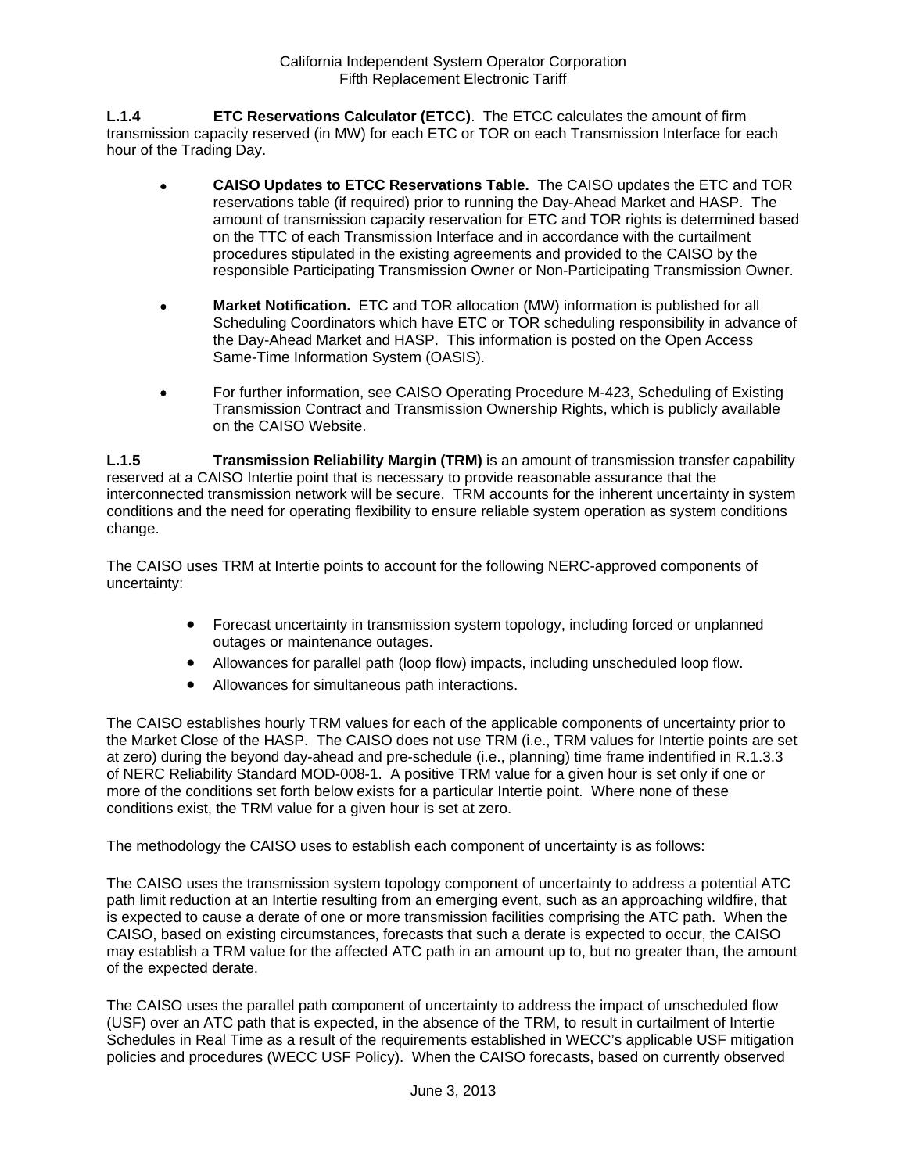**L.1.4 ETC Reservations Calculator (ETCC)**. The ETCC calculates the amount of firm transmission capacity reserved (in MW) for each ETC or TOR on each Transmission Interface for each hour of the Trading Day.

- **CAISO Updates to ETCC Reservations Table.** The CAISO updates the ETC and TOR reservations table (if required) prior to running the Day-Ahead Market and HASP. The amount of transmission capacity reservation for ETC and TOR rights is determined based on the TTC of each Transmission Interface and in accordance with the curtailment procedures stipulated in the existing agreements and provided to the CAISO by the responsible Participating Transmission Owner or Non-Participating Transmission Owner.
- **Market Notification.** ETC and TOR allocation (MW) information is published for all Scheduling Coordinators which have ETC or TOR scheduling responsibility in advance of the Day-Ahead Market and HASP. This information is posted on the Open Access Same-Time Information System (OASIS).
- For further information, see CAISO Operating Procedure M-423, Scheduling of Existing Transmission Contract and Transmission Ownership Rights, which is publicly available on the CAISO Website.

**L.1.5 Transmission Reliability Margin (TRM)** is an amount of transmission transfer capability reserved at a CAISO Intertie point that is necessary to provide reasonable assurance that the interconnected transmission network will be secure. TRM accounts for the inherent uncertainty in system conditions and the need for operating flexibility to ensure reliable system operation as system conditions change.

The CAISO uses TRM at Intertie points to account for the following NERC-approved components of uncertainty:

- Forecast uncertainty in transmission system topology, including forced or unplanned outages or maintenance outages.
- Allowances for parallel path (loop flow) impacts, including unscheduled loop flow.
- Allowances for simultaneous path interactions.

The CAISO establishes hourly TRM values for each of the applicable components of uncertainty prior to the Market Close of the HASP. The CAISO does not use TRM (i.e., TRM values for Intertie points are set at zero) during the beyond day-ahead and pre-schedule (i.e., planning) time frame indentified in R.1.3.3 of NERC Reliability Standard MOD-008-1. A positive TRM value for a given hour is set only if one or more of the conditions set forth below exists for a particular Intertie point. Where none of these conditions exist, the TRM value for a given hour is set at zero.

The methodology the CAISO uses to establish each component of uncertainty is as follows:

The CAISO uses the transmission system topology component of uncertainty to address a potential ATC path limit reduction at an Intertie resulting from an emerging event, such as an approaching wildfire, that is expected to cause a derate of one or more transmission facilities comprising the ATC path. When the CAISO, based on existing circumstances, forecasts that such a derate is expected to occur, the CAISO may establish a TRM value for the affected ATC path in an amount up to, but no greater than, the amount of the expected derate.

The CAISO uses the parallel path component of uncertainty to address the impact of unscheduled flow (USF) over an ATC path that is expected, in the absence of the TRM, to result in curtailment of Intertie Schedules in Real Time as a result of the requirements established in WECC's applicable USF mitigation policies and procedures (WECC USF Policy). When the CAISO forecasts, based on currently observed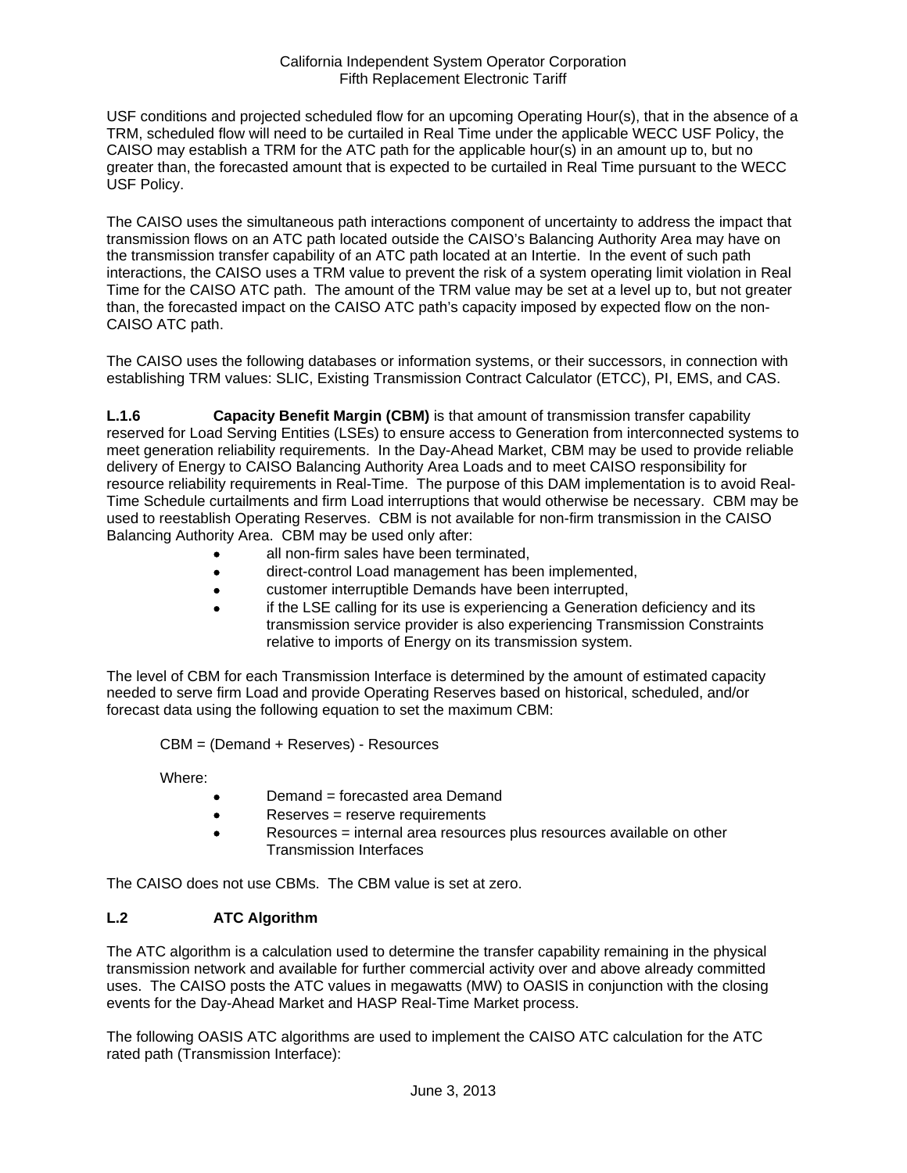USF conditions and projected scheduled flow for an upcoming Operating Hour(s), that in the absence of a TRM, scheduled flow will need to be curtailed in Real Time under the applicable WECC USF Policy, the CAISO may establish a TRM for the ATC path for the applicable hour(s) in an amount up to, but no greater than, the forecasted amount that is expected to be curtailed in Real Time pursuant to the WECC USF Policy.

The CAISO uses the simultaneous path interactions component of uncertainty to address the impact that transmission flows on an ATC path located outside the CAISO's Balancing Authority Area may have on the transmission transfer capability of an ATC path located at an Intertie. In the event of such path interactions, the CAISO uses a TRM value to prevent the risk of a system operating limit violation in Real Time for the CAISO ATC path. The amount of the TRM value may be set at a level up to, but not greater than, the forecasted impact on the CAISO ATC path's capacity imposed by expected flow on the non-CAISO ATC path.

The CAISO uses the following databases or information systems, or their successors, in connection with establishing TRM values: SLIC, Existing Transmission Contract Calculator (ETCC), PI, EMS, and CAS.

**L.1.6 Capacity Benefit Margin (CBM)** is that amount of transmission transfer capability reserved for Load Serving Entities (LSEs) to ensure access to Generation from interconnected systems to meet generation reliability requirements. In the Day-Ahead Market, CBM may be used to provide reliable delivery of Energy to CAISO Balancing Authority Area Loads and to meet CAISO responsibility for resource reliability requirements in Real-Time. The purpose of this DAM implementation is to avoid Real-Time Schedule curtailments and firm Load interruptions that would otherwise be necessary. CBM may be used to reestablish Operating Reserves. CBM is not available for non-firm transmission in the CAISO Balancing Authority Area. CBM may be used only after:

- all non-firm sales have been terminated,
- direct-control Load management has been implemented,
- customer interruptible Demands have been interrupted,
- if the LSE calling for its use is experiencing a Generation deficiency and its transmission service provider is also experiencing Transmission Constraints relative to imports of Energy on its transmission system.

The level of CBM for each Transmission Interface is determined by the amount of estimated capacity needed to serve firm Load and provide Operating Reserves based on historical, scheduled, and/or forecast data using the following equation to set the maximum CBM:

CBM = (Demand + Reserves) - Resources

Where:

- Demand = forecasted area Demand
- Reserves = reserve requirements
- Resources = internal area resources plus resources available on other Transmission Interfaces

The CAISO does not use CBMs. The CBM value is set at zero.

## **L.2 ATC Algorithm**

The ATC algorithm is a calculation used to determine the transfer capability remaining in the physical transmission network and available for further commercial activity over and above already committed uses. The CAISO posts the ATC values in megawatts (MW) to OASIS in conjunction with the closing events for the Day-Ahead Market and HASP Real-Time Market process.

The following OASIS ATC algorithms are used to implement the CAISO ATC calculation for the ATC rated path (Transmission Interface):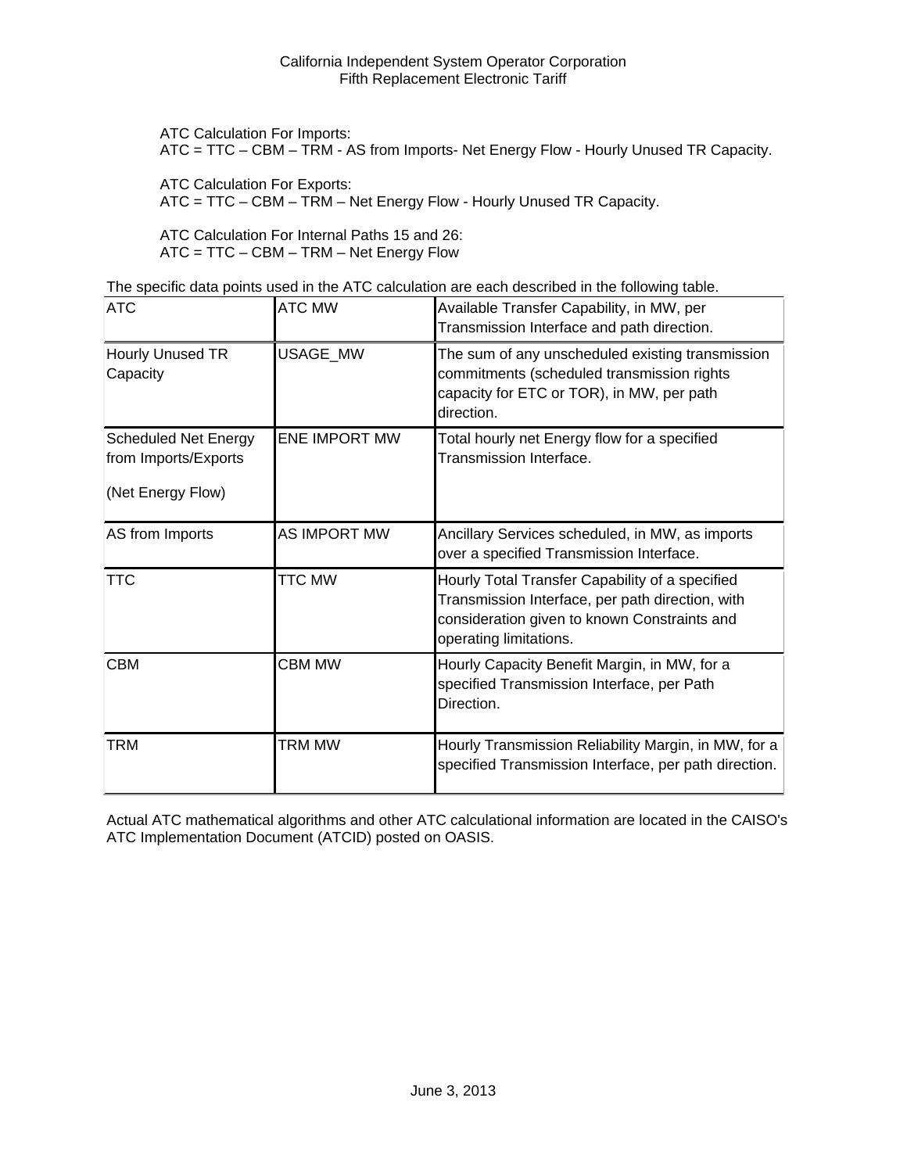ATC Calculation For Imports:

ATC = TTC – CBM – TRM - AS from Imports- Net Energy Flow - Hourly Unused TR Capacity.

ATC Calculation For Exports:

ATC = TTC – CBM – TRM – Net Energy Flow - Hourly Unused TR Capacity.

ATC Calculation For Internal Paths 15 and 26: ATC = TTC – CBM – TRM – Net Energy Flow

The specific data points used in the ATC calculation are each described in the following table.

| <b>ATC</b>                                                               | <b>ATC MW</b>        | Available Transfer Capability, in MW, per<br>Transmission Interface and path direction.                                                                                       |
|--------------------------------------------------------------------------|----------------------|-------------------------------------------------------------------------------------------------------------------------------------------------------------------------------|
| Hourly Unused TR<br>Capacity                                             | USAGE_MW             | The sum of any unscheduled existing transmission<br>commitments (scheduled transmission rights<br>capacity for ETC or TOR), in MW, per path<br>direction.                     |
| <b>Scheduled Net Energy</b><br>from Imports/Exports<br>(Net Energy Flow) | <b>ENE IMPORT MW</b> | Total hourly net Energy flow for a specified<br>Transmission Interface.                                                                                                       |
| AS from Imports                                                          | <b>AS IMPORT MW</b>  | Ancillary Services scheduled, in MW, as imports<br>over a specified Transmission Interface.                                                                                   |
| <b>TTC</b>                                                               | <b>TTC MW</b>        | Hourly Total Transfer Capability of a specified<br>Transmission Interface, per path direction, with<br>consideration given to known Constraints and<br>operating limitations. |
| <b>CBM</b>                                                               | <b>CBM MW</b>        | Hourly Capacity Benefit Margin, in MW, for a<br>specified Transmission Interface, per Path<br>Direction.                                                                      |
| <b>TRM</b>                                                               | TRM MW               | Hourly Transmission Reliability Margin, in MW, for a<br>specified Transmission Interface, per path direction.                                                                 |

Actual ATC mathematical algorithms and other ATC calculational information are located in the CAISO's ATC Implementation Document (ATCID) posted on OASIS.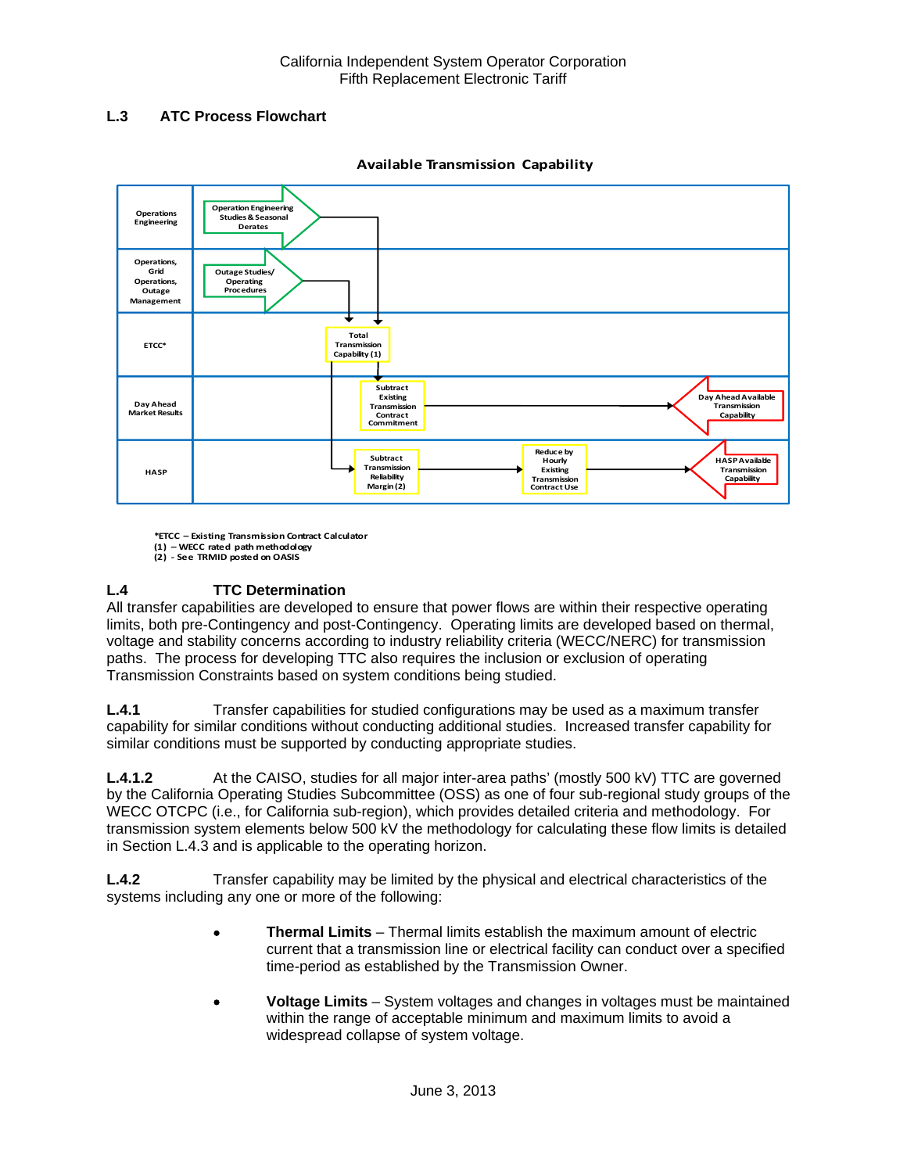# **L.3 ATC Process Flowchart**



**Available Transmission Capability**

**\*ETCC – Existing Transmission Contract Calculator (1) – WECC rated path methodology (2) ‐ See TRMID posted on OASIS**

# **L.4 TTC Determination**

All transfer capabilities are developed to ensure that power flows are within their respective operating limits, both pre-Contingency and post-Contingency. Operating limits are developed based on thermal, voltage and stability concerns according to industry reliability criteria (WECC/NERC) for transmission paths. The process for developing TTC also requires the inclusion or exclusion of operating Transmission Constraints based on system conditions being studied.

**L.4.1** Transfer capabilities for studied configurations may be used as a maximum transfer capability for similar conditions without conducting additional studies. Increased transfer capability for similar conditions must be supported by conducting appropriate studies.

**L.4.1.2** At the CAISO, studies for all major inter-area paths' (mostly 500 kV) TTC are governed by the California Operating Studies Subcommittee (OSS) as one of four sub-regional study groups of the WECC OTCPC (i.e., for California sub-region), which provides detailed criteria and methodology. For transmission system elements below 500 kV the methodology for calculating these flow limits is detailed in Section L.4.3 and is applicable to the operating horizon.

**L.4.2** Transfer capability may be limited by the physical and electrical characteristics of the systems including any one or more of the following:

- **Thermal Limits** Thermal limits establish the maximum amount of electric current that a transmission line or electrical facility can conduct over a specified time-period as established by the Transmission Owner.
- **Voltage Limits** System voltages and changes in voltages must be maintained within the range of acceptable minimum and maximum limits to avoid a widespread collapse of system voltage.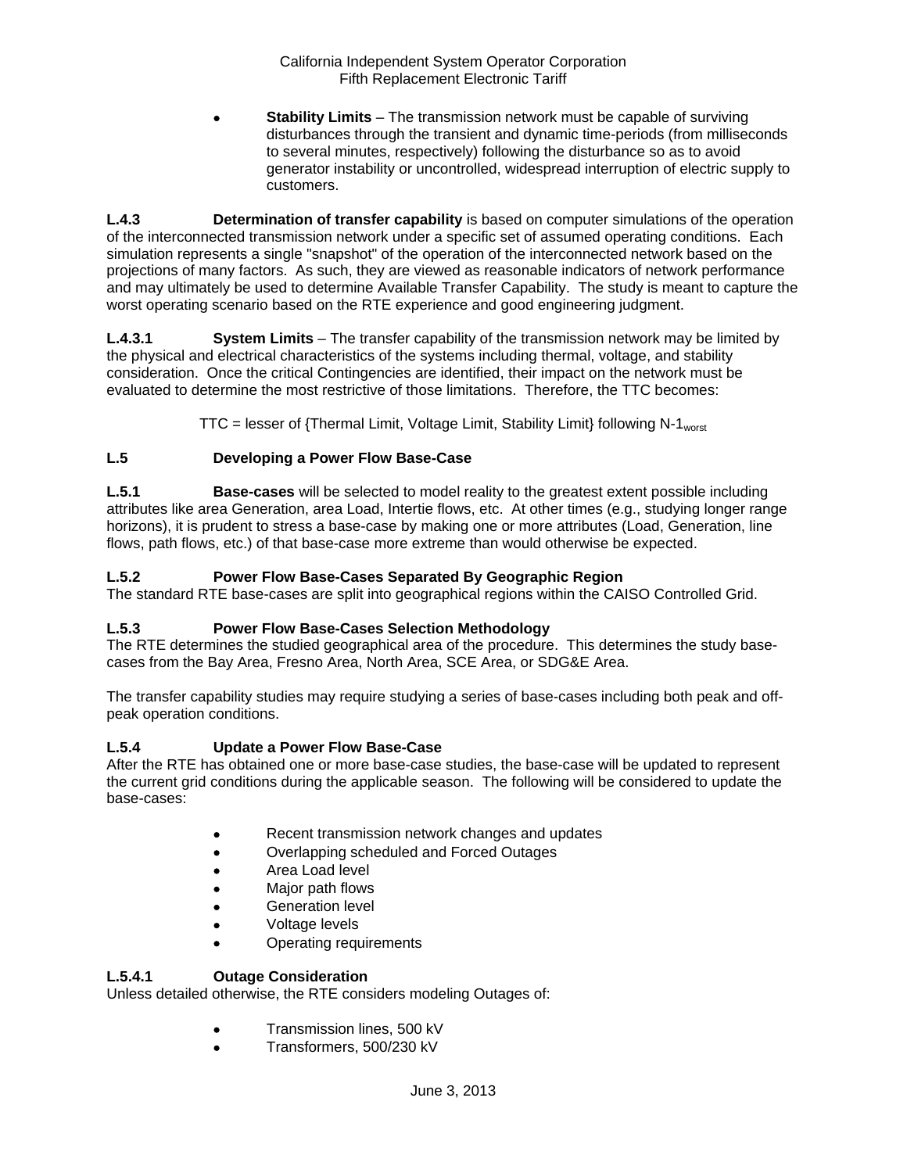**Stability Limits** – The transmission network must be capable of surviving disturbances through the transient and dynamic time-periods (from milliseconds to several minutes, respectively) following the disturbance so as to avoid generator instability or uncontrolled, widespread interruption of electric supply to customers.

**L.4.3 Determination of transfer capability** is based on computer simulations of the operation of the interconnected transmission network under a specific set of assumed operating conditions. Each simulation represents a single "snapshot" of the operation of the interconnected network based on the projections of many factors. As such, they are viewed as reasonable indicators of network performance and may ultimately be used to determine Available Transfer Capability. The study is meant to capture the worst operating scenario based on the RTE experience and good engineering judgment.

**L.4.3.1 System Limits** – The transfer capability of the transmission network may be limited by the physical and electrical characteristics of the systems including thermal, voltage, and stability consideration. Once the critical Contingencies are identified, their impact on the network must be evaluated to determine the most restrictive of those limitations. Therefore, the TTC becomes:

 $TTC =$  lesser of {Thermal Limit, Voltage Limit, Stability Limit} following N-1<sub>worst</sub>

# **L.5 Developing a Power Flow Base-Case**

**L.5.1 Base-cases** will be selected to model reality to the greatest extent possible including attributes like area Generation, area Load, Intertie flows, etc. At other times (e.g., studying longer range horizons), it is prudent to stress a base-case by making one or more attributes (Load, Generation, line flows, path flows, etc.) of that base-case more extreme than would otherwise be expected.

# **L.5.2 Power Flow Base-Cases Separated By Geographic Region**

The standard RTE base-cases are split into geographical regions within the CAISO Controlled Grid.

## **L.5.3 Power Flow Base-Cases Selection Methodology**

The RTE determines the studied geographical area of the procedure. This determines the study basecases from the Bay Area, Fresno Area, North Area, SCE Area, or SDG&E Area.

The transfer capability studies may require studying a series of base-cases including both peak and offpeak operation conditions.

## **L.5.4 Update a Power Flow Base-Case**

After the RTE has obtained one or more base-case studies, the base-case will be updated to represent the current grid conditions during the applicable season. The following will be considered to update the base-cases:

- Recent transmission network changes and updates
- Overlapping scheduled and Forced Outages
- Area Load level
- Major path flows
- Generation level
- Voltage levels
- Operating requirements

## **L.5.4.1 Outage Consideration**

Unless detailed otherwise, the RTE considers modeling Outages of:

- **•** Transmission lines, 500 kV
- Transformers, 500/230 kV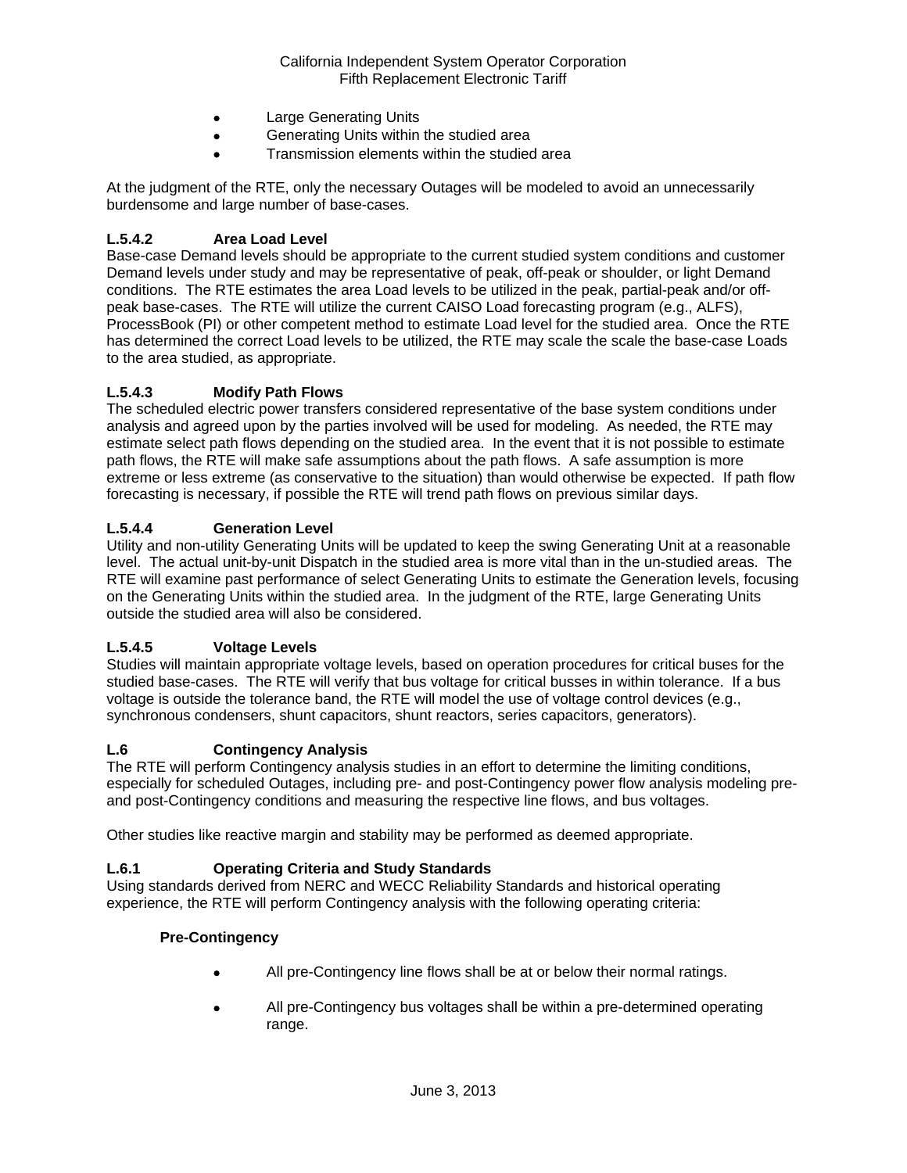- Large Generating Units
- Generating Units within the studied area
- Transmission elements within the studied area

At the judgment of the RTE, only the necessary Outages will be modeled to avoid an unnecessarily burdensome and large number of base-cases.

## **L.5.4.2 Area Load Level**

Base-case Demand levels should be appropriate to the current studied system conditions and customer Demand levels under study and may be representative of peak, off-peak or shoulder, or light Demand conditions. The RTE estimates the area Load levels to be utilized in the peak, partial-peak and/or offpeak base-cases. The RTE will utilize the current CAISO Load forecasting program (e.g., ALFS), ProcessBook (PI) or other competent method to estimate Load level for the studied area. Once the RTE has determined the correct Load levels to be utilized, the RTE may scale the scale the base-case Loads to the area studied, as appropriate.

## **L.5.4.3 Modify Path Flows**

The scheduled electric power transfers considered representative of the base system conditions under analysis and agreed upon by the parties involved will be used for modeling. As needed, the RTE may estimate select path flows depending on the studied area. In the event that it is not possible to estimate path flows, the RTE will make safe assumptions about the path flows. A safe assumption is more extreme or less extreme (as conservative to the situation) than would otherwise be expected. If path flow forecasting is necessary, if possible the RTE will trend path flows on previous similar days.

## **L.5.4.4 Generation Level**

Utility and non-utility Generating Units will be updated to keep the swing Generating Unit at a reasonable level. The actual unit-by-unit Dispatch in the studied area is more vital than in the un-studied areas. The RTE will examine past performance of select Generating Units to estimate the Generation levels, focusing on the Generating Units within the studied area. In the judgment of the RTE, large Generating Units outside the studied area will also be considered.

## **L.5.4.5 Voltage Levels**

Studies will maintain appropriate voltage levels, based on operation procedures for critical buses for the studied base-cases. The RTE will verify that bus voltage for critical busses in within tolerance. If a bus voltage is outside the tolerance band, the RTE will model the use of voltage control devices (e.g., synchronous condensers, shunt capacitors, shunt reactors, series capacitors, generators).

#### **L.6 Contingency Analysis**

The RTE will perform Contingency analysis studies in an effort to determine the limiting conditions, especially for scheduled Outages, including pre- and post-Contingency power flow analysis modeling preand post-Contingency conditions and measuring the respective line flows, and bus voltages.

Other studies like reactive margin and stability may be performed as deemed appropriate.

## **L.6.1 Operating Criteria and Study Standards**

Using standards derived from NERC and WECC Reliability Standards and historical operating experience, the RTE will perform Contingency analysis with the following operating criteria:

#### **Pre-Contingency**

- All pre-Contingency line flows shall be at or below their normal ratings.
- All pre-Contingency bus voltages shall be within a pre-determined operating range.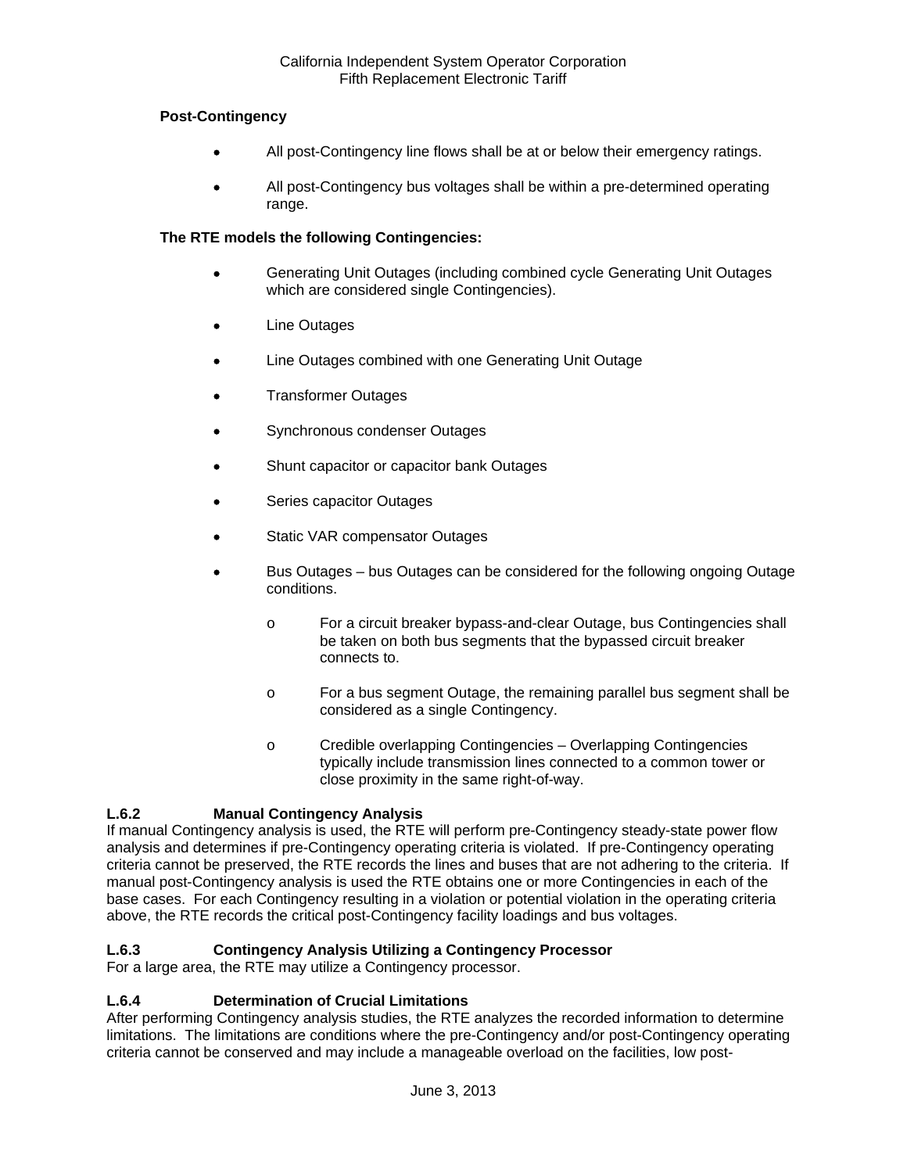## **Post-Contingency**

- All post-Contingency line flows shall be at or below their emergency ratings.
- All post-Contingency bus voltages shall be within a pre-determined operating range.

## **The RTE models the following Contingencies:**

- Generating Unit Outages (including combined cycle Generating Unit Outages which are considered single Contingencies).
- Line Outages
- Line Outages combined with one Generating Unit Outage
- Transformer Outages
- Synchronous condenser Outages
- Shunt capacitor or capacitor bank Outages
- Series capacitor Outages
- Static VAR compensator Outages
- Bus Outages bus Outages can be considered for the following ongoing Outage conditions.
	- o For a circuit breaker bypass-and-clear Outage, bus Contingencies shall be taken on both bus segments that the bypassed circuit breaker connects to.
	- o For a bus segment Outage, the remaining parallel bus segment shall be considered as a single Contingency.
	- o Credible overlapping Contingencies Overlapping Contingencies typically include transmission lines connected to a common tower or close proximity in the same right-of-way.

# **L.6.2 Manual Contingency Analysis**

If manual Contingency analysis is used, the RTE will perform pre-Contingency steady-state power flow analysis and determines if pre-Contingency operating criteria is violated. If pre-Contingency operating criteria cannot be preserved, the RTE records the lines and buses that are not adhering to the criteria. If manual post-Contingency analysis is used the RTE obtains one or more Contingencies in each of the base cases. For each Contingency resulting in a violation or potential violation in the operating criteria above, the RTE records the critical post-Contingency facility loadings and bus voltages.

# **L.6.3 Contingency Analysis Utilizing a Contingency Processor**

For a large area, the RTE may utilize a Contingency processor.

## **L.6.4 Determination of Crucial Limitations**

After performing Contingency analysis studies, the RTE analyzes the recorded information to determine limitations. The limitations are conditions where the pre-Contingency and/or post-Contingency operating criteria cannot be conserved and may include a manageable overload on the facilities, low post